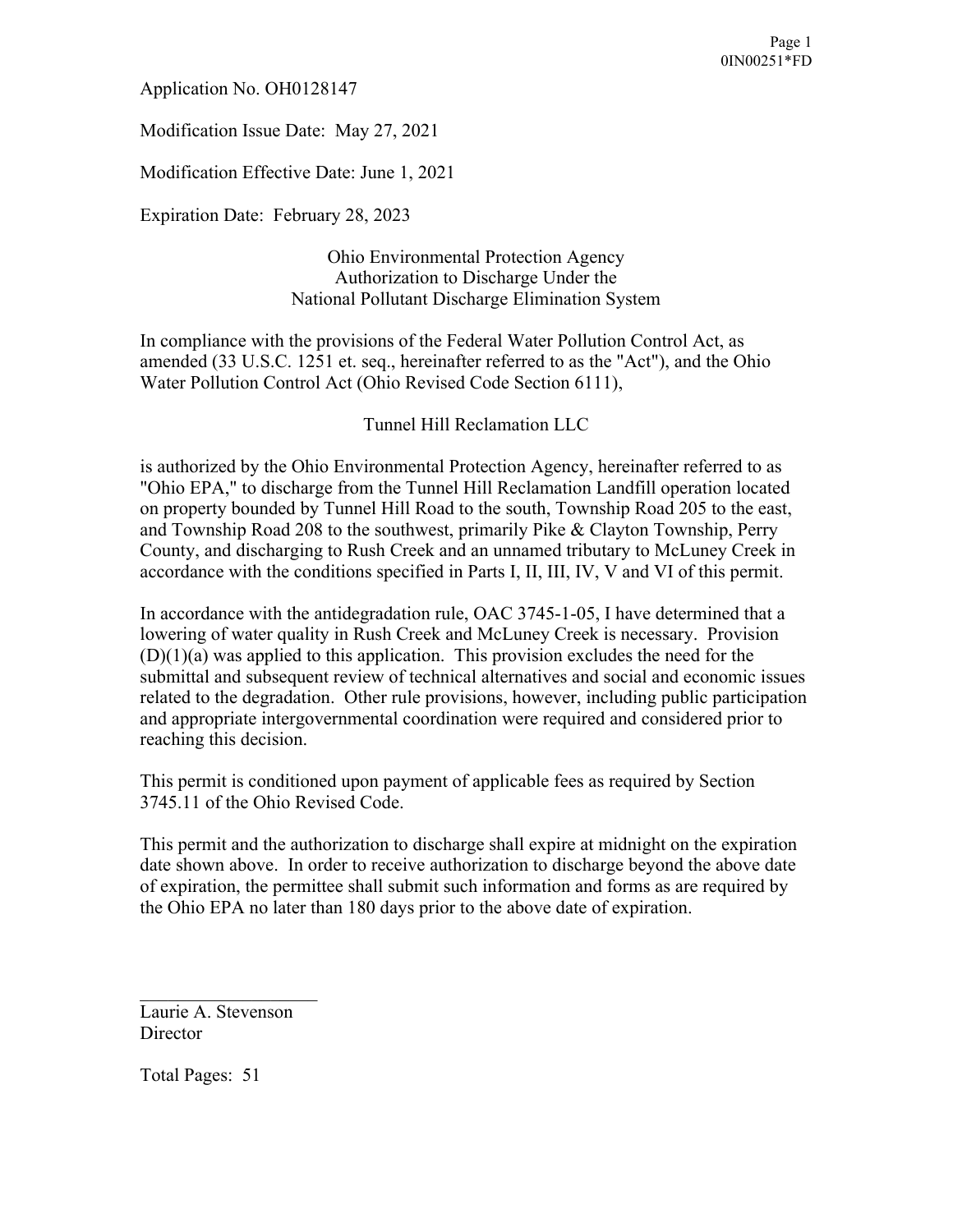Application No. OH0128147

Modification Issue Date: May 27, 2021

Modification Effective Date: June 1, 2021

Expiration Date: February 28, 2023

Ohio Environmental Protection Agency Authorization to Discharge Under the National Pollutant Discharge Elimination System

In compliance with the provisions of the Federal Water Pollution Control Act, as amended (33 U.S.C. 1251 et. seq., hereinafter referred to as the "Act"), and the Ohio Water Pollution Control Act (Ohio Revised Code Section 6111),

Tunnel Hill Reclamation LLC

is authorized by the Ohio Environmental Protection Agency, hereinafter referred to as "Ohio EPA," to discharge from the Tunnel Hill Reclamation Landfill operation located on property bounded by Tunnel Hill Road to the south, Township Road 205 to the east, and Township Road 208 to the southwest, primarily Pike & Clayton Township, Perry County, and discharging to Rush Creek and an unnamed tributary to McLuney Creek in accordance with the conditions specified in Parts I, II, III, IV, V and VI of this permit.

In accordance with the antidegradation rule, OAC 3745-1-05, I have determined that a lowering of water quality in Rush Creek and McLuney Creek is necessary. Provision  $(D)(1)(a)$  was applied to this application. This provision excludes the need for the submittal and subsequent review of technical alternatives and social and economic issues related to the degradation. Other rule provisions, however, including public participation and appropriate intergovernmental coordination were required and considered prior to reaching this decision.

This permit is conditioned upon payment of applicable fees as required by Section 3745.11 of the Ohio Revised Code.

This permit and the authorization to discharge shall expire at midnight on the expiration date shown above. In order to receive authorization to discharge beyond the above date of expiration, the permittee shall submit such information and forms as are required by the Ohio EPA no later than 180 days prior to the above date of expiration.

Laurie A. Stevenson **Director** 

Total Pages: 51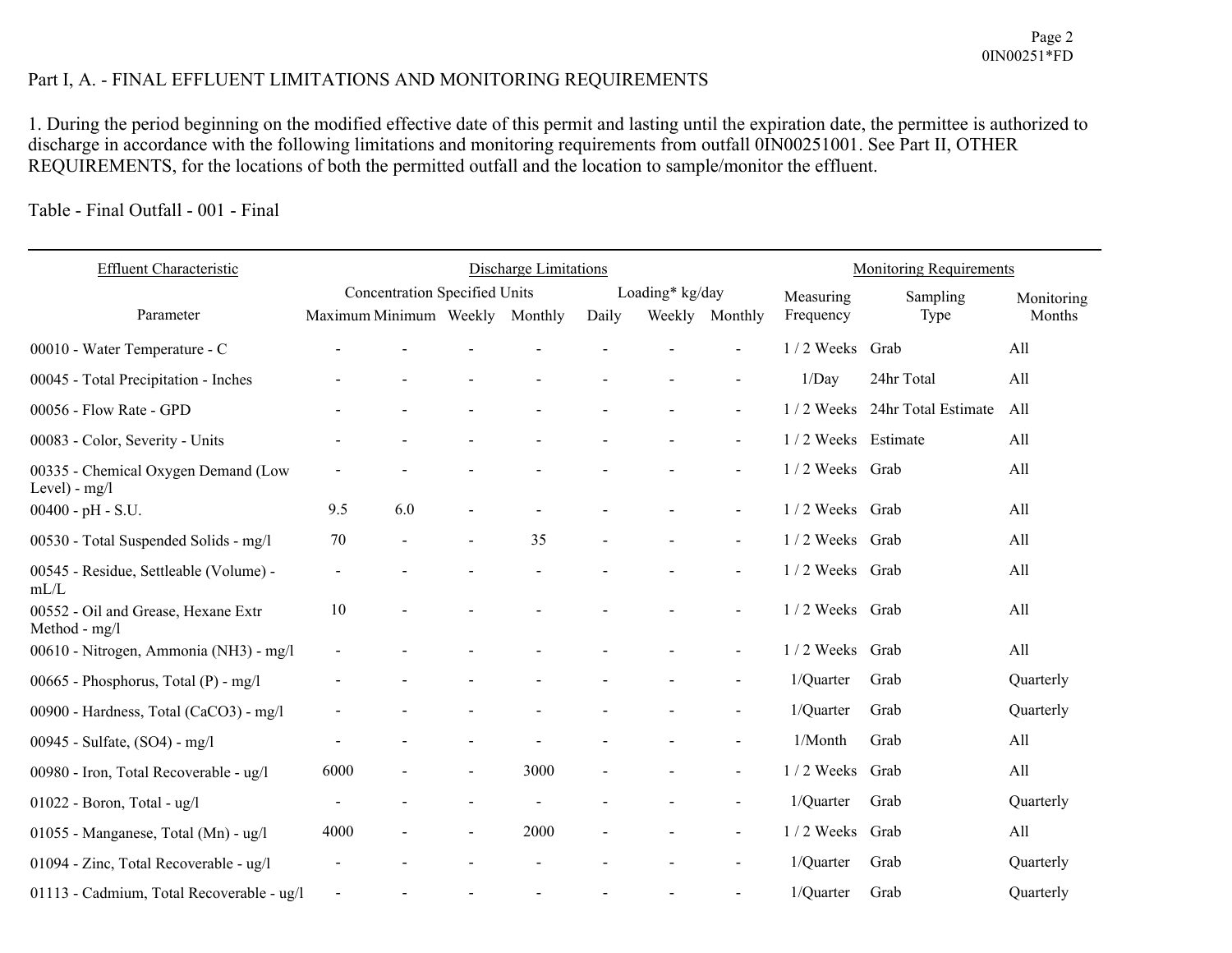### Page 2 0IN00251\*FD

# Part I, A. - FINAL EFFLUENT LIMITATIONS AND MONITORING REQUIREMENTS

1. During the period beginning on the modified effective date of this permit and lasting until the expiration date, the permittee is authorized to discharge in accordance with the following limitations and monitoring requirements from outfall 0IN00251001. See Part II, OTHER REQUIREMENTS, for the locations of both the permitted outfall and the location to sample/monitor the effluent.

# Table - Final Outfall - 001 - Final

| <b>Effluent Characteristic</b>                          | <b>Discharge Limitations</b>   |                                      |  |      |                 | <b>Monitoring Requirements</b> |                          |                    |                     |            |
|---------------------------------------------------------|--------------------------------|--------------------------------------|--|------|-----------------|--------------------------------|--------------------------|--------------------|---------------------|------------|
|                                                         |                                | <b>Concentration Specified Units</b> |  |      | Loading* kg/day |                                |                          | Measuring          | Sampling            | Monitoring |
| Parameter                                               | Maximum Minimum Weekly Monthly |                                      |  |      | Daily           |                                | Weekly Monthly           | Frequency          | Type                | Months     |
| 00010 - Water Temperature - C                           |                                |                                      |  |      |                 |                                |                          | 1/2 Weeks Grab     |                     | All        |
| 00045 - Total Precipitation - Inches                    |                                |                                      |  |      |                 |                                |                          | 1/Day              | 24hr Total          | All        |
| 00056 - Flow Rate - GPD                                 |                                |                                      |  |      |                 |                                | -                        | $1/2$ Weeks        | 24hr Total Estimate | All        |
| 00083 - Color, Severity - Units                         |                                |                                      |  |      |                 |                                | $\overline{\phantom{0}}$ | 1/2 Weeks Estimate |                     | All        |
| 00335 - Chemical Oxygen Demand (Low<br>Level $)$ - mg/l |                                |                                      |  |      |                 |                                | ÷.                       | 1/2 Weeks Grab     |                     | All        |
| $00400 - pH - S.U.$                                     | 9.5                            | 6.0                                  |  |      |                 |                                | $\blacksquare$           | 1/2 Weeks Grab     |                     | All        |
| 00530 - Total Suspended Solids - mg/l                   | 70                             |                                      |  | 35   |                 |                                | $\overline{a}$           | 1/2 Weeks Grab     |                     | All        |
| 00545 - Residue, Settleable (Volume) -<br>mL/L          | $\overline{a}$                 |                                      |  |      |                 |                                | $\overline{a}$           | 1/2 Weeks Grab     |                     | All        |
| 00552 - Oil and Grease, Hexane Extr<br>Method - mg/l    | 10                             |                                      |  |      |                 |                                | $\overline{a}$           | 1/2 Weeks Grab     |                     | All        |
| 00610 - Nitrogen, Ammonia (NH3) - mg/l                  |                                |                                      |  |      |                 |                                | $\overline{a}$           | 1/2 Weeks Grab     |                     | All        |
| 00665 - Phosphorus, Total (P) - mg/l                    |                                |                                      |  |      |                 |                                | $\overline{a}$           | 1/Quarter          | Grab                | Quarterly  |
| 00900 - Hardness, Total (CaCO3) - mg/l                  |                                |                                      |  |      |                 |                                | $\overline{a}$           | 1/Quarter          | Grab                | Quarterly  |
| 00945 - Sulfate, (SO4) - mg/l                           |                                |                                      |  |      |                 |                                | $\overline{\phantom{0}}$ | 1/Month            | Grab                | All        |
| 00980 - Iron, Total Recoverable - ug/l                  | 6000                           |                                      |  | 3000 |                 |                                | $\blacksquare$           | $1/2$ Weeks        | Grab                | All        |
| 01022 - Boron, Total - ug/l                             |                                |                                      |  |      |                 |                                | $\overline{\phantom{0}}$ | 1/Quarter          | Grab                | Quarterly  |
| 01055 - Manganese, Total (Mn) - $\frac{u}{l}$           | 4000                           |                                      |  | 2000 | $\overline{a}$  |                                | $\overline{a}$           | $1/2$ Weeks        | Grab                | All        |
| 01094 - Zinc, Total Recoverable - ug/l                  |                                |                                      |  |      |                 |                                | $\overline{a}$           | $1$ /Quarter       | Grab                | Quarterly  |
| 01113 - Cadmium, Total Recoverable - ug/l               |                                |                                      |  |      |                 |                                |                          | 1/Quarter          | Grab                | Quarterly  |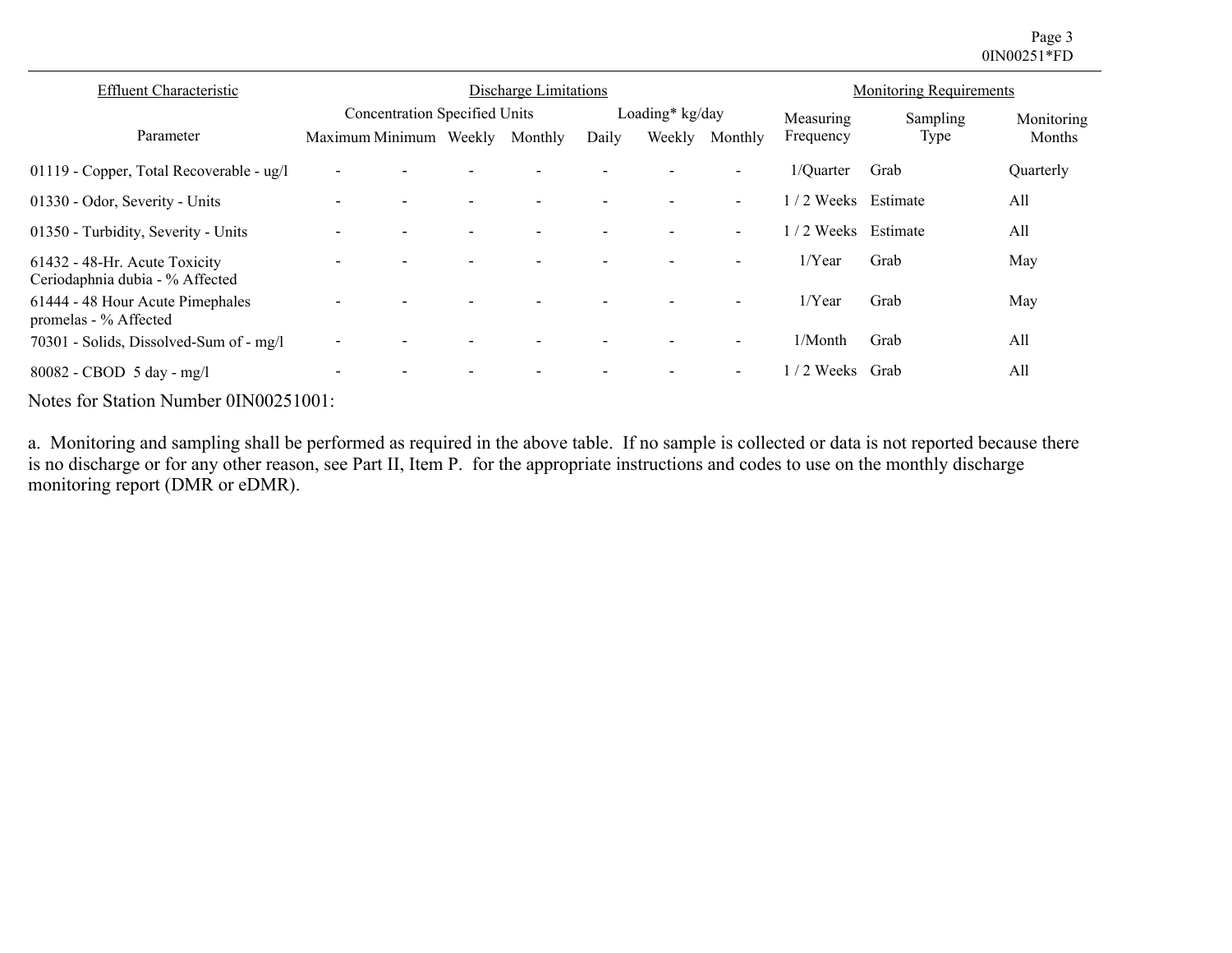Page 3 0IN00251\*FD

| <b>Effluent Characteristic</b>                                   | Discharge Limitations  |                                      |  |         |                          | <b>Monitoring Requirements</b> |         |                        |                  |                      |
|------------------------------------------------------------------|------------------------|--------------------------------------|--|---------|--------------------------|--------------------------------|---------|------------------------|------------------|----------------------|
| Parameter                                                        | Maximum Minimum Weekly | <b>Concentration Specified Units</b> |  | Monthly | Daily                    | Loading* kg/day<br>Weekly      | Monthly | Measuring<br>Frequency | Sampling<br>Type | Monitoring<br>Months |
| 01119 - Copper, Total Recoverable - ug/l                         |                        |                                      |  |         |                          |                                |         | $1/Q$ uarter           | Grab             | Quarterly            |
| 01330 - Odor, Severity - Units                                   |                        |                                      |  |         |                          |                                | $\sim$  | 1/2 Weeks Estimate     |                  | All                  |
| 01350 - Turbidity, Severity - Units                              |                        |                                      |  |         |                          |                                | Ξ.      | 1/2 Weeks Estimate     |                  | All                  |
| 61432 - 48-Hr. Acute Toxicity<br>Ceriodaphnia dubia - % Affected |                        |                                      |  |         |                          |                                |         | $1/Y$ ear              | Grab             | May                  |
| 61444 - 48 Hour Acute Pimephales<br>promelas - % Affected        |                        |                                      |  |         |                          |                                |         | $1/Y$ ear              | Grab             | May                  |
| 70301 - Solids, Dissolved-Sum of - mg/l                          |                        |                                      |  |         |                          |                                |         | $1/M$ onth             | Grab             | All                  |
| 80082 - CBOD 5 day - mg/l                                        |                        |                                      |  |         | $\overline{\phantom{a}}$ |                                | $\sim$  | $1/2$ Weeks            | Grab             | All                  |
|                                                                  |                        |                                      |  |         |                          |                                |         |                        |                  |                      |

Notes for Station Number 0IN00251001:

a. Monitoring and sampling shall be performed as required in the above table. If no sample is collected or data is not reported because there is no discharge or for any other reason, see Part II, Item P. for the appropriate instructions and codes to use on the monthly discharge monitoring report (DMR or eDMR).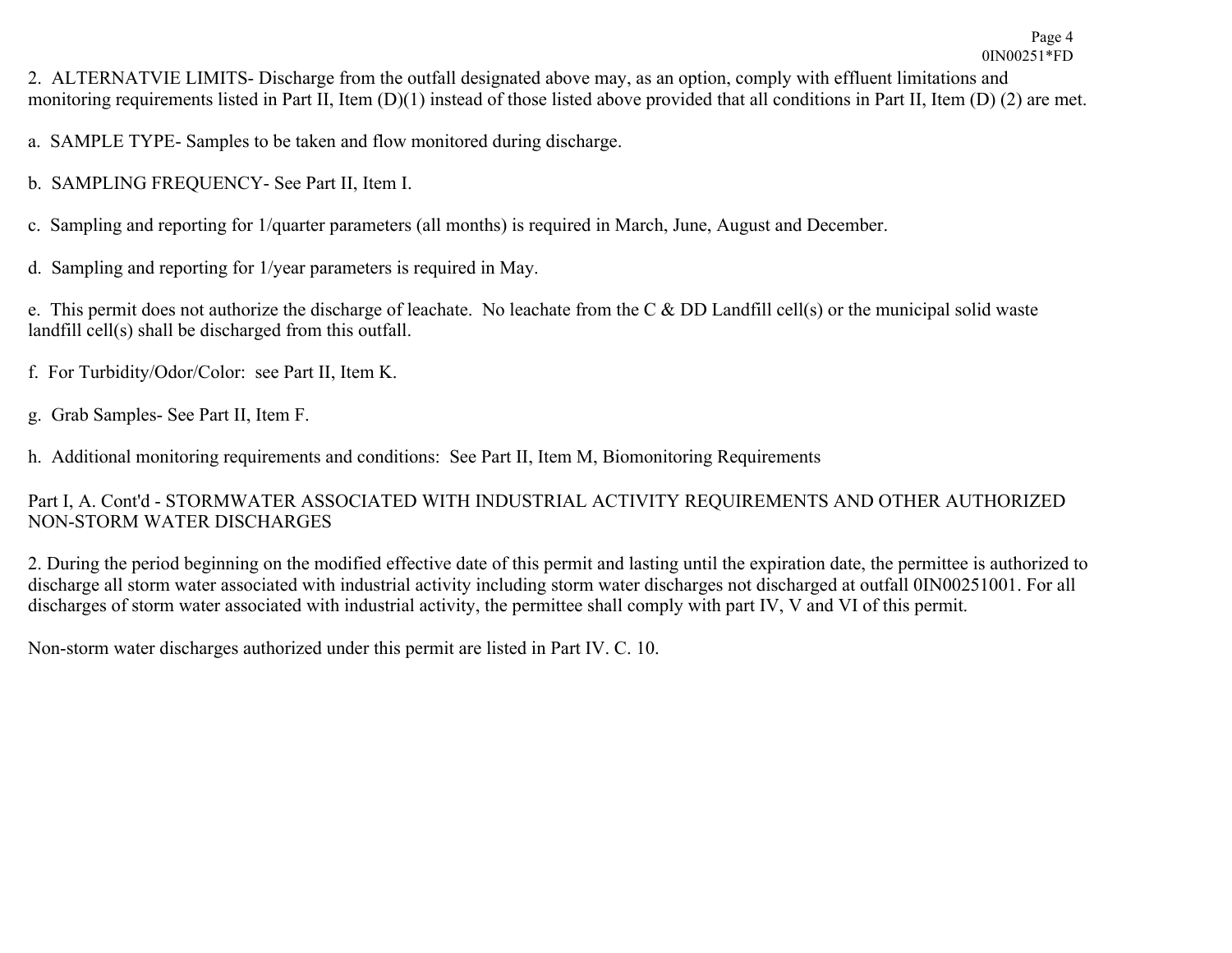2. ALTERNATVIE LIMITS- Discharge from the outfall designated above may, as an option, comply with effluent limitations and monitoring requirements listed in Part II, Item (D)(1) instead of those listed above provided that all conditions in Part II, Item (D) (2) are met.

Page 4 0IN00251\*FD

a. SAMPLE TYPE- Samples to be taken and flow monitored during discharge.

- b. SAMPLING FREQUENCY- See Part II, Item I.
- c. Sampling and reporting for 1/quarter parameters (all months) is required in March, June, August and December.
- d. Sampling and reporting for 1/year parameters is required in May.

e. This permit does not authorize the discharge of leachate. No leachate from the C & DD Landfill cell(s) or the municipal solid waste landfill cell(s) shall be discharged from this outfall.

- f. For Turbidity/Odor/Color: see Part II, Item K.
- g. Grab Samples- See Part II, Item F.

h. Additional monitoring requirements and conditions: See Part II, Item M, Biomonitoring Requirements

# Part I, A. Cont'd - STORMWATER ASSOCIATED WITH INDUSTRIAL ACTIVITY REQUIREMENTS AND OTHER AUTHORIZED NON-STORM WATER DISCHARGES

2. During the period beginning on the modified effective date of this permit and lasting until the expiration date, the permittee is authorized to discharge all storm water associated with industrial activity including storm water discharges not discharged at outfall 0IN00251001. For all discharges of storm water associated with industrial activity, the permittee shall comply with part IV, V and VI of this permit.

Non-storm water discharges authorized under this permit are listed in Part IV. C. 10.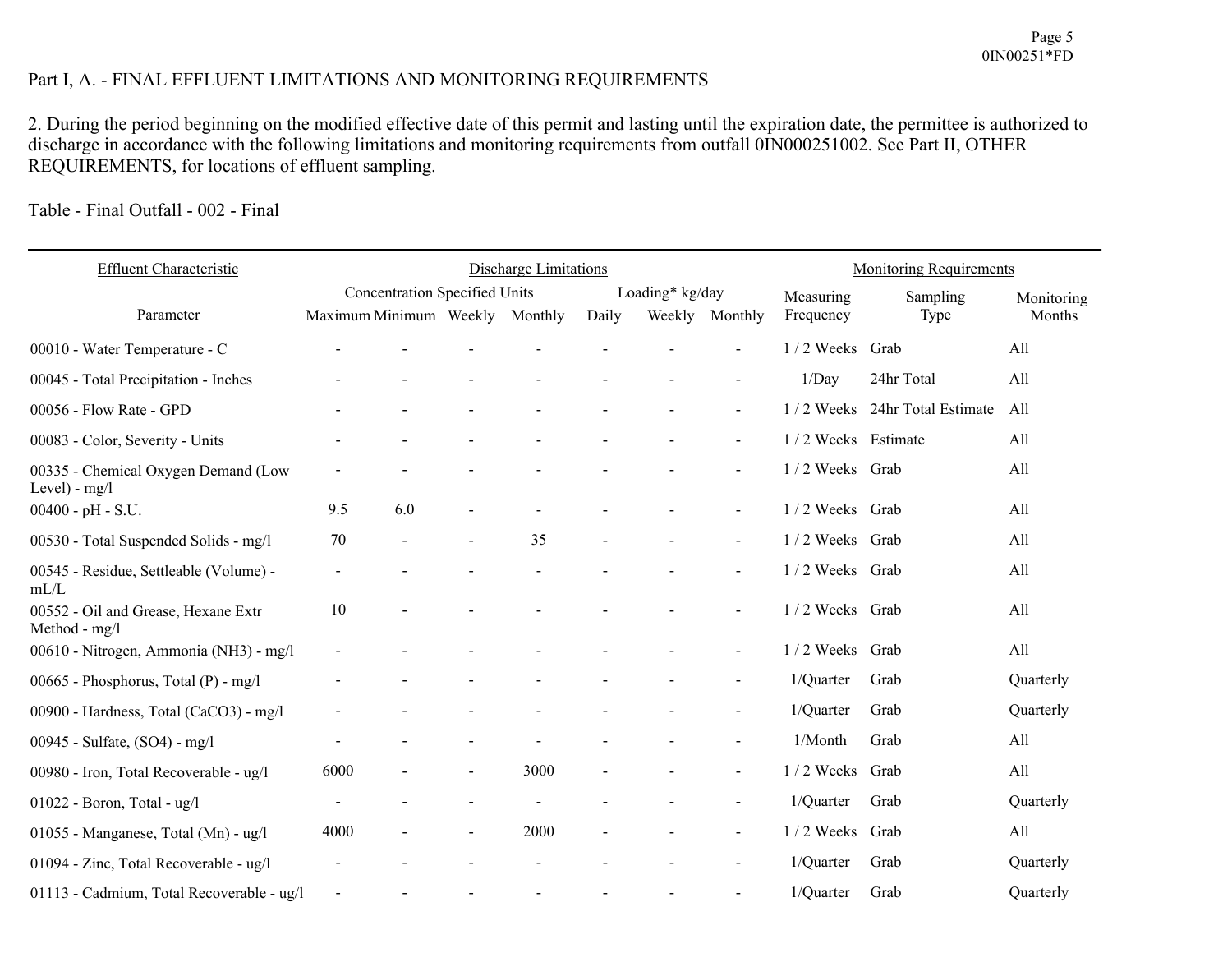# Part I, A. - FINAL EFFLUENT LIMITATIONS AND MONITORING REQUIREMENTS

2. During the period beginning on the modified effective date of this permit and lasting until the expiration date, the permittee is authorized to discharge in accordance with the following limitations and monitoring requirements from outfall 0IN000251002. See Part II, OTHER REQUIREMENTS, for locations of effluent sampling.

# Table - Final Outfall - 002 - Final

| <b>Effluent Characteristic</b>                         | <b>Discharge Limitations</b>         |     |  |      |                 | <b>Monitoring Requirements</b> |                          |                    |                     |            |
|--------------------------------------------------------|--------------------------------------|-----|--|------|-----------------|--------------------------------|--------------------------|--------------------|---------------------|------------|
|                                                        | <b>Concentration Specified Units</b> |     |  |      | Loading* kg/day |                                |                          | Measuring          | Sampling            | Monitoring |
| Parameter                                              | Maximum Minimum Weekly Monthly       |     |  |      | Daily           | Weekly                         | Monthly                  | Frequency          | Type                | Months     |
| 00010 - Water Temperature - C                          |                                      |     |  |      |                 |                                |                          | 1/2 Weeks Grab     |                     | All        |
| 00045 - Total Precipitation - Inches                   |                                      |     |  |      |                 |                                |                          | 1/Day              | 24hr Total          | All        |
| 00056 - Flow Rate - GPD                                |                                      |     |  |      |                 |                                |                          | $1/2$ Weeks        | 24hr Total Estimate | All        |
| 00083 - Color, Severity - Units                        |                                      |     |  |      |                 |                                | $\overline{\phantom{a}}$ | 1/2 Weeks Estimate |                     | All        |
| 00335 - Chemical Oxygen Demand (Low<br>Level) - $mg/l$ |                                      |     |  |      |                 |                                | $\overline{a}$           | 1/2 Weeks Grab     |                     | All        |
| $00400 - pH - S.U.$                                    | 9.5                                  | 6.0 |  |      |                 |                                | $\blacksquare$           | 1/2 Weeks Grab     |                     | All        |
| 00530 - Total Suspended Solids - mg/l                  | 70                                   |     |  | 35   |                 |                                | $\blacksquare$           | 1/2 Weeks Grab     |                     | All        |
| 00545 - Residue, Settleable (Volume) -<br>mL/L         |                                      |     |  |      |                 |                                |                          | 1/2 Weeks Grab     |                     | All        |
| 00552 - Oil and Grease, Hexane Extr<br>Method - mg/l   | 10                                   |     |  |      |                 |                                |                          | 1/2 Weeks Grab     |                     | All        |
| 00610 - Nitrogen, Ammonia (NH3) - mg/l                 |                                      |     |  |      |                 |                                | $\blacksquare$           | 1/2 Weeks Grab     |                     | All        |
| 00665 - Phosphorus, Total (P) - mg/l                   |                                      |     |  |      |                 |                                |                          | 1/Quarter          | Grab                | Quarterly  |
| 00900 - Hardness, Total (CaCO3) - mg/l                 |                                      |     |  |      |                 |                                | $\overline{\phantom{0}}$ | 1/Quarter          | Grab                | Quarterly  |
| 00945 - Sulfate, (SO4) - mg/l                          |                                      |     |  |      |                 |                                | $\blacksquare$           | 1/Month            | Grab                | All        |
| 00980 - Iron, Total Recoverable - ug/l                 | 6000                                 |     |  | 3000 |                 |                                |                          | $1/2$ Weeks        | Grab                | All        |
| 01022 - Boron, Total - ug/l                            |                                      |     |  |      |                 |                                | $\blacksquare$           | 1/Quarter          | Grab                | Quarterly  |
| 01055 - Manganese, Total (Mn) - $ug/l$                 | 4000                                 |     |  | 2000 | $\overline{a}$  |                                | $\overline{a}$           | $1/2$ Weeks        | Grab                | All        |
| 01094 - Zinc, Total Recoverable - ug/l                 |                                      |     |  |      |                 |                                | $\blacksquare$           | $1$ /Quarter       | Grab                | Quarterly  |
| 01113 - Cadmium, Total Recoverable - ug/l              |                                      |     |  |      |                 |                                |                          | 1/Quarter          | Grab                | Quarterly  |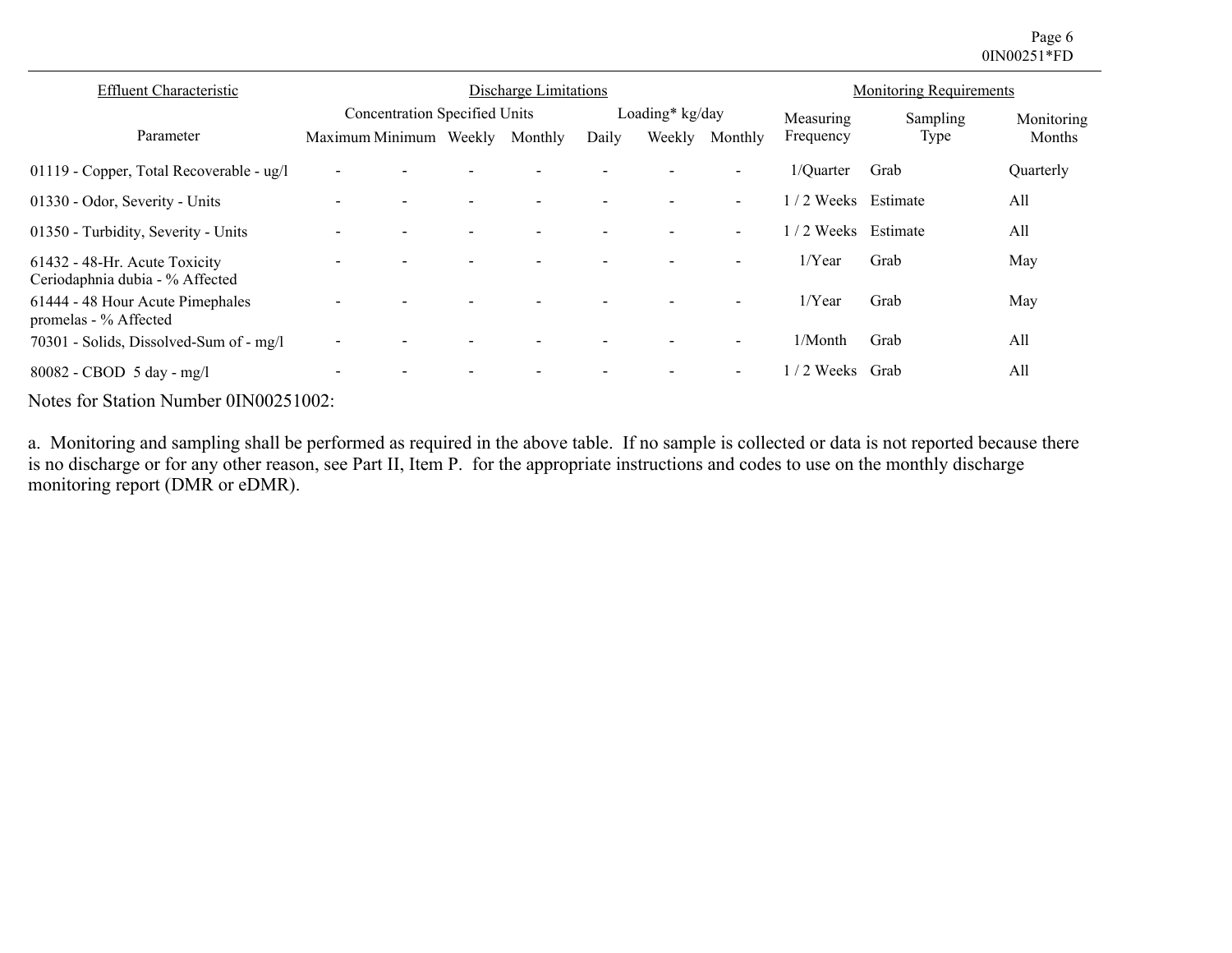Page 6 0IN00251\*FD

| <b>Effluent Characteristic</b>                                   | <b>Discharge Limitations</b>   |                                      |  |  |       |                           | <b>Monitoring Requirements</b> |                        |                  |                      |
|------------------------------------------------------------------|--------------------------------|--------------------------------------|--|--|-------|---------------------------|--------------------------------|------------------------|------------------|----------------------|
| Parameter                                                        | Maximum Minimum Weekly Monthly | <b>Concentration Specified Units</b> |  |  | Daily | Loading* kg/day<br>Weekly | Monthly                        | Measuring<br>Frequency | Sampling<br>Type | Monitoring<br>Months |
| 01119 - Copper, Total Recoverable - ug/l                         |                                |                                      |  |  |       |                           | $\overline{\phantom{0}}$       | $1$ /Ouarter           | Grab             | Quarterly            |
| 01330 - Odor, Severity - Units                                   |                                | $\blacksquare$                       |  |  |       |                           | $\sim$                         | $1/2$ Weeks            | Estimate         | All                  |
| 01350 - Turbidity, Severity - Units                              |                                |                                      |  |  |       |                           | $\overline{\phantom{0}}$       | $1/2$ Weeks            | Estimate         | All                  |
| 61432 - 48-Hr. Acute Toxicity<br>Ceriodaphnia dubia - % Affected |                                |                                      |  |  |       |                           |                                | $1/Y$ ear              | Grab             | May                  |
| 61444 - 48 Hour Acute Pimephales<br>promelas - % Affected        |                                |                                      |  |  |       |                           | -                              | $1/Y$ ear              | Grab             | May                  |
| 70301 - Solids, Dissolved-Sum of - mg/l                          |                                |                                      |  |  |       |                           | $\overline{\phantom{0}}$       | $1/M$ onth             | Grab             | All                  |
| 80082 - CBOD 5 day - mg/l                                        |                                |                                      |  |  |       |                           | $\sim$                         | $1/2$ Weeks            | Grab             | All                  |

Notes for Station Number 0IN00251002:

a. Monitoring and sampling shall be performed as required in the above table. If no sample is collected or data is not reported because there is no discharge or for any other reason, see Part II, Item P. for the appropriate instructions and codes to use on the monthly discharge monitoring report (DMR or eDMR).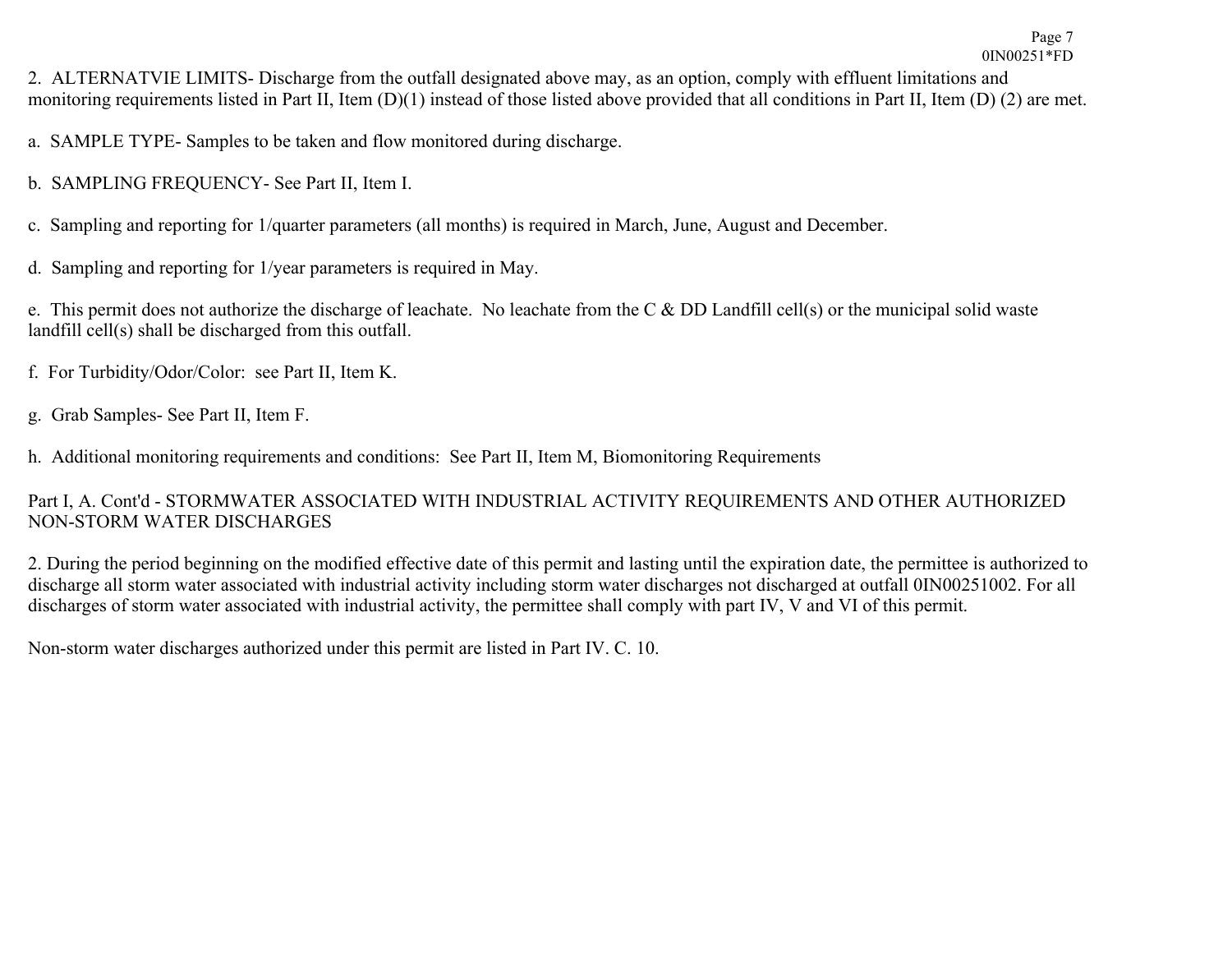2. ALTERNATVIE LIMITS- Discharge from the outfall designated above may, as an option, comply with effluent limitations and monitoring requirements listed in Part II, Item (D)(1) instead of those listed above provided that all conditions in Part II, Item (D) (2) are met.

Page 7 0IN00251\*FD

a. SAMPLE TYPE- Samples to be taken and flow monitored during discharge.

- b. SAMPLING FREQUENCY- See Part II, Item I.
- c. Sampling and reporting for 1/quarter parameters (all months) is required in March, June, August and December.
- d. Sampling and reporting for 1/year parameters is required in May.

e. This permit does not authorize the discharge of leachate. No leachate from the C & DD Landfill cell(s) or the municipal solid waste landfill cell(s) shall be discharged from this outfall.

- f. For Turbidity/Odor/Color: see Part II, Item K.
- g. Grab Samples- See Part II, Item F.

h. Additional monitoring requirements and conditions: See Part II, Item M, Biomonitoring Requirements

# Part I, A. Cont'd - STORMWATER ASSOCIATED WITH INDUSTRIAL ACTIVITY REQUIREMENTS AND OTHER AUTHORIZED NON-STORM WATER DISCHARGES

2. During the period beginning on the modified effective date of this permit and lasting until the expiration date, the permittee is authorized to discharge all storm water associated with industrial activity including storm water discharges not discharged at outfall 0IN00251002. For all discharges of storm water associated with industrial activity, the permittee shall comply with part IV, V and VI of this permit.

Non-storm water discharges authorized under this permit are listed in Part IV. C. 10.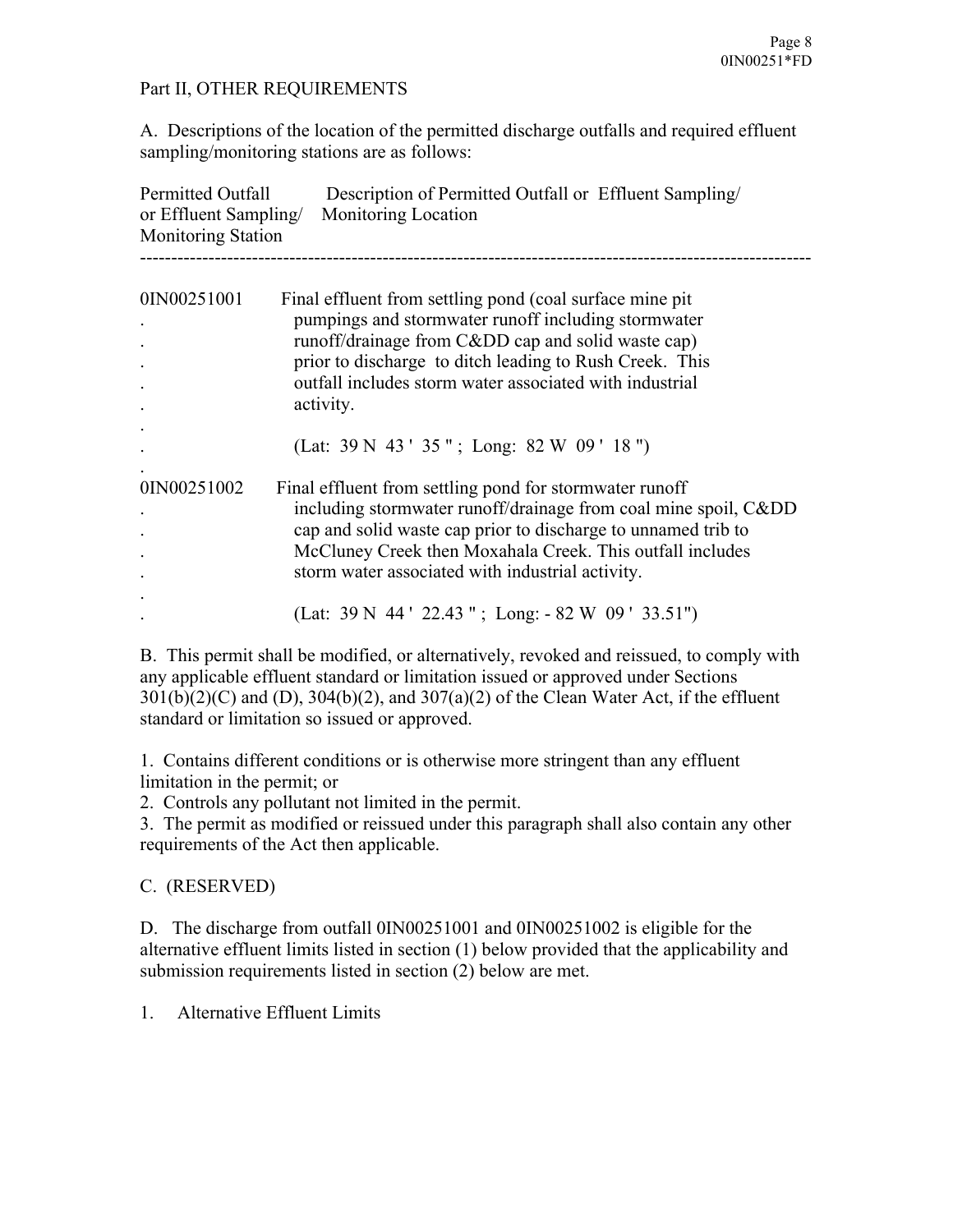# Part II, OTHER REQUIREMENTS

A. Descriptions of the location of the permitted discharge outfalls and required effluent sampling/monitoring stations are as follows:

| <b>Permitted Outfall</b><br>or Effluent Sampling/<br><b>Monitoring Station</b> | Description of Permitted Outfall or Effluent Sampling/<br>Monitoring Location                                                                                                                                                                                                                              |
|--------------------------------------------------------------------------------|------------------------------------------------------------------------------------------------------------------------------------------------------------------------------------------------------------------------------------------------------------------------------------------------------------|
| 0IN00251001                                                                    | Final effluent from settling pond (coal surface mine pit)<br>pumpings and stormwater runoff including stormwater<br>runoff/drainage from Cⅅ cap and solid waste cap)<br>prior to discharge to ditch leading to Rush Creek. This<br>outfall includes storm water associated with industrial<br>activity.    |
|                                                                                | (Lat: 39 N 43 ' 35"; Long: 82 W 09 ' 18")                                                                                                                                                                                                                                                                  |
| 0IN00251002                                                                    | Final effluent from settling pond for stormwater runoff<br>including stormwater runoff/drainage from coal mine spoil, Cⅅ<br>cap and solid waste cap prior to discharge to unnamed trib to<br>McCluney Creek then Moxahala Creek. This outfall includes<br>storm water associated with industrial activity. |
|                                                                                | (Lat: $39 \text{ N } 44'$ 22.43"; Long: - 82 W 09' 33.51")                                                                                                                                                                                                                                                 |

B. This permit shall be modified, or alternatively, revoked and reissued, to comply with any applicable effluent standard or limitation issued or approved under Sections  $301(b)(2)(C)$  and (D),  $304(b)(2)$ , and  $307(a)(2)$  of the Clean Water Act, if the effluent standard or limitation so issued or approved.

1. Contains different conditions or is otherwise more stringent than any effluent limitation in the permit; or

2. Controls any pollutant not limited in the permit.

3. The permit as modified or reissued under this paragraph shall also contain any other requirements of the Act then applicable.

C. (RESERVED)

D. The discharge from outfall 0IN00251001 and 0IN00251002 is eligible for the alternative effluent limits listed in section (1) below provided that the applicability and submission requirements listed in section (2) below are met.

1. Alternative Effluent Limits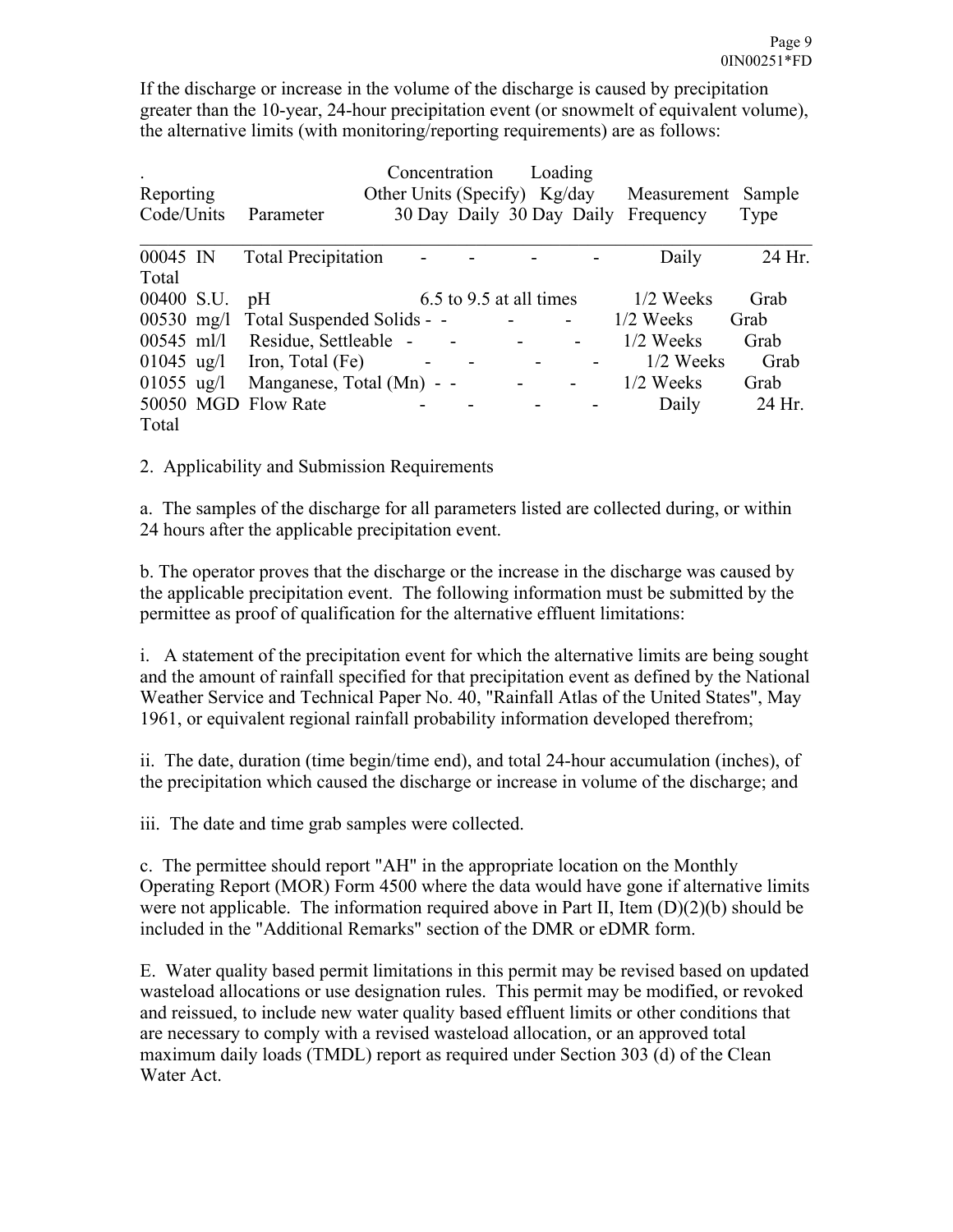If the discharge or increase in the volume of the discharge is caused by precipitation greater than the 10-year, 24-hour precipitation event (or snowmelt of equivalent volume), the alternative limits (with monitoring/reporting requirements) are as follows:

| Reporting<br>Code/Units | Parameter                             |                          | Concentration<br>Other Units (Specify) Kg/day |                | Loading |                | Measurement Sample<br>30 Day Daily 30 Day Daily Frequency | Type   |
|-------------------------|---------------------------------------|--------------------------|-----------------------------------------------|----------------|---------|----------------|-----------------------------------------------------------|--------|
| 00045 IN                | <b>Total Precipitation</b>            | $\overline{\phantom{0}}$ |                                               |                |         |                | Daily                                                     | 24 Hr. |
| Total                   |                                       |                          |                                               |                |         |                |                                                           |        |
| 00400 S.U. pH           |                                       |                          | $6.5$ to 9.5 at all times                     |                |         |                | $1/2$ Weeks                                               | Grab   |
|                         | 00530 mg/l Total Suspended Solids - - |                          |                                               |                |         | $\sim$         | $1/2$ Weeks                                               | Grab   |
|                         | 00545 ml/l Residue, Settleable -      |                          |                                               | $\overline{a}$ |         | $\blacksquare$ | $1/2$ Weeks                                               | Grab   |
| $01045 \text{ ug}/l$    | Iron, Total (Fe)                      |                          |                                               |                |         |                | $1/2$ Weeks                                               | Grab   |
| $01055 \text{ ug}/l$    | Manganese, Total (Mn) - -             |                          |                                               |                |         |                | $1/2$ Weeks                                               | Grab   |
|                         | 50050 MGD Flow Rate                   |                          |                                               |                |         |                | Daily                                                     | 24 Hr. |
| Total                   |                                       |                          |                                               |                |         |                |                                                           |        |

2. Applicability and Submission Requirements

a. The samples of the discharge for all parameters listed are collected during, or within 24 hours after the applicable precipitation event.

b. The operator proves that the discharge or the increase in the discharge was caused by the applicable precipitation event. The following information must be submitted by the permittee as proof of qualification for the alternative effluent limitations:

i. A statement of the precipitation event for which the alternative limits are being sought and the amount of rainfall specified for that precipitation event as defined by the National Weather Service and Technical Paper No. 40, "Rainfall Atlas of the United States", May 1961, or equivalent regional rainfall probability information developed therefrom;

ii. The date, duration (time begin/time end), and total 24-hour accumulation (inches), of the precipitation which caused the discharge or increase in volume of the discharge; and

iii. The date and time grab samples were collected.

c. The permittee should report "AH" in the appropriate location on the Monthly Operating Report (MOR) Form 4500 where the data would have gone if alternative limits were not applicable. The information required above in Part II, Item  $(D)(2)(b)$  should be included in the "Additional Remarks" section of the DMR or eDMR form.

E. Water quality based permit limitations in this permit may be revised based on updated wasteload allocations or use designation rules. This permit may be modified, or revoked and reissued, to include new water quality based effluent limits or other conditions that are necessary to comply with a revised wasteload allocation, or an approved total maximum daily loads (TMDL) report as required under Section 303 (d) of the Clean Water Act.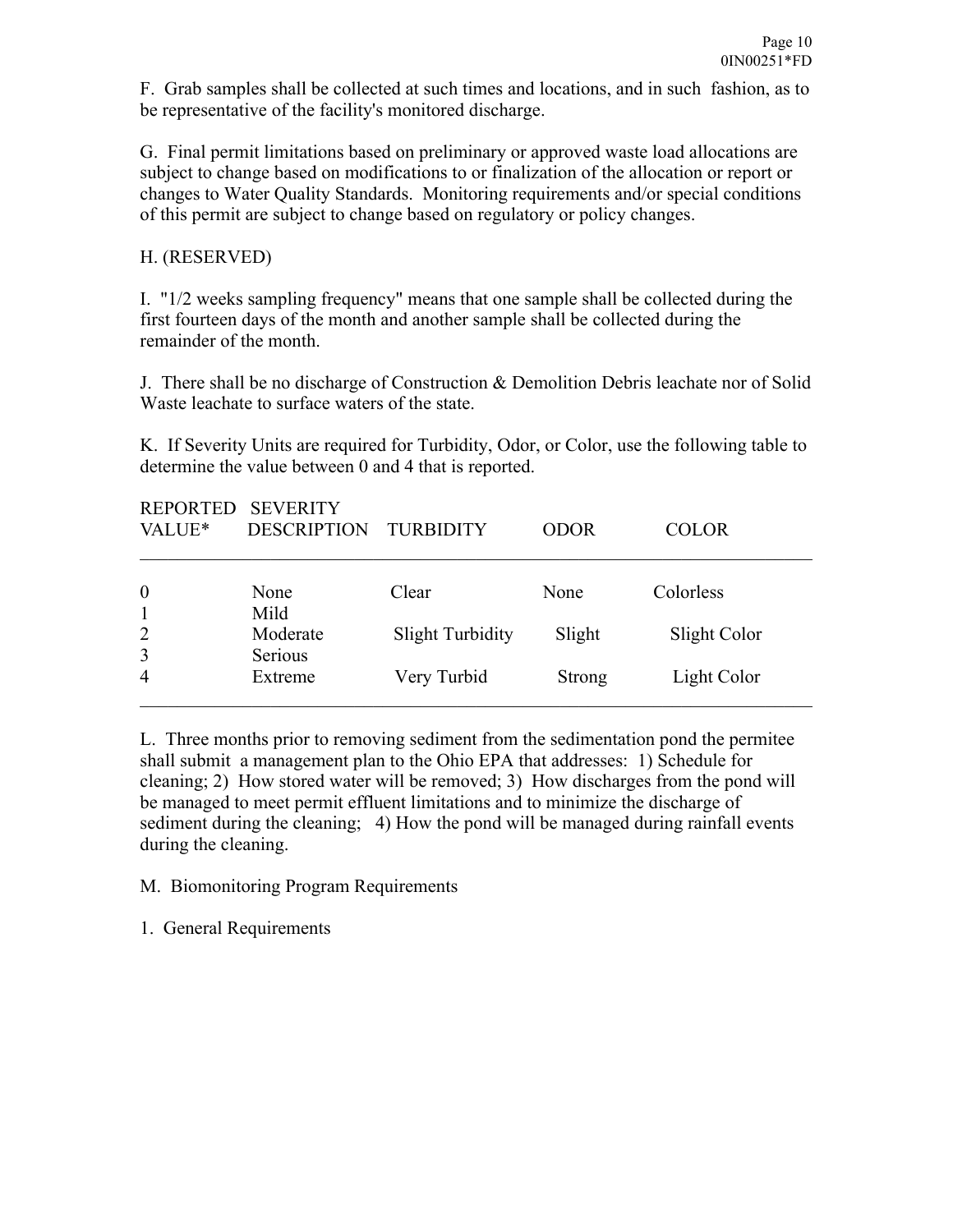F. Grab samples shall be collected at such times and locations, and in such fashion, as to be representative of the facility's monitored discharge.

G. Final permit limitations based on preliminary or approved waste load allocations are subject to change based on modifications to or finalization of the allocation or report or changes to Water Quality Standards. Monitoring requirements and/or special conditions of this permit are subject to change based on regulatory or policy changes.

## H. (RESERVED)

I. "1/2 weeks sampling frequency" means that one sample shall be collected during the first fourteen days of the month and another sample shall be collected during the remainder of the month.

J. There shall be no discharge of Construction & Demolition Debris leachate nor of Solid Waste leachate to surface waters of the state.

K. If Severity Units are required for Turbidity, Odor, or Color, use the following table to determine the value between 0 and 4 that is reported.

| <b>REPORTED</b><br>VALUE* | <b>SEVERITY</b><br><b>DESCRIPTION</b> | <b>TURBIDITY</b>        | <b>ODOR</b>   | <b>COLOR</b> |
|---------------------------|---------------------------------------|-------------------------|---------------|--------------|
| $\boldsymbol{0}$          | None                                  | Clear                   | None          | Colorless    |
|                           | Mild                                  |                         |               |              |
| $\overline{2}$            | Moderate                              | <b>Slight Turbidity</b> | Slight        | Slight Color |
| 3                         | <b>Serious</b>                        |                         |               |              |
| $\overline{4}$            | Extreme                               | Very Turbid             | <b>Strong</b> | Light Color  |

L. Three months prior to removing sediment from the sedimentation pond the permitee shall submit a management plan to the Ohio EPA that addresses: 1) Schedule for cleaning; 2) How stored water will be removed; 3) How discharges from the pond will be managed to meet permit effluent limitations and to minimize the discharge of sediment during the cleaning; 4) How the pond will be managed during rainfall events during the cleaning.

## M. Biomonitoring Program Requirements

1. General Requirements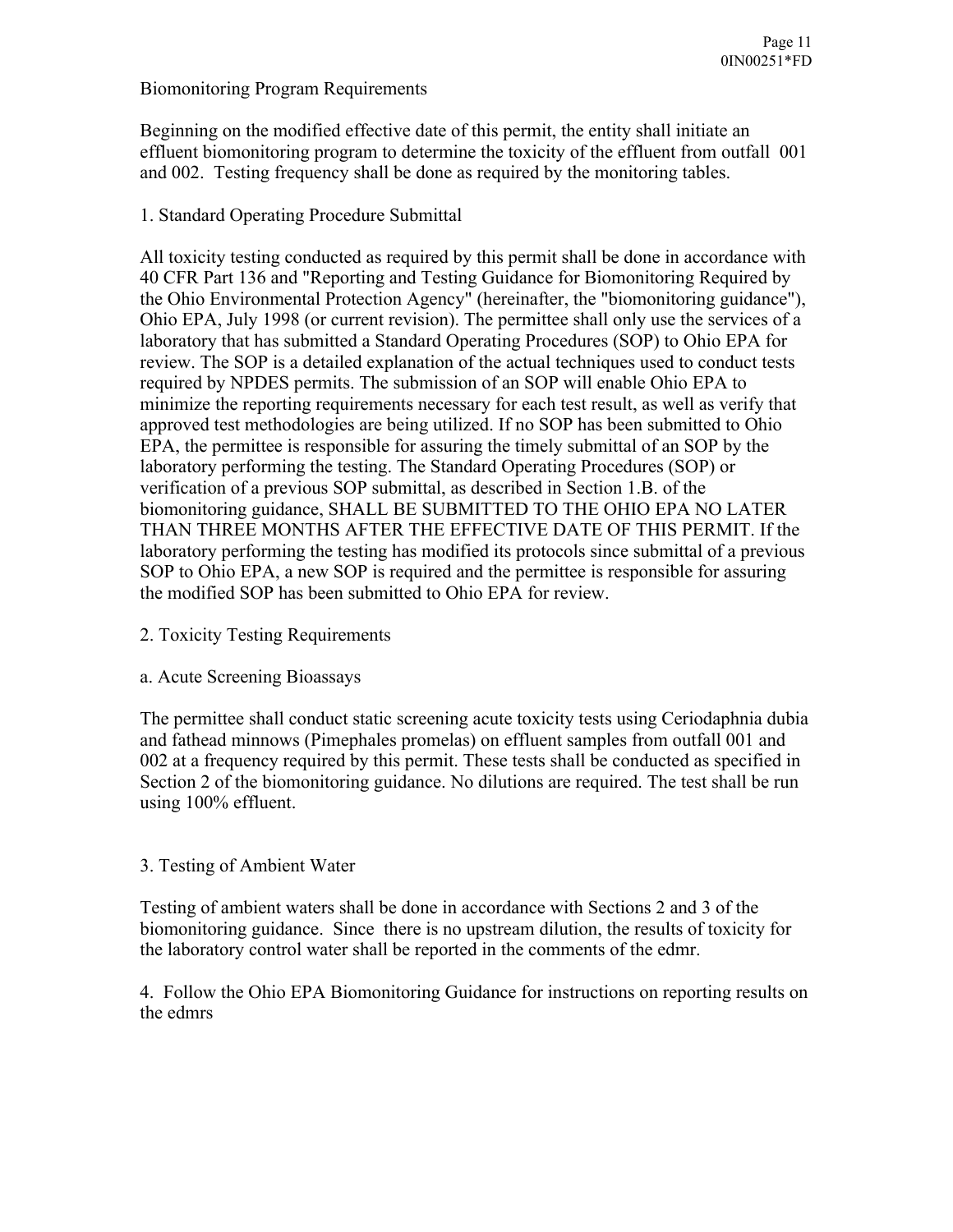## Biomonitoring Program Requirements

Beginning on the modified effective date of this permit, the entity shall initiate an effluent biomonitoring program to determine the toxicity of the effluent from outfall 001 and 002. Testing frequency shall be done as required by the monitoring tables.

## 1. Standard Operating Procedure Submittal

All toxicity testing conducted as required by this permit shall be done in accordance with 40 CFR Part 136 and "Reporting and Testing Guidance for Biomonitoring Required by the Ohio Environmental Protection Agency" (hereinafter, the "biomonitoring guidance"), Ohio EPA, July 1998 (or current revision). The permittee shall only use the services of a laboratory that has submitted a Standard Operating Procedures (SOP) to Ohio EPA for review. The SOP is a detailed explanation of the actual techniques used to conduct tests required by NPDES permits. The submission of an SOP will enable Ohio EPA to minimize the reporting requirements necessary for each test result, as well as verify that approved test methodologies are being utilized. If no SOP has been submitted to Ohio EPA, the permittee is responsible for assuring the timely submittal of an SOP by the laboratory performing the testing. The Standard Operating Procedures (SOP) or verification of a previous SOP submittal, as described in Section 1.B. of the biomonitoring guidance, SHALL BE SUBMITTED TO THE OHIO EPA NO LATER THAN THREE MONTHS AFTER THE EFFECTIVE DATE OF THIS PERMIT. If the laboratory performing the testing has modified its protocols since submittal of a previous SOP to Ohio EPA, a new SOP is required and the permittee is responsible for assuring the modified SOP has been submitted to Ohio EPA for review.

2. Toxicity Testing Requirements

## a. Acute Screening Bioassays

The permittee shall conduct static screening acute toxicity tests using Ceriodaphnia dubia and fathead minnows (Pimephales promelas) on effluent samples from outfall 001 and 002 at a frequency required by this permit. These tests shall be conducted as specified in Section 2 of the biomonitoring guidance. No dilutions are required. The test shall be run using 100% effluent.

# 3. Testing of Ambient Water

Testing of ambient waters shall be done in accordance with Sections 2 and 3 of the biomonitoring guidance. Since there is no upstream dilution, the results of toxicity for the laboratory control water shall be reported in the comments of the edmr.

4. Follow the Ohio EPA Biomonitoring Guidance for instructions on reporting results on the edmrs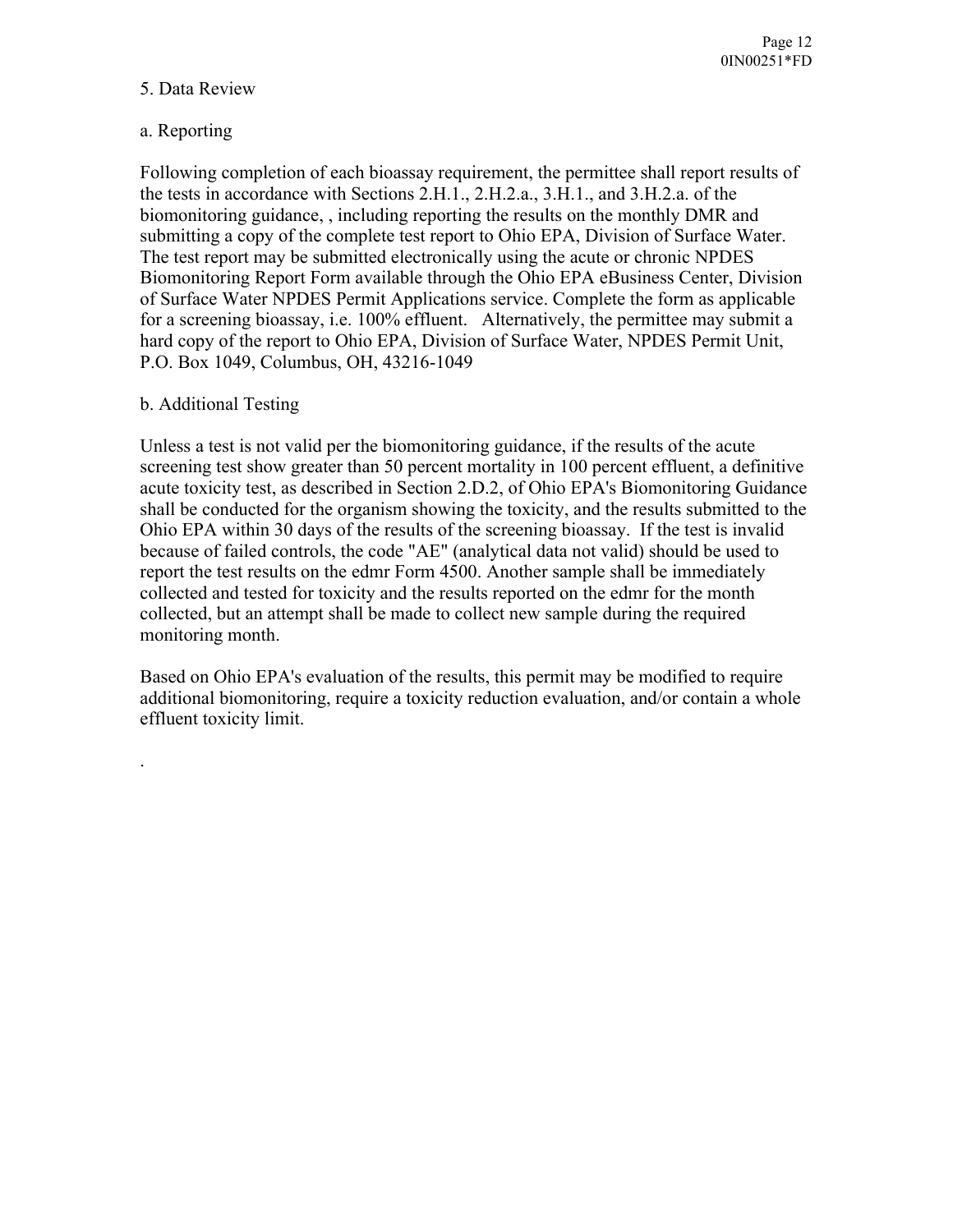## 5. Data Review

## a. Reporting

Following completion of each bioassay requirement, the permittee shall report results of the tests in accordance with Sections 2.H.1., 2.H.2.a., 3.H.1., and 3.H.2.a. of the biomonitoring guidance, , including reporting the results on the monthly DMR and submitting a copy of the complete test report to Ohio EPA, Division of Surface Water. The test report may be submitted electronically using the acute or chronic NPDES Biomonitoring Report Form available through the Ohio EPA eBusiness Center, Division of Surface Water NPDES Permit Applications service. Complete the form as applicable for a screening bioassay, i.e. 100% effluent. Alternatively, the permittee may submit a hard copy of the report to Ohio EPA, Division of Surface Water, NPDES Permit Unit, P.O. Box 1049, Columbus, OH, 43216-1049

## b. Additional Testing

.

Unless a test is not valid per the biomonitoring guidance, if the results of the acute screening test show greater than 50 percent mortality in 100 percent effluent, a definitive acute toxicity test, as described in Section 2.D.2, of Ohio EPA's Biomonitoring Guidance shall be conducted for the organism showing the toxicity, and the results submitted to the Ohio EPA within 30 days of the results of the screening bioassay. If the test is invalid because of failed controls, the code "AE" (analytical data not valid) should be used to report the test results on the edmr Form 4500. Another sample shall be immediately collected and tested for toxicity and the results reported on the edmr for the month collected, but an attempt shall be made to collect new sample during the required monitoring month.

Based on Ohio EPA's evaluation of the results, this permit may be modified to require additional biomonitoring, require a toxicity reduction evaluation, and/or contain a whole effluent toxicity limit.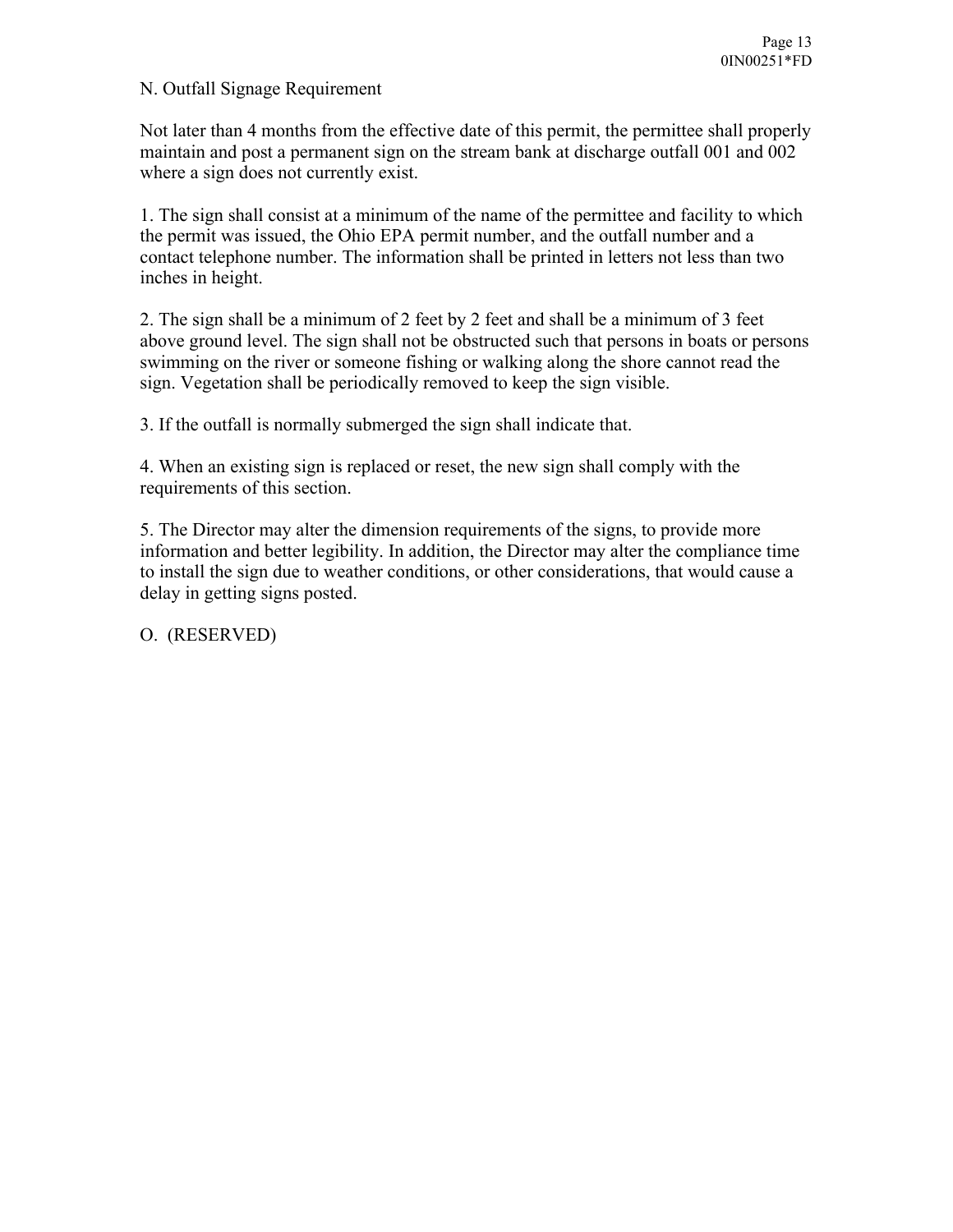N. Outfall Signage Requirement

Not later than 4 months from the effective date of this permit, the permittee shall properly maintain and post a permanent sign on the stream bank at discharge outfall 001 and 002 where a sign does not currently exist.

1. The sign shall consist at a minimum of the name of the permittee and facility to which the permit was issued, the Ohio EPA permit number, and the outfall number and a contact telephone number. The information shall be printed in letters not less than two inches in height.

2. The sign shall be a minimum of 2 feet by 2 feet and shall be a minimum of 3 feet above ground level. The sign shall not be obstructed such that persons in boats or persons swimming on the river or someone fishing or walking along the shore cannot read the sign. Vegetation shall be periodically removed to keep the sign visible.

3. If the outfall is normally submerged the sign shall indicate that.

4. When an existing sign is replaced or reset, the new sign shall comply with the requirements of this section.

5. The Director may alter the dimension requirements of the signs, to provide more information and better legibility. In addition, the Director may alter the compliance time to install the sign due to weather conditions, or other considerations, that would cause a delay in getting signs posted.

O. (RESERVED)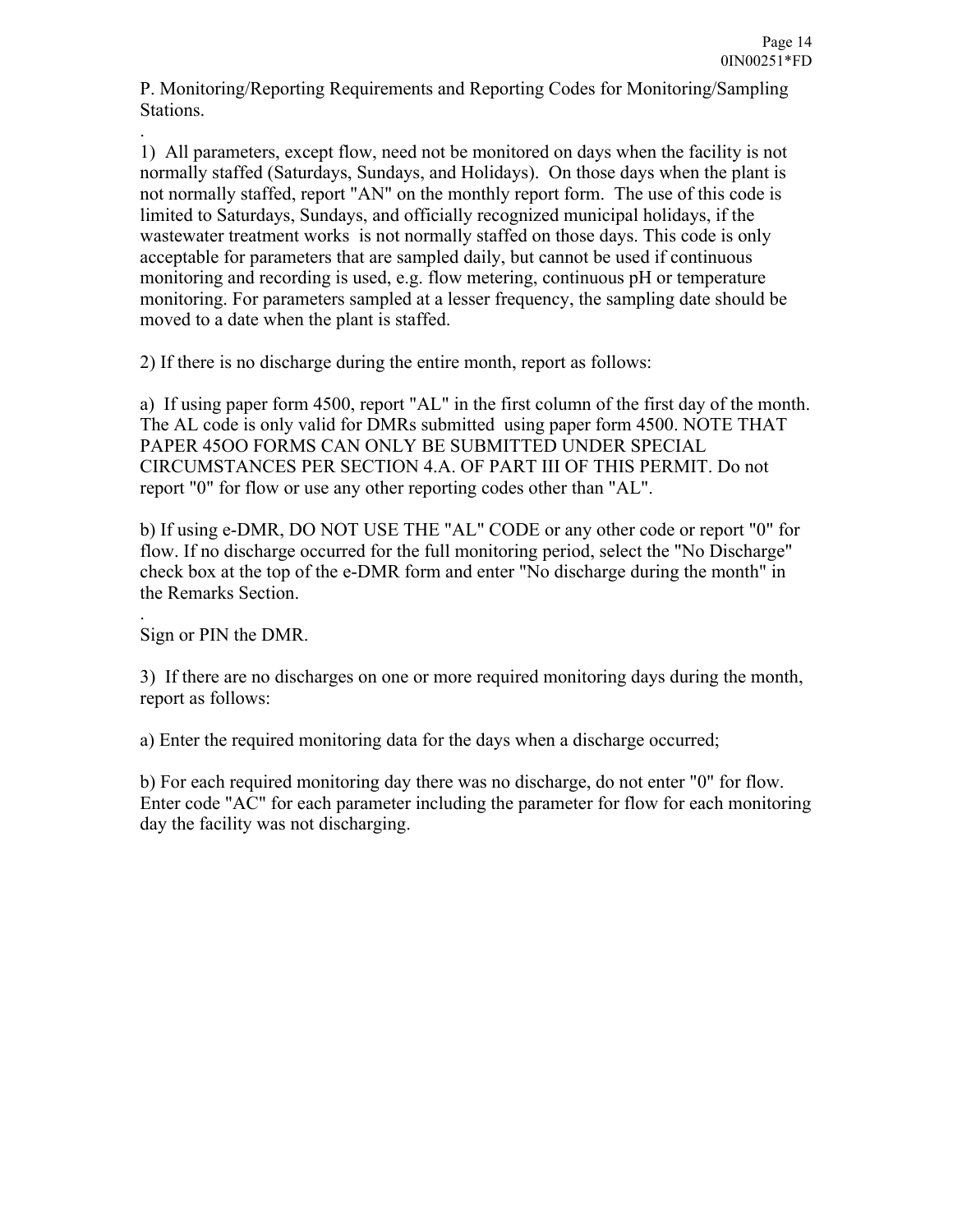P. Monitoring/Reporting Requirements and Reporting Codes for Monitoring/Sampling Stations.

. 1) All parameters, except flow, need not be monitored on days when the facility is not normally staffed (Saturdays, Sundays, and Holidays). On those days when the plant is not normally staffed, report "AN" on the monthly report form. The use of this code is limited to Saturdays, Sundays, and officially recognized municipal holidays, if the wastewater treatment works is not normally staffed on those days. This code is only acceptable for parameters that are sampled daily, but cannot be used if continuous monitoring and recording is used, e.g. flow metering, continuous pH or temperature monitoring. For parameters sampled at a lesser frequency, the sampling date should be moved to a date when the plant is staffed.

2) If there is no discharge during the entire month, report as follows:

a) If using paper form 4500, report "AL" in the first column of the first day of the month. The AL code is only valid for DMRs submitted using paper form 4500. NOTE THAT PAPER 45OO FORMS CAN ONLY BE SUBMITTED UNDER SPECIAL CIRCUMSTANCES PER SECTION 4.A. OF PART III OF THIS PERMIT. Do not report "0" for flow or use any other reporting codes other than "AL".

b) If using e-DMR, DO NOT USE THE "AL" CODE or any other code or report "0" for flow. If no discharge occurred for the full monitoring period, select the "No Discharge" check box at the top of the e-DMR form and enter "No discharge during the month" in the Remarks Section.

. Sign or PIN the DMR.

3) If there are no discharges on one or more required monitoring days during the month, report as follows:

a) Enter the required monitoring data for the days when a discharge occurred;

b) For each required monitoring day there was no discharge, do not enter "0" for flow. Enter code "AC" for each parameter including the parameter for flow for each monitoring day the facility was not discharging.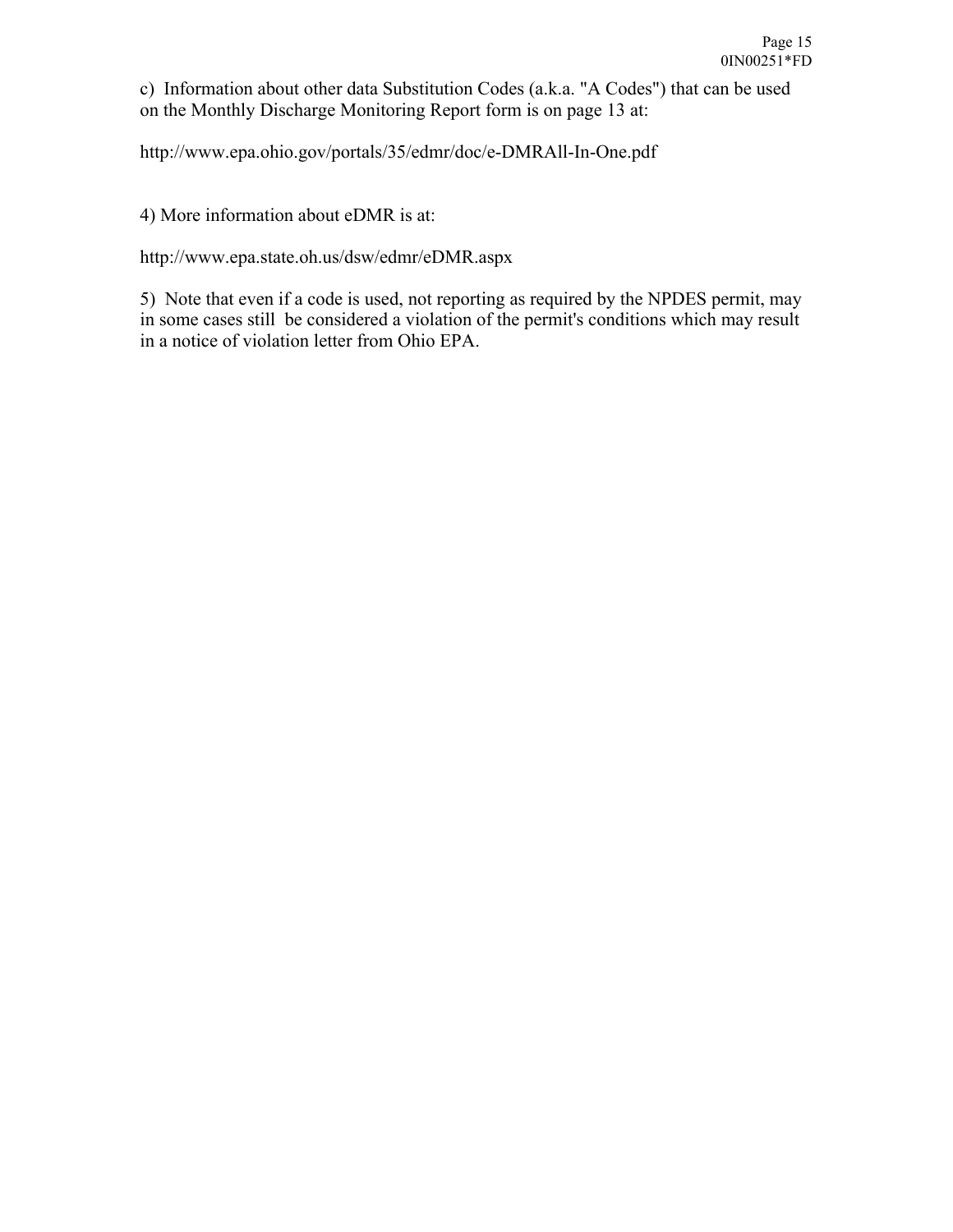c) Information about other data Substitution Codes (a.k.a. "A Codes") that can be used on the Monthly Discharge Monitoring Report form is on page 13 at:

http://www.epa.ohio.gov/portals/35/edmr/doc/e-DMRAll-In-One.pdf

4) More information about eDMR is at:

http://www.epa.state.oh.us/dsw/edmr/eDMR.aspx

5) Note that even if a code is used, not reporting as required by the NPDES permit, may in some cases still be considered a violation of the permit's conditions which may result in a notice of violation letter from Ohio EPA.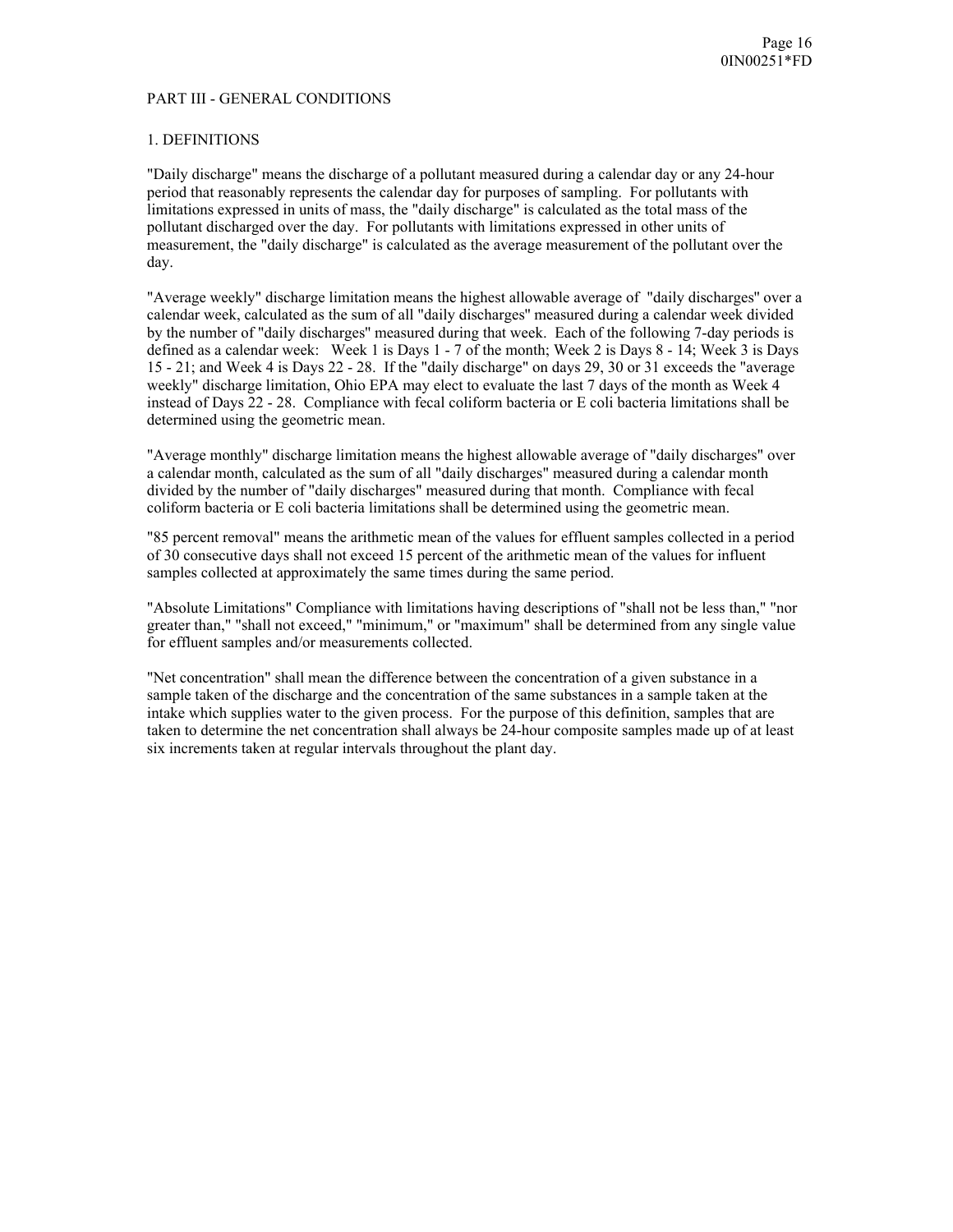#### PART III - GENERAL CONDITIONS

#### 1. DEFINITIONS

"Daily discharge" means the discharge of a pollutant measured during a calendar day or any 24-hour period that reasonably represents the calendar day for purposes of sampling. For pollutants with limitations expressed in units of mass, the "daily discharge" is calculated as the total mass of the pollutant discharged over the day. For pollutants with limitations expressed in other units of measurement, the "daily discharge" is calculated as the average measurement of the pollutant over the day.

"Average weekly" discharge limitation means the highest allowable average of "daily discharges'' over a calendar week, calculated as the sum of all "daily discharges'' measured during a calendar week divided by the number of "daily discharges'' measured during that week. Each of the following 7-day periods is defined as a calendar week: Week 1 is Days 1 - 7 of the month; Week 2 is Days 8 - 14; Week 3 is Days 15 - 21; and Week 4 is Days 22 - 28. If the "daily discharge" on days 29, 30 or 31 exceeds the "average weekly" discharge limitation, Ohio EPA may elect to evaluate the last 7 days of the month as Week 4 instead of Days 22 - 28. Compliance with fecal coliform bacteria or E coli bacteria limitations shall be determined using the geometric mean.

"Average monthly" discharge limitation means the highest allowable average of "daily discharges" over a calendar month, calculated as the sum of all "daily discharges" measured during a calendar month divided by the number of "daily discharges" measured during that month. Compliance with fecal coliform bacteria or E coli bacteria limitations shall be determined using the geometric mean.

"85 percent removal" means the arithmetic mean of the values for effluent samples collected in a period of 30 consecutive days shall not exceed 15 percent of the arithmetic mean of the values for influent samples collected at approximately the same times during the same period.

"Absolute Limitations" Compliance with limitations having descriptions of "shall not be less than," "nor greater than," "shall not exceed," "minimum," or "maximum" shall be determined from any single value for effluent samples and/or measurements collected.

"Net concentration" shall mean the difference between the concentration of a given substance in a sample taken of the discharge and the concentration of the same substances in a sample taken at the intake which supplies water to the given process. For the purpose of this definition, samples that are taken to determine the net concentration shall always be 24-hour composite samples made up of at least six increments taken at regular intervals throughout the plant day.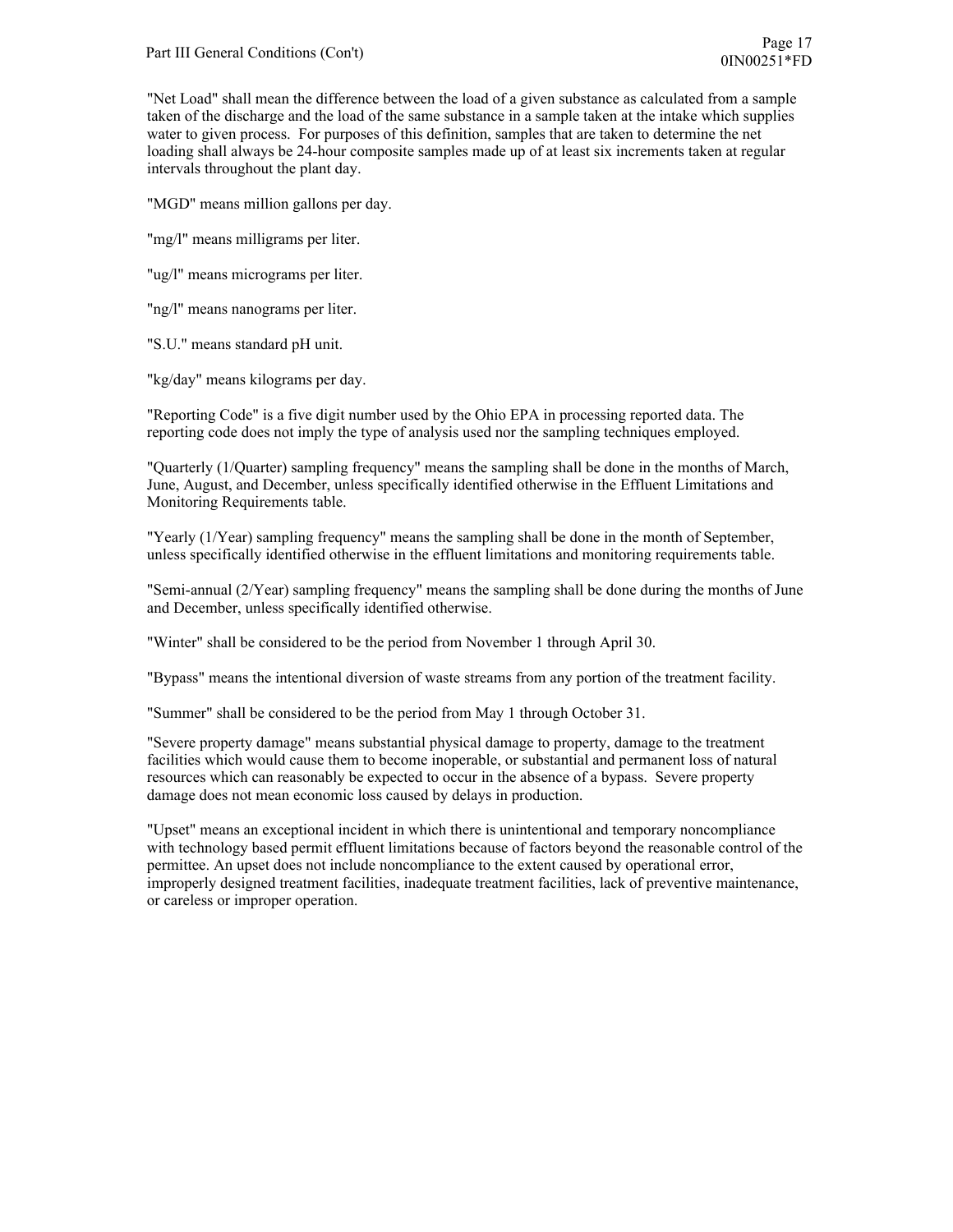"Net Load" shall mean the difference between the load of a given substance as calculated from a sample taken of the discharge and the load of the same substance in a sample taken at the intake which supplies water to given process. For purposes of this definition, samples that are taken to determine the net loading shall always be 24-hour composite samples made up of at least six increments taken at regular intervals throughout the plant day.

"MGD" means million gallons per day.

"mg/l" means milligrams per liter.

"ug/l" means micrograms per liter.

"ng/l" means nanograms per liter.

"S.U." means standard pH unit.

"kg/day" means kilograms per day.

"Reporting Code" is a five digit number used by the Ohio EPA in processing reported data. The reporting code does not imply the type of analysis used nor the sampling techniques employed.

"Quarterly (1/Quarter) sampling frequency" means the sampling shall be done in the months of March, June, August, and December, unless specifically identified otherwise in the Effluent Limitations and Monitoring Requirements table.

"Yearly (1/Year) sampling frequency" means the sampling shall be done in the month of September, unless specifically identified otherwise in the effluent limitations and monitoring requirements table.

"Semi-annual (2/Year) sampling frequency" means the sampling shall be done during the months of June and December, unless specifically identified otherwise.

"Winter" shall be considered to be the period from November 1 through April 30.

"Bypass" means the intentional diversion of waste streams from any portion of the treatment facility.

"Summer" shall be considered to be the period from May 1 through October 31.

"Severe property damage" means substantial physical damage to property, damage to the treatment facilities which would cause them to become inoperable, or substantial and permanent loss of natural resources which can reasonably be expected to occur in the absence of a bypass. Severe property damage does not mean economic loss caused by delays in production.

"Upset" means an exceptional incident in which there is unintentional and temporary noncompliance with technology based permit effluent limitations because of factors beyond the reasonable control of the permittee. An upset does not include noncompliance to the extent caused by operational error, improperly designed treatment facilities, inadequate treatment facilities, lack of preventive maintenance, or careless or improper operation.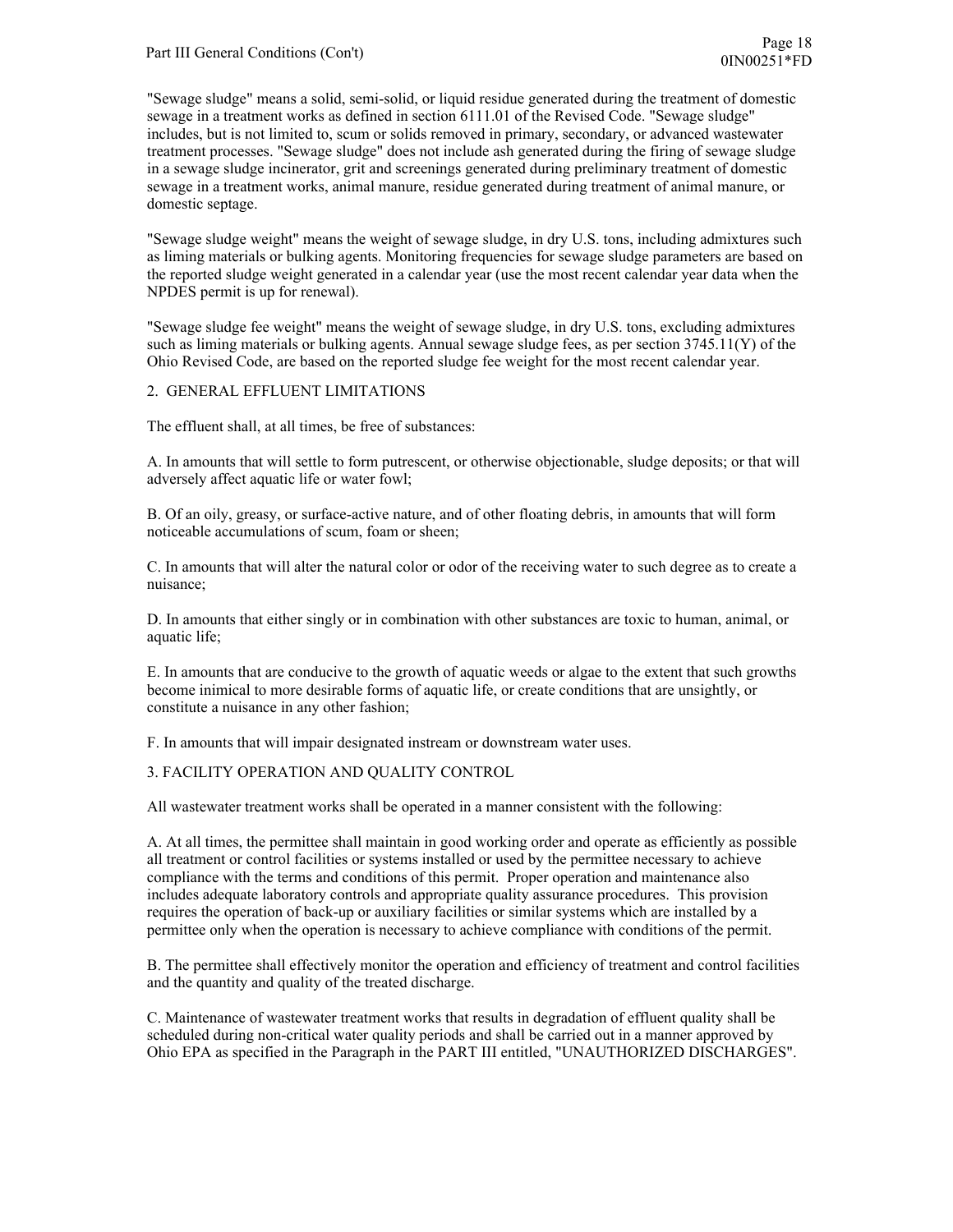"Sewage sludge" means a solid, semi-solid, or liquid residue generated during the treatment of domestic sewage in a treatment works as defined in section 6111.01 of the Revised Code. "Sewage sludge" includes, but is not limited to, scum or solids removed in primary, secondary, or advanced wastewater treatment processes. "Sewage sludge" does not include ash generated during the firing of sewage sludge in a sewage sludge incinerator, grit and screenings generated during preliminary treatment of domestic sewage in a treatment works, animal manure, residue generated during treatment of animal manure, or domestic septage.

"Sewage sludge weight" means the weight of sewage sludge, in dry U.S. tons, including admixtures such as liming materials or bulking agents. Monitoring frequencies for sewage sludge parameters are based on the reported sludge weight generated in a calendar year (use the most recent calendar year data when the NPDES permit is up for renewal).

"Sewage sludge fee weight" means the weight of sewage sludge, in dry U.S. tons, excluding admixtures such as liming materials or bulking agents. Annual sewage sludge fees, as per section 3745.11(Y) of the Ohio Revised Code, are based on the reported sludge fee weight for the most recent calendar year.

#### 2. GENERAL EFFLUENT LIMITATIONS

The effluent shall, at all times, be free of substances:

A. In amounts that will settle to form putrescent, or otherwise objectionable, sludge deposits; or that will adversely affect aquatic life or water fowl;

B. Of an oily, greasy, or surface-active nature, and of other floating debris, in amounts that will form noticeable accumulations of scum, foam or sheen;

C. In amounts that will alter the natural color or odor of the receiving water to such degree as to create a nuisance;

D. In amounts that either singly or in combination with other substances are toxic to human, animal, or aquatic life;

E. In amounts that are conducive to the growth of aquatic weeds or algae to the extent that such growths become inimical to more desirable forms of aquatic life, or create conditions that are unsightly, or constitute a nuisance in any other fashion;

F. In amounts that will impair designated instream or downstream water uses.

### 3. FACILITY OPERATION AND QUALITY CONTROL

All wastewater treatment works shall be operated in a manner consistent with the following:

A. At all times, the permittee shall maintain in good working order and operate as efficiently as possible all treatment or control facilities or systems installed or used by the permittee necessary to achieve compliance with the terms and conditions of this permit. Proper operation and maintenance also includes adequate laboratory controls and appropriate quality assurance procedures. This provision requires the operation of back-up or auxiliary facilities or similar systems which are installed by a permittee only when the operation is necessary to achieve compliance with conditions of the permit.

B. The permittee shall effectively monitor the operation and efficiency of treatment and control facilities and the quantity and quality of the treated discharge.

C. Maintenance of wastewater treatment works that results in degradation of effluent quality shall be scheduled during non-critical water quality periods and shall be carried out in a manner approved by Ohio EPA as specified in the Paragraph in the PART III entitled, "UNAUTHORIZED DISCHARGES".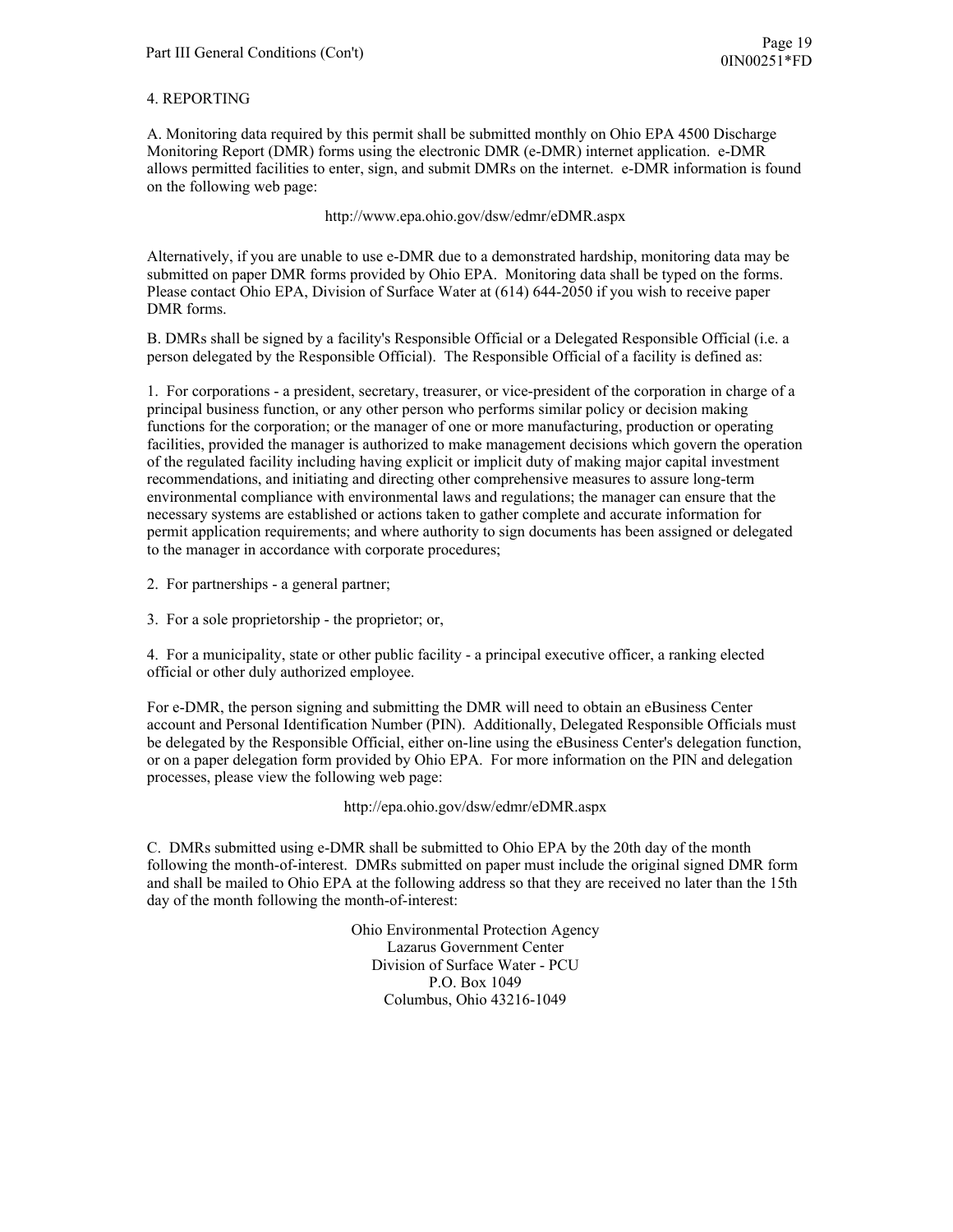#### 4. REPORTING

A. Monitoring data required by this permit shall be submitted monthly on Ohio EPA 4500 Discharge Monitoring Report (DMR) forms using the electronic DMR (e-DMR) internet application. e-DMR allows permitted facilities to enter, sign, and submit DMRs on the internet. e-DMR information is found on the following web page:

http://www.epa.ohio.gov/dsw/edmr/eDMR.aspx

Alternatively, if you are unable to use e-DMR due to a demonstrated hardship, monitoring data may be submitted on paper DMR forms provided by Ohio EPA. Monitoring data shall be typed on the forms. Please contact Ohio EPA, Division of Surface Water at (614) 644-2050 if you wish to receive paper DMR forms.

B. DMRs shall be signed by a facility's Responsible Official or a Delegated Responsible Official (i.e. a person delegated by the Responsible Official). The Responsible Official of a facility is defined as:

1. For corporations - a president, secretary, treasurer, or vice-president of the corporation in charge of a principal business function, or any other person who performs similar policy or decision making functions for the corporation; or the manager of one or more manufacturing, production or operating facilities, provided the manager is authorized to make management decisions which govern the operation of the regulated facility including having explicit or implicit duty of making major capital investment recommendations, and initiating and directing other comprehensive measures to assure long-term environmental compliance with environmental laws and regulations; the manager can ensure that the necessary systems are established or actions taken to gather complete and accurate information for permit application requirements; and where authority to sign documents has been assigned or delegated to the manager in accordance with corporate procedures;

2. For partnerships - a general partner;

3. For a sole proprietorship - the proprietor; or,

4. For a municipality, state or other public facility - a principal executive officer, a ranking elected official or other duly authorized employee.

For e-DMR, the person signing and submitting the DMR will need to obtain an eBusiness Center account and Personal Identification Number (PIN). Additionally, Delegated Responsible Officials must be delegated by the Responsible Official, either on-line using the eBusiness Center's delegation function, or on a paper delegation form provided by Ohio EPA. For more information on the PIN and delegation processes, please view the following web page:

http://epa.ohio.gov/dsw/edmr/eDMR.aspx

C. DMRs submitted using e-DMR shall be submitted to Ohio EPA by the 20th day of the month following the month-of-interest. DMRs submitted on paper must include the original signed DMR form and shall be mailed to Ohio EPA at the following address so that they are received no later than the 15th day of the month following the month-of-interest:

> Ohio Environmental Protection Agency Lazarus Government Center Division of Surface Water - PCU P.O. Box 1049 Columbus, Ohio 43216-1049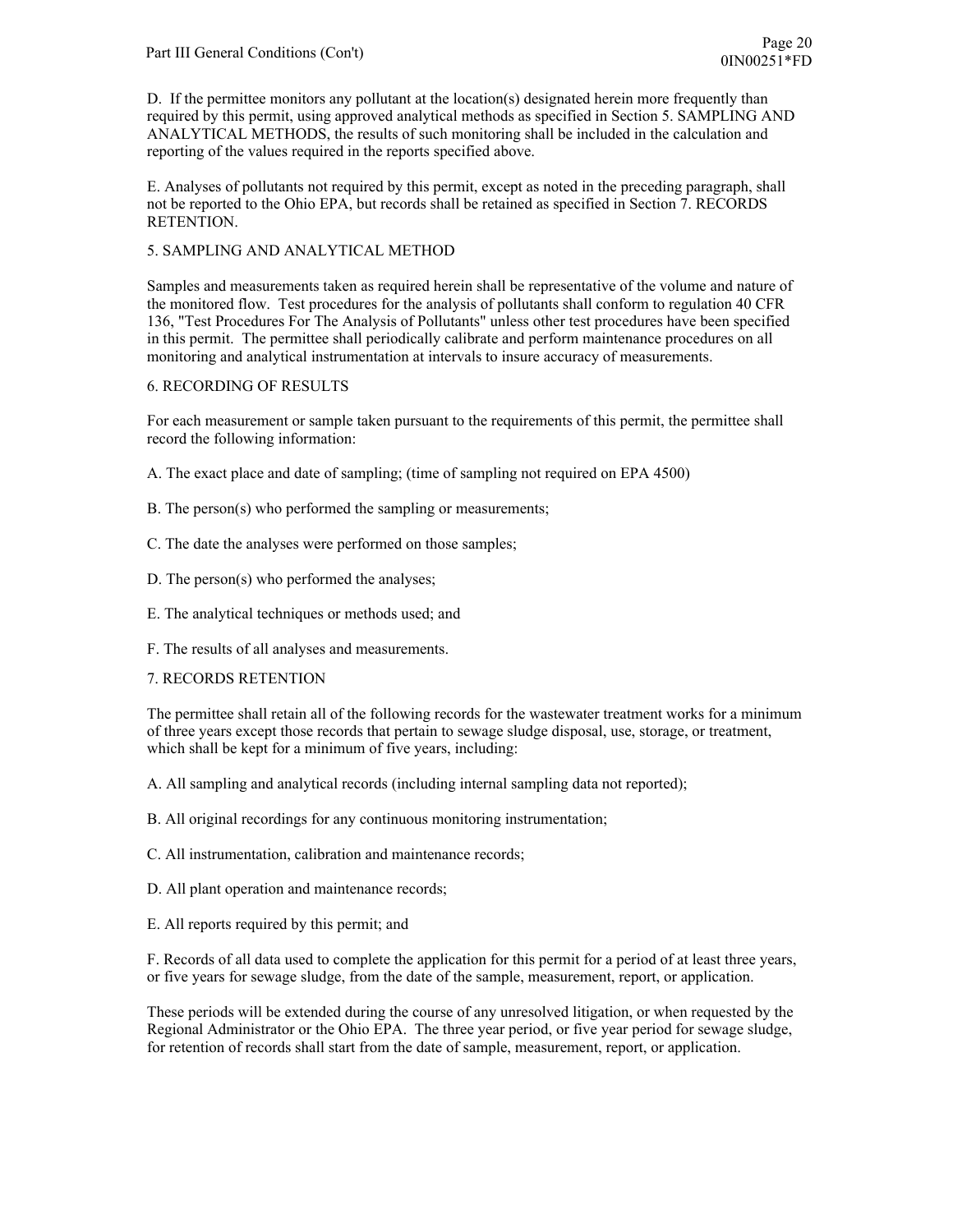D. If the permittee monitors any pollutant at the location(s) designated herein more frequently than required by this permit, using approved analytical methods as specified in Section 5. SAMPLING AND ANALYTICAL METHODS, the results of such monitoring shall be included in the calculation and reporting of the values required in the reports specified above.

E. Analyses of pollutants not required by this permit, except as noted in the preceding paragraph, shall not be reported to the Ohio EPA, but records shall be retained as specified in Section 7. RECORDS RETENTION.

5. SAMPLING AND ANALYTICAL METHOD

Samples and measurements taken as required herein shall be representative of the volume and nature of the monitored flow. Test procedures for the analysis of pollutants shall conform to regulation 40 CFR 136, "Test Procedures For The Analysis of Pollutants" unless other test procedures have been specified in this permit. The permittee shall periodically calibrate and perform maintenance procedures on all monitoring and analytical instrumentation at intervals to insure accuracy of measurements.

### 6. RECORDING OF RESULTS

For each measurement or sample taken pursuant to the requirements of this permit, the permittee shall record the following information:

A. The exact place and date of sampling; (time of sampling not required on EPA 4500)

- B. The person(s) who performed the sampling or measurements;
- C. The date the analyses were performed on those samples;
- D. The person(s) who performed the analyses;
- E. The analytical techniques or methods used; and
- F. The results of all analyses and measurements.

## 7. RECORDS RETENTION

The permittee shall retain all of the following records for the wastewater treatment works for a minimum of three years except those records that pertain to sewage sludge disposal, use, storage, or treatment, which shall be kept for a minimum of five years, including:

A. All sampling and analytical records (including internal sampling data not reported);

B. All original recordings for any continuous monitoring instrumentation;

C. All instrumentation, calibration and maintenance records;

- D. All plant operation and maintenance records;
- E. All reports required by this permit; and

F. Records of all data used to complete the application for this permit for a period of at least three years, or five years for sewage sludge, from the date of the sample, measurement, report, or application.

These periods will be extended during the course of any unresolved litigation, or when requested by the Regional Administrator or the Ohio EPA. The three year period, or five year period for sewage sludge, for retention of records shall start from the date of sample, measurement, report, or application.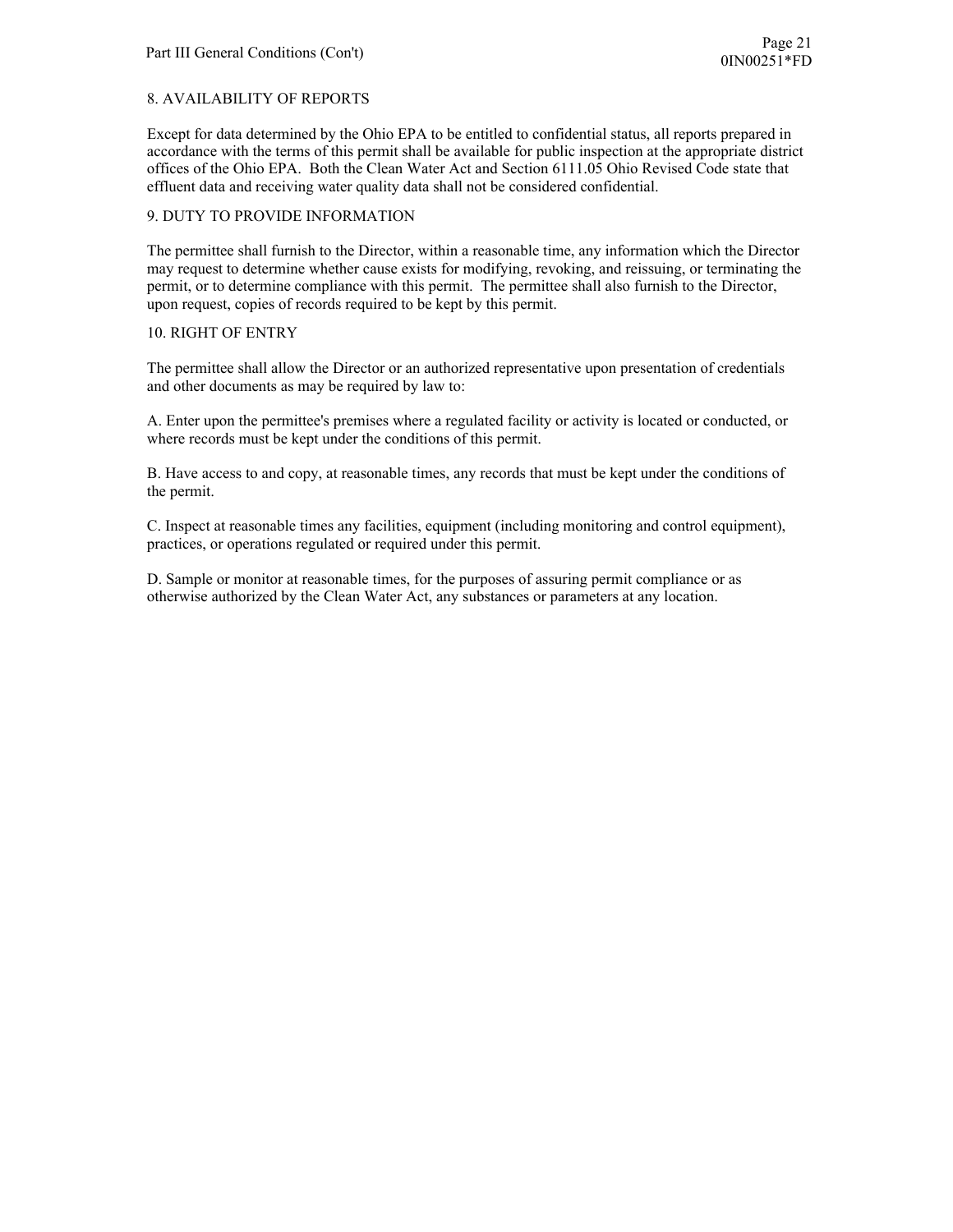### 8. AVAILABILITY OF REPORTS

Except for data determined by the Ohio EPA to be entitled to confidential status, all reports prepared in accordance with the terms of this permit shall be available for public inspection at the appropriate district offices of the Ohio EPA. Both the Clean Water Act and Section 6111.05 Ohio Revised Code state that effluent data and receiving water quality data shall not be considered confidential.

#### 9. DUTY TO PROVIDE INFORMATION

The permittee shall furnish to the Director, within a reasonable time, any information which the Director may request to determine whether cause exists for modifying, revoking, and reissuing, or terminating the permit, or to determine compliance with this permit. The permittee shall also furnish to the Director, upon request, copies of records required to be kept by this permit.

### 10. RIGHT OF ENTRY

The permittee shall allow the Director or an authorized representative upon presentation of credentials and other documents as may be required by law to:

A. Enter upon the permittee's premises where a regulated facility or activity is located or conducted, or where records must be kept under the conditions of this permit.

B. Have access to and copy, at reasonable times, any records that must be kept under the conditions of the permit.

C. Inspect at reasonable times any facilities, equipment (including monitoring and control equipment), practices, or operations regulated or required under this permit.

D. Sample or monitor at reasonable times, for the purposes of assuring permit compliance or as otherwise authorized by the Clean Water Act, any substances or parameters at any location.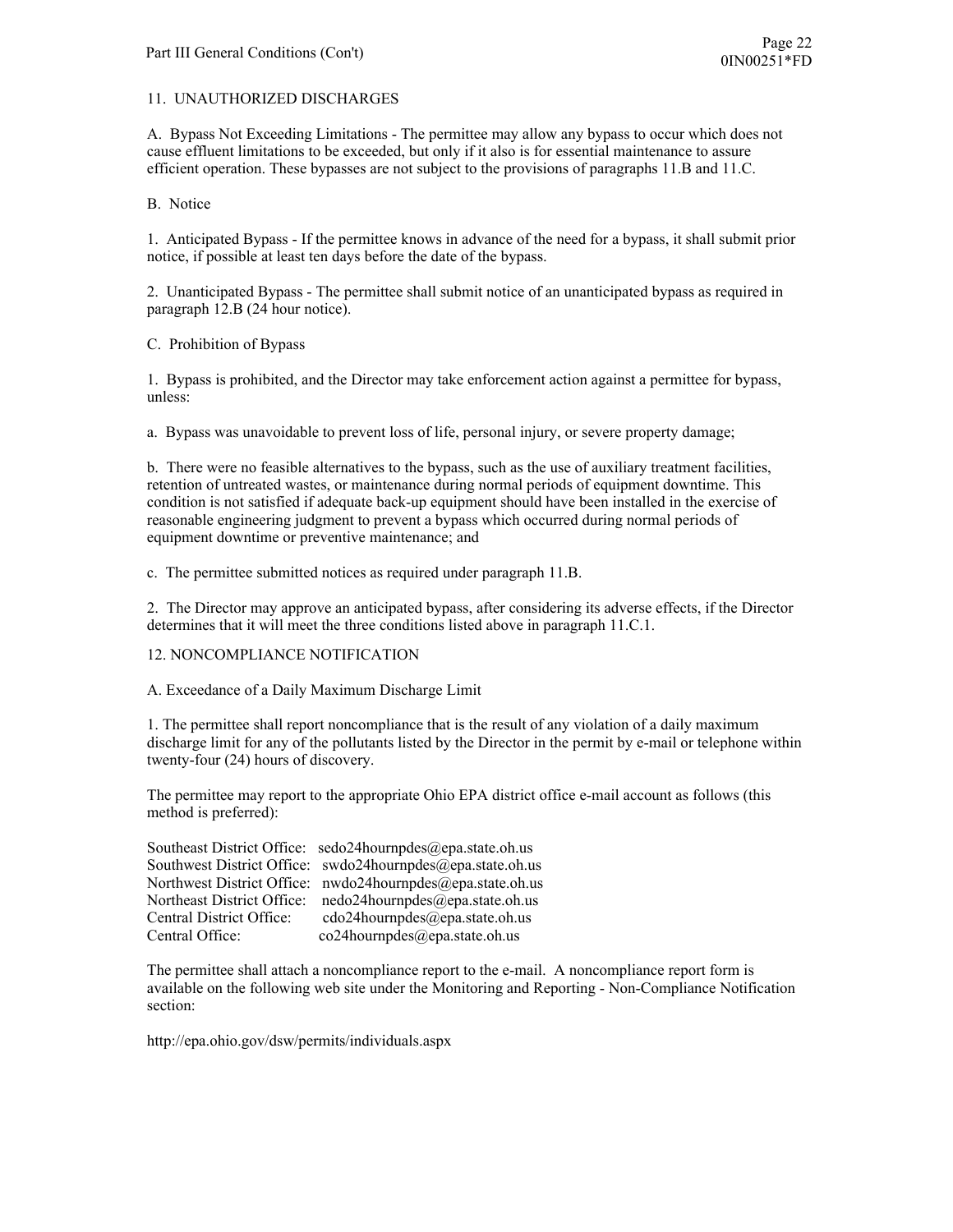### 11. UNAUTHORIZED DISCHARGES

A. Bypass Not Exceeding Limitations - The permittee may allow any bypass to occur which does not cause effluent limitations to be exceeded, but only if it also is for essential maintenance to assure efficient operation. These bypasses are not subject to the provisions of paragraphs 11.B and 11.C.

B. Notice

1. Anticipated Bypass - If the permittee knows in advance of the need for a bypass, it shall submit prior notice, if possible at least ten days before the date of the bypass.

2. Unanticipated Bypass - The permittee shall submit notice of an unanticipated bypass as required in paragraph 12.B (24 hour notice).

C. Prohibition of Bypass

1. Bypass is prohibited, and the Director may take enforcement action against a permittee for bypass, unless:

a. Bypass was unavoidable to prevent loss of life, personal injury, or severe property damage;

b. There were no feasible alternatives to the bypass, such as the use of auxiliary treatment facilities, retention of untreated wastes, or maintenance during normal periods of equipment downtime. This condition is not satisfied if adequate back-up equipment should have been installed in the exercise of reasonable engineering judgment to prevent a bypass which occurred during normal periods of equipment downtime or preventive maintenance; and

c. The permittee submitted notices as required under paragraph 11.B.

2. The Director may approve an anticipated bypass, after considering its adverse effects, if the Director determines that it will meet the three conditions listed above in paragraph 11.C.1.

## 12. NONCOMPLIANCE NOTIFICATION

A. Exceedance of a Daily Maximum Discharge Limit

1. The permittee shall report noncompliance that is the result of any violation of a daily maximum discharge limit for any of the pollutants listed by the Director in the permit by e-mail or telephone within twenty-four (24) hours of discovery.

The permittee may report to the appropriate Ohio EPA district office e-mail account as follows (this method is preferred):

|                            | Southeast District Office: sedo24hournpdes@epa.state.oh.us |
|----------------------------|------------------------------------------------------------|
|                            | Southwest District Office: swdo24hournpdes@epa.state.oh.us |
|                            | Northwest District Office: nwdo24hournpdes@epa.state.oh.us |
| Northeast District Office: | nedo24hournpdes@epa.state.oh.us                            |
| Central District Office:   | cdo24hournpdes@epa.state.oh.us                             |
| Central Office:            | co24hournpdes@epa.state.oh.us                              |

The permittee shall attach a noncompliance report to the e-mail. A noncompliance report form is available on the following web site under the Monitoring and Reporting - Non-Compliance Notification section:

http://epa.ohio.gov/dsw/permits/individuals.aspx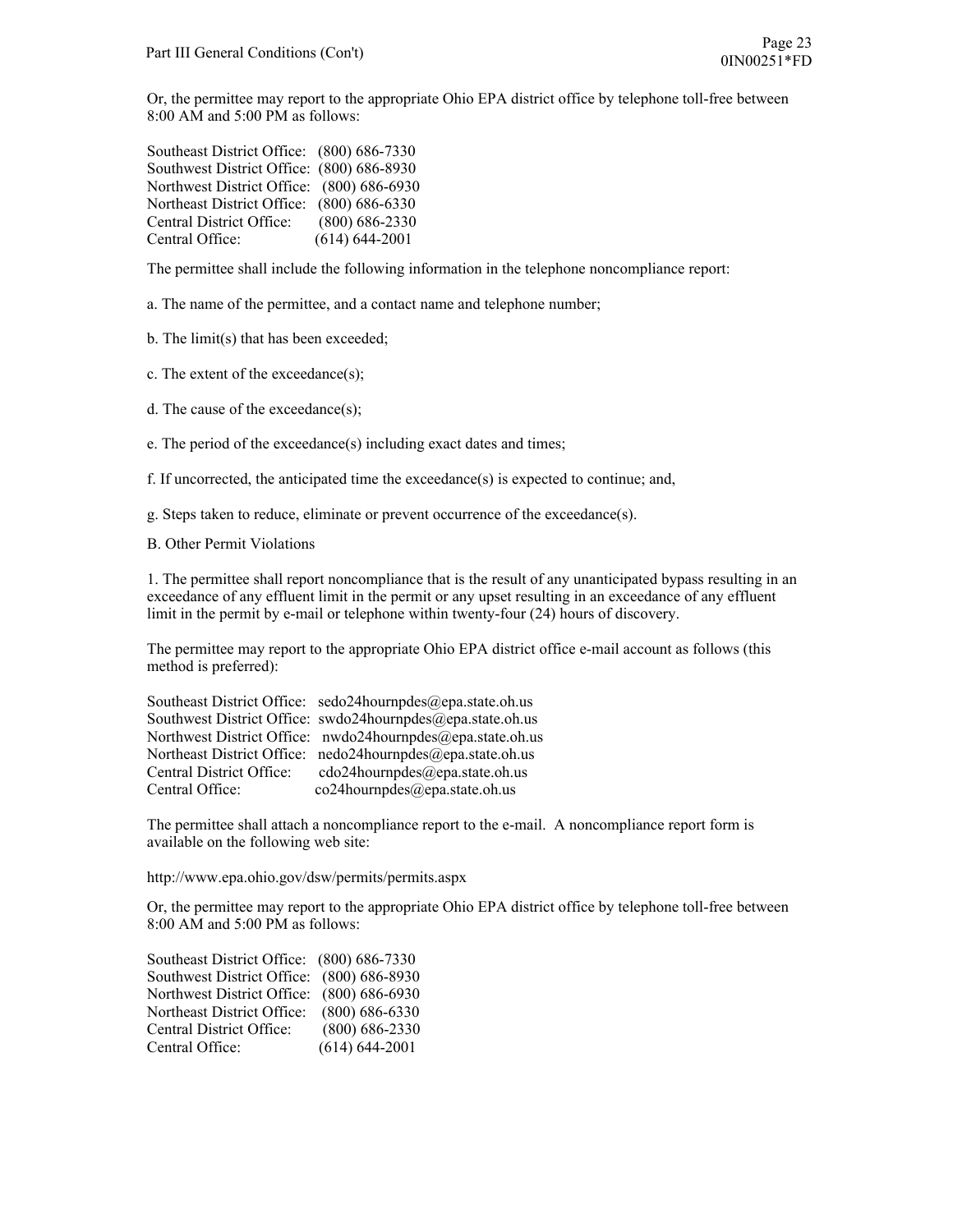Or, the permittee may report to the appropriate Ohio EPA district office by telephone toll-free between 8:00 AM and 5:00 PM as follows:

| Southeast District Office: (800) 686-7330 |                    |
|-------------------------------------------|--------------------|
| Southwest District Office: (800) 686-8930 |                    |
| Northwest District Office: (800) 686-6930 |                    |
| Northeast District Office: (800) 686-6330 |                    |
| Central District Office:                  | $(800) 686 - 2330$ |
| Central Office:                           | $(614) 644 - 2001$ |

The permittee shall include the following information in the telephone noncompliance report:

a. The name of the permittee, and a contact name and telephone number;

b. The limit(s) that has been exceeded;

c. The extent of the exceedance(s);

d. The cause of the exceedance(s);

e. The period of the exceedance(s) including exact dates and times;

f. If uncorrected, the anticipated time the exceedance(s) is expected to continue; and,

g. Steps taken to reduce, eliminate or prevent occurrence of the exceedance(s).

B. Other Permit Violations

1. The permittee shall report noncompliance that is the result of any unanticipated bypass resulting in an exceedance of any effluent limit in the permit or any upset resulting in an exceedance of any effluent limit in the permit by e-mail or telephone within twenty-four (24) hours of discovery.

The permittee may report to the appropriate Ohio EPA district office e-mail account as follows (this method is preferred):

|                          | Southeast District Office: sedo24hournpdes@epa.state.oh.us |
|--------------------------|------------------------------------------------------------|
|                          | Southwest District Office: swdo24hournpdes@epa.state.oh.us |
|                          | Northwest District Office: nwdo24hournpdes@epa.state.oh.us |
|                          | Northeast District Office: nedo24hournpdes@epa.state.oh.us |
| Central District Office: | cdo24hournpdes@epa.state.oh.us                             |
| Central Office:          | co24hournpdes@epa.state.oh.us                              |

The permittee shall attach a noncompliance report to the e-mail. A noncompliance report form is available on the following web site:

http://www.epa.ohio.gov/dsw/permits/permits.aspx

Or, the permittee may report to the appropriate Ohio EPA district office by telephone toll-free between 8:00 AM and 5:00 PM as follows:

| Southeast District Office: (800) 686-7330      |
|------------------------------------------------|
| Southwest District Office: (800) 686-8930      |
| Northwest District Office: (800) 686-6930      |
| $(800)$ 686-6330<br>Northeast District Office: |
| $(800) 686 - 2330$                             |
| $(614) 644 - 2001$                             |
|                                                |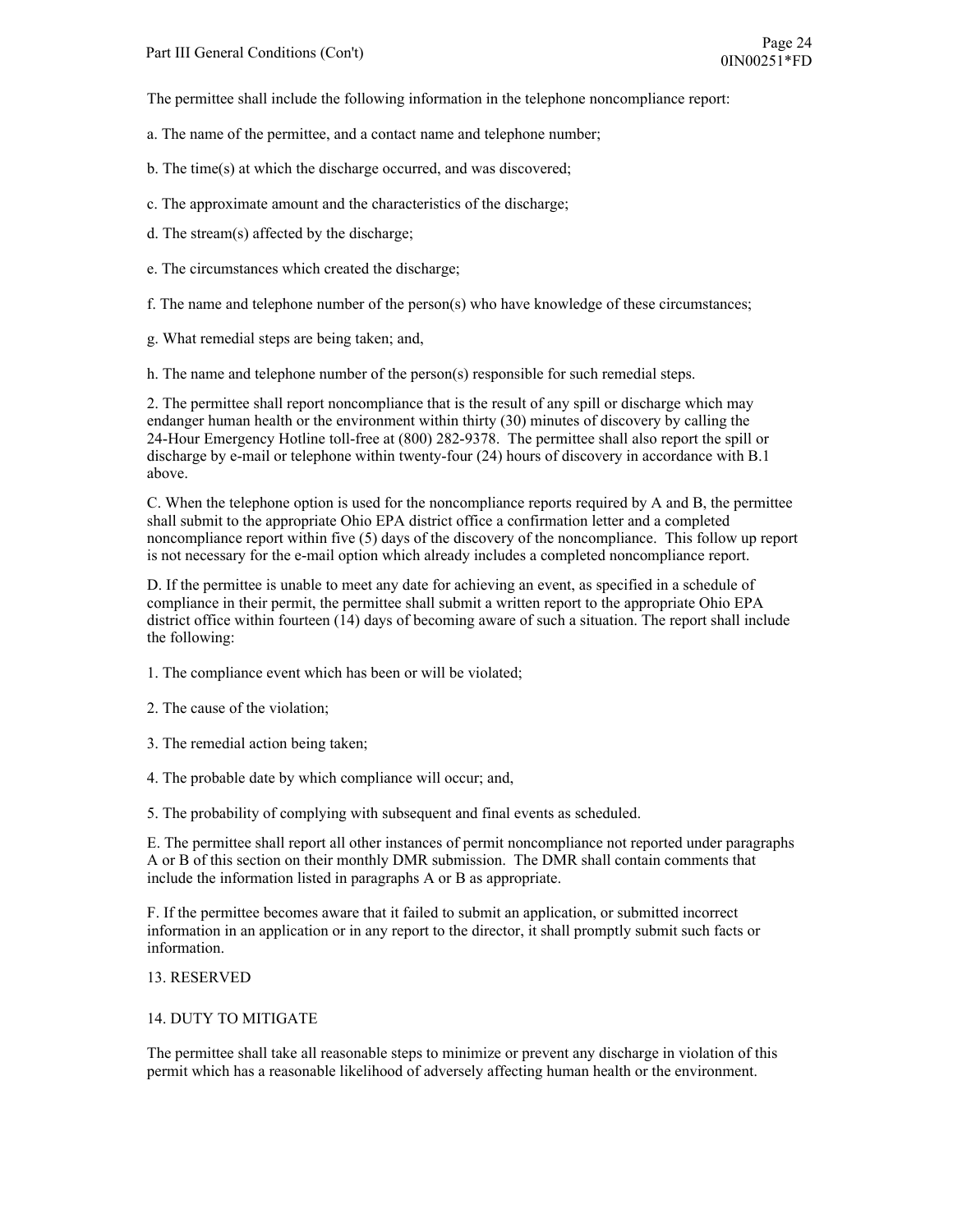The permittee shall include the following information in the telephone noncompliance report:

- a. The name of the permittee, and a contact name and telephone number;
- b. The time(s) at which the discharge occurred, and was discovered;
- c. The approximate amount and the characteristics of the discharge;
- d. The stream(s) affected by the discharge;
- e. The circumstances which created the discharge;
- f. The name and telephone number of the person(s) who have knowledge of these circumstances;
- g. What remedial steps are being taken; and,

h. The name and telephone number of the person(s) responsible for such remedial steps.

2. The permittee shall report noncompliance that is the result of any spill or discharge which may endanger human health or the environment within thirty (30) minutes of discovery by calling the 24-Hour Emergency Hotline toll-free at (800) 282-9378. The permittee shall also report the spill or discharge by e-mail or telephone within twenty-four (24) hours of discovery in accordance with B.1 above.

C. When the telephone option is used for the noncompliance reports required by A and B, the permittee shall submit to the appropriate Ohio EPA district office a confirmation letter and a completed noncompliance report within five (5) days of the discovery of the noncompliance. This follow up report is not necessary for the e-mail option which already includes a completed noncompliance report.

D. If the permittee is unable to meet any date for achieving an event, as specified in a schedule of compliance in their permit, the permittee shall submit a written report to the appropriate Ohio EPA district office within fourteen (14) days of becoming aware of such a situation. The report shall include the following:

1. The compliance event which has been or will be violated;

2. The cause of the violation;

- 3. The remedial action being taken;
- 4. The probable date by which compliance will occur; and,

5. The probability of complying with subsequent and final events as scheduled.

E. The permittee shall report all other instances of permit noncompliance not reported under paragraphs A or B of this section on their monthly DMR submission. The DMR shall contain comments that include the information listed in paragraphs A or B as appropriate.

F. If the permittee becomes aware that it failed to submit an application, or submitted incorrect information in an application or in any report to the director, it shall promptly submit such facts or information.

#### 13. RESERVED

#### 14. DUTY TO MITIGATE

The permittee shall take all reasonable steps to minimize or prevent any discharge in violation of this permit which has a reasonable likelihood of adversely affecting human health or the environment.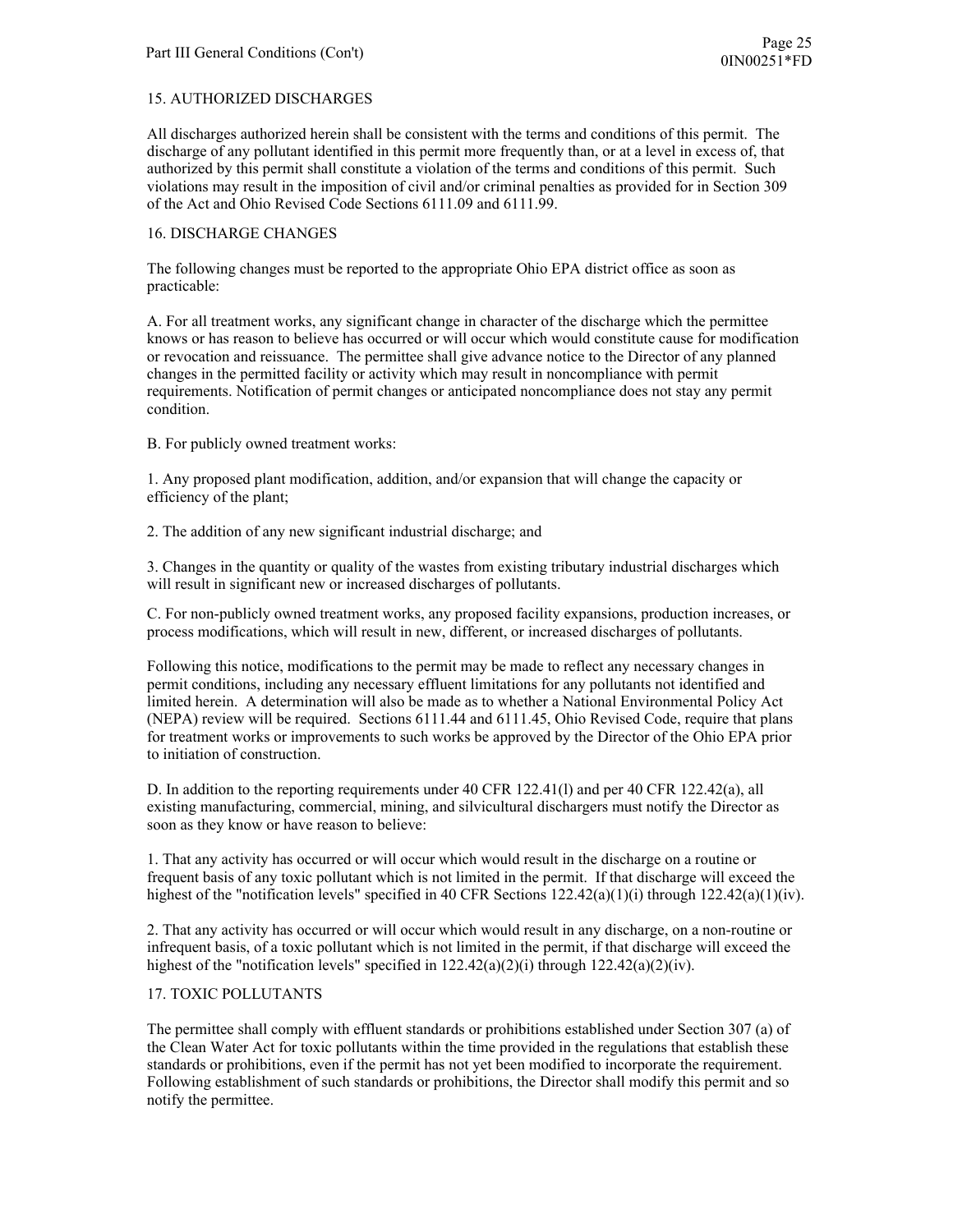### 15. AUTHORIZED DISCHARGES

All discharges authorized herein shall be consistent with the terms and conditions of this permit. The discharge of any pollutant identified in this permit more frequently than, or at a level in excess of, that authorized by this permit shall constitute a violation of the terms and conditions of this permit. Such violations may result in the imposition of civil and/or criminal penalties as provided for in Section 309 of the Act and Ohio Revised Code Sections 6111.09 and 6111.99.

#### 16. DISCHARGE CHANGES

The following changes must be reported to the appropriate Ohio EPA district office as soon as practicable:

A. For all treatment works, any significant change in character of the discharge which the permittee knows or has reason to believe has occurred or will occur which would constitute cause for modification or revocation and reissuance. The permittee shall give advance notice to the Director of any planned changes in the permitted facility or activity which may result in noncompliance with permit requirements. Notification of permit changes or anticipated noncompliance does not stay any permit condition.

B. For publicly owned treatment works:

1. Any proposed plant modification, addition, and/or expansion that will change the capacity or efficiency of the plant;

2. The addition of any new significant industrial discharge; and

3. Changes in the quantity or quality of the wastes from existing tributary industrial discharges which will result in significant new or increased discharges of pollutants.

C. For non-publicly owned treatment works, any proposed facility expansions, production increases, or process modifications, which will result in new, different, or increased discharges of pollutants.

Following this notice, modifications to the permit may be made to reflect any necessary changes in permit conditions, including any necessary effluent limitations for any pollutants not identified and limited herein. A determination will also be made as to whether a National Environmental Policy Act (NEPA) review will be required. Sections 6111.44 and 6111.45, Ohio Revised Code, require that plans for treatment works or improvements to such works be approved by the Director of the Ohio EPA prior to initiation of construction.

D. In addition to the reporting requirements under 40 CFR 122.41(l) and per 40 CFR 122.42(a), all existing manufacturing, commercial, mining, and silvicultural dischargers must notify the Director as soon as they know or have reason to believe:

1. That any activity has occurred or will occur which would result in the discharge on a routine or frequent basis of any toxic pollutant which is not limited in the permit. If that discharge will exceed the highest of the "notification levels" specified in 40 CFR Sections  $122.42(a)(1)(i)$  through  $122.42(a)(1)(iv)$ .

2. That any activity has occurred or will occur which would result in any discharge, on a non-routine or infrequent basis, of a toxic pollutant which is not limited in the permit, if that discharge will exceed the highest of the "notification levels" specified in  $122.42(a)(2)(i)$  through  $122.42(a)(2)(iv)$ .

### 17. TOXIC POLLUTANTS

The permittee shall comply with effluent standards or prohibitions established under Section 307 (a) of the Clean Water Act for toxic pollutants within the time provided in the regulations that establish these standards or prohibitions, even if the permit has not yet been modified to incorporate the requirement. Following establishment of such standards or prohibitions, the Director shall modify this permit and so notify the permittee.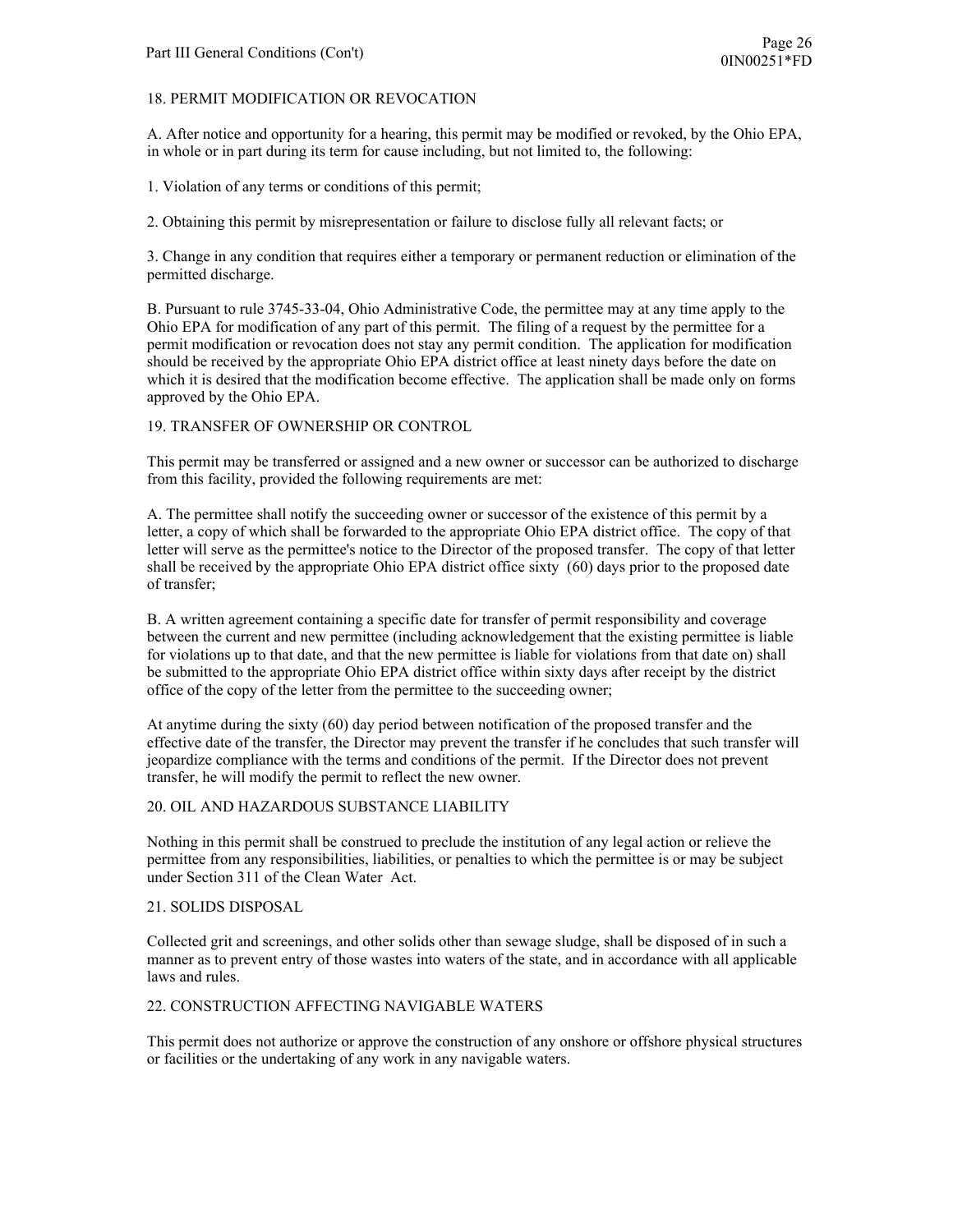#### 18. PERMIT MODIFICATION OR REVOCATION

A. After notice and opportunity for a hearing, this permit may be modified or revoked, by the Ohio EPA, in whole or in part during its term for cause including, but not limited to, the following:

1. Violation of any terms or conditions of this permit;

2. Obtaining this permit by misrepresentation or failure to disclose fully all relevant facts; or

3. Change in any condition that requires either a temporary or permanent reduction or elimination of the permitted discharge.

B. Pursuant to rule 3745-33-04, Ohio Administrative Code, the permittee may at any time apply to the Ohio EPA for modification of any part of this permit. The filing of a request by the permittee for a permit modification or revocation does not stay any permit condition. The application for modification should be received by the appropriate Ohio EPA district office at least ninety days before the date on which it is desired that the modification become effective. The application shall be made only on forms approved by the Ohio EPA.

#### 19. TRANSFER OF OWNERSHIP OR CONTROL

This permit may be transferred or assigned and a new owner or successor can be authorized to discharge from this facility, provided the following requirements are met:

A. The permittee shall notify the succeeding owner or successor of the existence of this permit by a letter, a copy of which shall be forwarded to the appropriate Ohio EPA district office. The copy of that letter will serve as the permittee's notice to the Director of the proposed transfer. The copy of that letter shall be received by the appropriate Ohio EPA district office sixty (60) days prior to the proposed date of transfer;

B. A written agreement containing a specific date for transfer of permit responsibility and coverage between the current and new permittee (including acknowledgement that the existing permittee is liable for violations up to that date, and that the new permittee is liable for violations from that date on) shall be submitted to the appropriate Ohio EPA district office within sixty days after receipt by the district office of the copy of the letter from the permittee to the succeeding owner;

At anytime during the sixty (60) day period between notification of the proposed transfer and the effective date of the transfer, the Director may prevent the transfer if he concludes that such transfer will jeopardize compliance with the terms and conditions of the permit. If the Director does not prevent transfer, he will modify the permit to reflect the new owner.

#### 20. OIL AND HAZARDOUS SUBSTANCE LIABILITY

Nothing in this permit shall be construed to preclude the institution of any legal action or relieve the permittee from any responsibilities, liabilities, or penalties to which the permittee is or may be subject under Section 311 of the Clean Water Act.

### 21. SOLIDS DISPOSAL

Collected grit and screenings, and other solids other than sewage sludge, shall be disposed of in such a manner as to prevent entry of those wastes into waters of the state, and in accordance with all applicable laws and rules.

#### 22. CONSTRUCTION AFFECTING NAVIGABLE WATERS

This permit does not authorize or approve the construction of any onshore or offshore physical structures or facilities or the undertaking of any work in any navigable waters.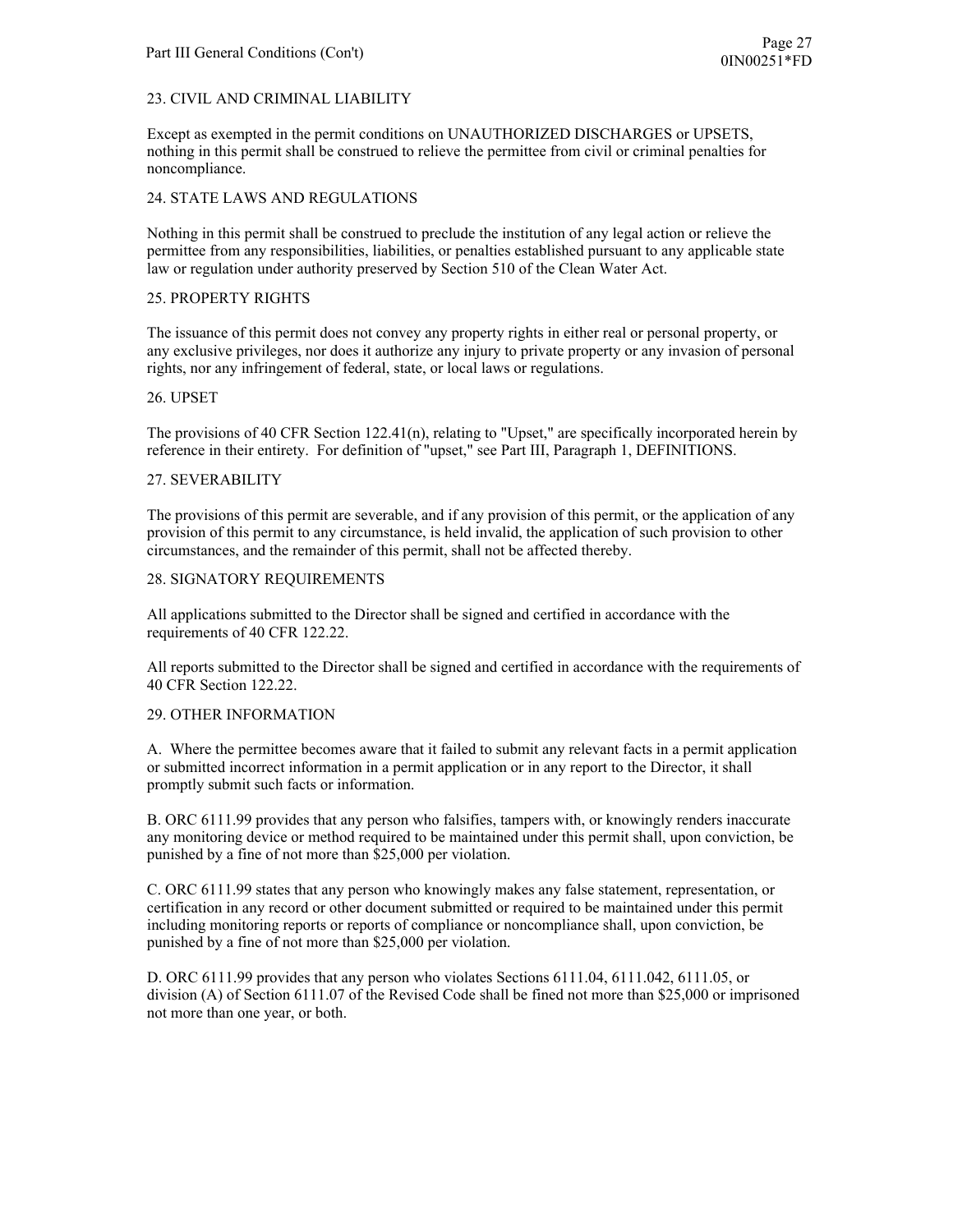### 23. CIVIL AND CRIMINAL LIABILITY

Except as exempted in the permit conditions on UNAUTHORIZED DISCHARGES or UPSETS, nothing in this permit shall be construed to relieve the permittee from civil or criminal penalties for noncompliance.

### 24. STATE LAWS AND REGULATIONS

Nothing in this permit shall be construed to preclude the institution of any legal action or relieve the permittee from any responsibilities, liabilities, or penalties established pursuant to any applicable state law or regulation under authority preserved by Section 510 of the Clean Water Act.

### 25. PROPERTY RIGHTS

The issuance of this permit does not convey any property rights in either real or personal property, or any exclusive privileges, nor does it authorize any injury to private property or any invasion of personal rights, nor any infringement of federal, state, or local laws or regulations.

#### 26. UPSET

The provisions of 40 CFR Section 122.41(n), relating to "Upset," are specifically incorporated herein by reference in their entirety. For definition of "upset," see Part III, Paragraph 1, DEFINITIONS.

#### 27. SEVERABILITY

The provisions of this permit are severable, and if any provision of this permit, or the application of any provision of this permit to any circumstance, is held invalid, the application of such provision to other circumstances, and the remainder of this permit, shall not be affected thereby.

#### 28. SIGNATORY REQUIREMENTS

All applications submitted to the Director shall be signed and certified in accordance with the requirements of 40 CFR 122.22.

All reports submitted to the Director shall be signed and certified in accordance with the requirements of 40 CFR Section 122.22.

### 29. OTHER INFORMATION

A. Where the permittee becomes aware that it failed to submit any relevant facts in a permit application or submitted incorrect information in a permit application or in any report to the Director, it shall promptly submit such facts or information.

B. ORC 6111.99 provides that any person who falsifies, tampers with, or knowingly renders inaccurate any monitoring device or method required to be maintained under this permit shall, upon conviction, be punished by a fine of not more than \$25,000 per violation.

C. ORC 6111.99 states that any person who knowingly makes any false statement, representation, or certification in any record or other document submitted or required to be maintained under this permit including monitoring reports or reports of compliance or noncompliance shall, upon conviction, be punished by a fine of not more than \$25,000 per violation.

D. ORC 6111.99 provides that any person who violates Sections 6111.04, 6111.042, 6111.05, or division (A) of Section 6111.07 of the Revised Code shall be fined not more than \$25,000 or imprisoned not more than one year, or both.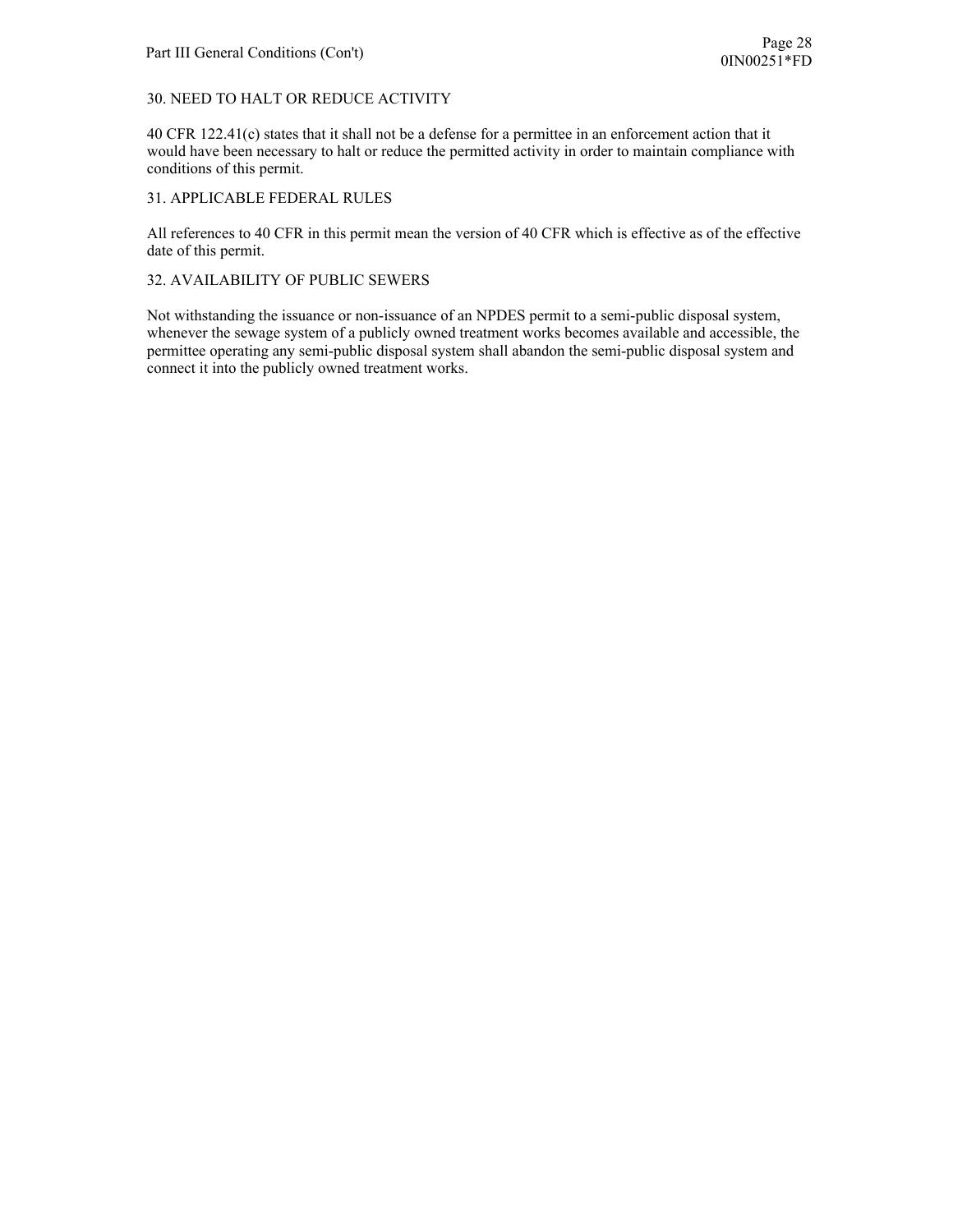### 30. NEED TO HALT OR REDUCE ACTIVITY

40 CFR 122.41(c) states that it shall not be a defense for a permittee in an enforcement action that it would have been necessary to halt or reduce the permitted activity in order to maintain compliance with conditions of this permit.

#### 31. APPLICABLE FEDERAL RULES

All references to 40 CFR in this permit mean the version of 40 CFR which is effective as of the effective date of this permit.

#### 32. AVAILABILITY OF PUBLIC SEWERS

Not withstanding the issuance or non-issuance of an NPDES permit to a semi-public disposal system, whenever the sewage system of a publicly owned treatment works becomes available and accessible, the permittee operating any semi-public disposal system shall abandon the semi-public disposal system and connect it into the publicly owned treatment works.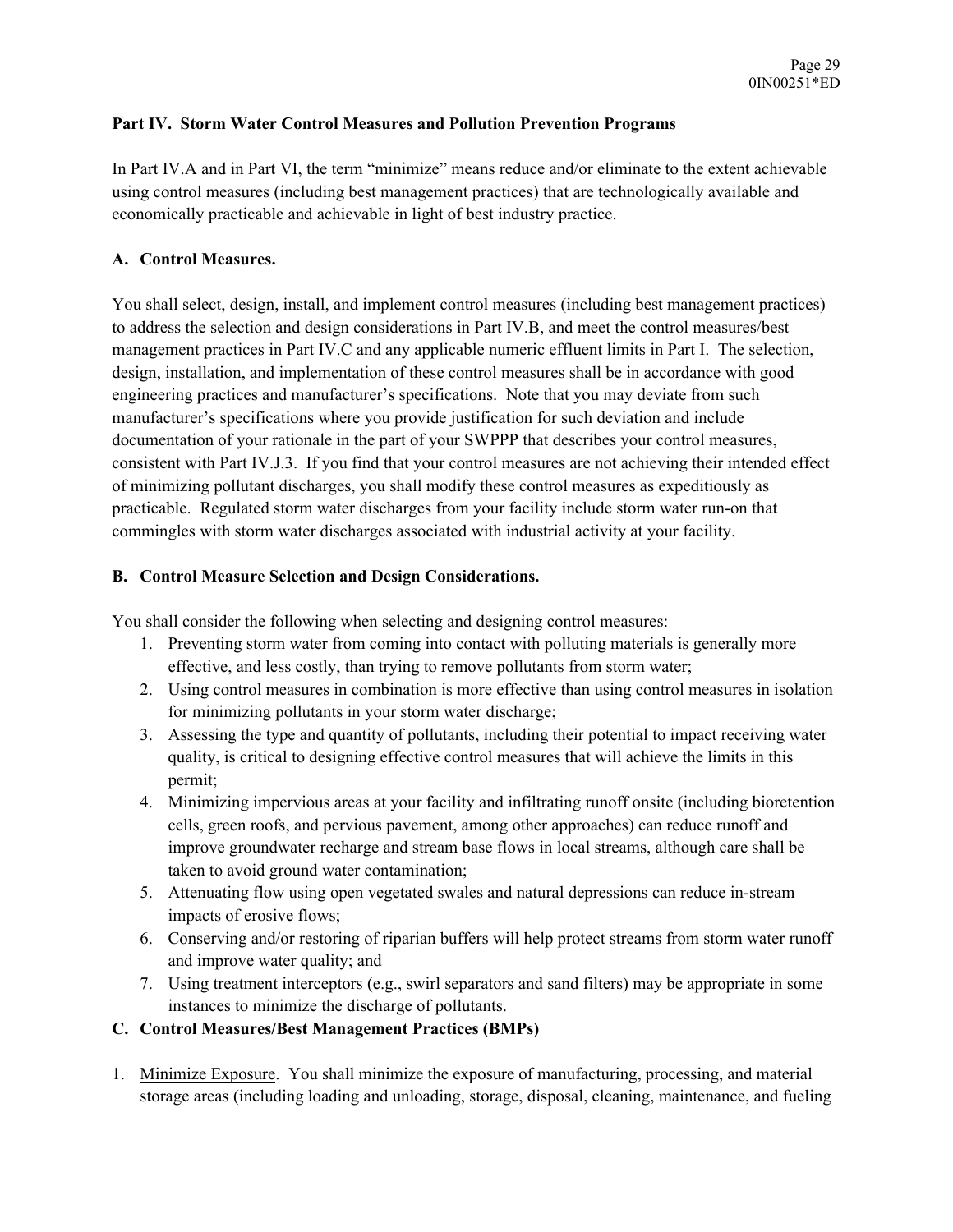## **Part IV. Storm Water Control Measures and Pollution Prevention Programs**

In Part IV.A and in Part VI, the term "minimize" means reduce and/or eliminate to the extent achievable using control measures (including best management practices) that are technologically available and economically practicable and achievable in light of best industry practice.

## **A. Control Measures.**

You shall select, design, install, and implement control measures (including best management practices) to address the selection and design considerations in Part IV.B, and meet the control measures/best management practices in Part IV.C and any applicable numeric effluent limits in Part I.The selection, design, installation, and implementation of these control measures shall be in accordance with good engineering practices and manufacturer's specifications. Note that you may deviate from such manufacturer's specifications where you provide justification for such deviation and include documentation of your rationale in the part of your SWPPP that describes your control measures, consistent with Part IV.J.3. If you find that your control measures are not achieving their intended effect of minimizing pollutant discharges, you shall modify these control measures as expeditiously as practicable. Regulated storm water discharges from your facility include storm water run-on that commingles with storm water discharges associated with industrial activity at your facility.

## **B. Control Measure Selection and Design Considerations.**

You shall consider the following when selecting and designing control measures:

- 1. Preventing storm water from coming into contact with polluting materials is generally more effective, and less costly, than trying to remove pollutants from storm water;
- 2. Using control measures in combination is more effective than using control measures in isolation for minimizing pollutants in your storm water discharge;
- 3. Assessing the type and quantity of pollutants, including their potential to impact receiving water quality, is critical to designing effective control measures that will achieve the limits in this permit;
- 4. Minimizing impervious areas at your facility and infiltrating runoff onsite (including bioretention cells, green roofs, and pervious pavement, among other approaches) can reduce runoff and improve groundwater recharge and stream base flows in local streams, although care shall be taken to avoid ground water contamination;
- 5. Attenuating flow using open vegetated swales and natural depressions can reduce in-stream impacts of erosive flows;
- 6. Conserving and/or restoring of riparian buffers will help protect streams from storm water runoff and improve water quality; and
- 7. Using treatment interceptors (e.g., swirl separators and sand filters) may be appropriate in some instances to minimize the discharge of pollutants.

## **C. Control Measures/Best Management Practices (BMPs)**

1. Minimize Exposure. You shall minimize the exposure of manufacturing, processing, and material storage areas (including loading and unloading, storage, disposal, cleaning, maintenance, and fueling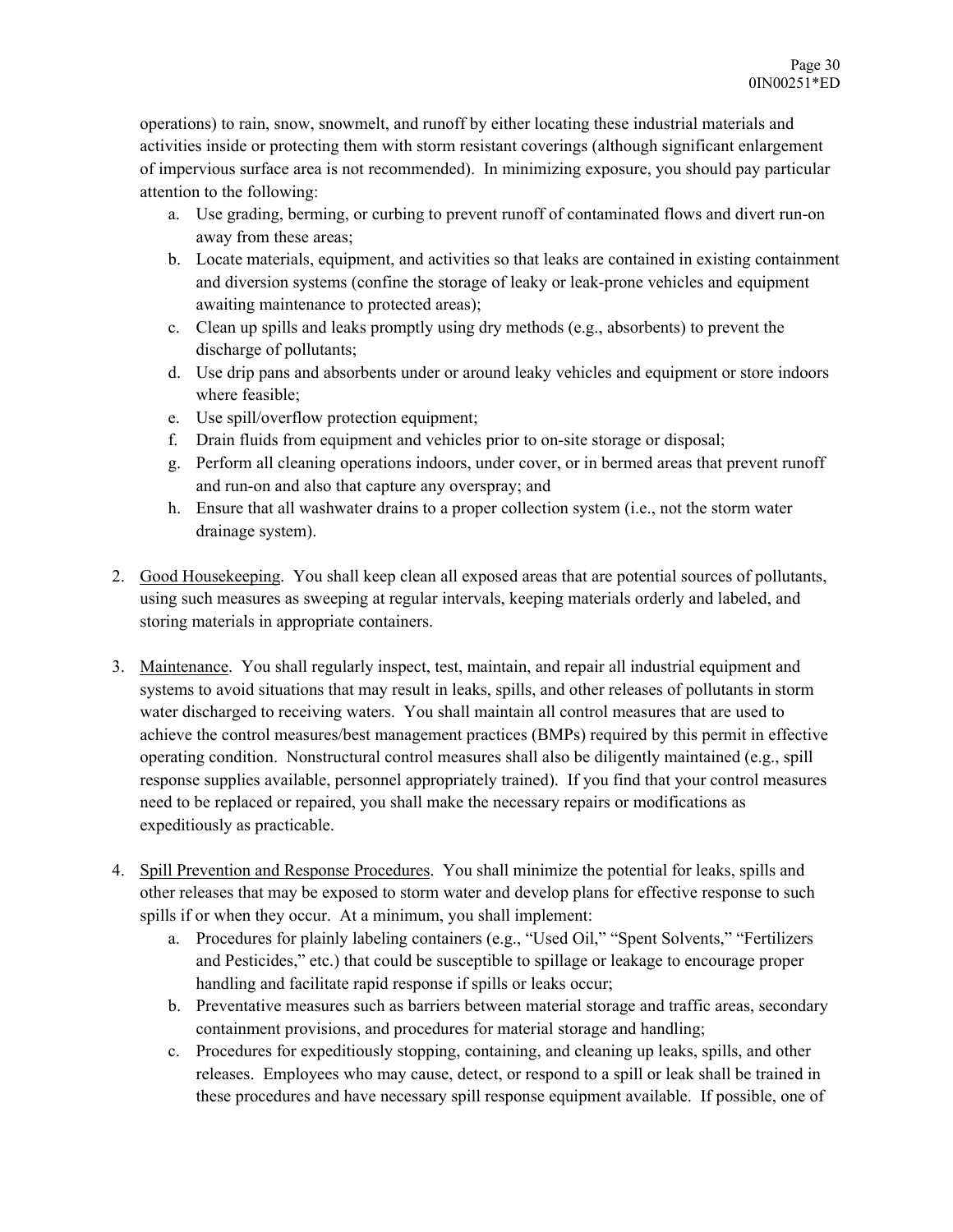operations) to rain, snow, snowmelt, and runoff by either locating these industrial materials and activities inside or protecting them with storm resistant coverings (although significant enlargement of impervious surface area is not recommended). In minimizing exposure, you should pay particular attention to the following:

- a. Use grading, berming, or curbing to prevent runoff of contaminated flows and divert run-on away from these areas;
- b. Locate materials, equipment, and activities so that leaks are contained in existing containment and diversion systems (confine the storage of leaky or leak-prone vehicles and equipment awaiting maintenance to protected areas);
- c. Clean up spills and leaks promptly using dry methods (e.g., absorbents) to prevent the discharge of pollutants;
- d. Use drip pans and absorbents under or around leaky vehicles and equipment or store indoors where feasible;
- e. Use spill/overflow protection equipment;
- f. Drain fluids from equipment and vehicles prior to on-site storage or disposal;
- g. Perform all cleaning operations indoors, under cover, or in bermed areas that prevent runoff and run-on and also that capture any overspray; and
- h. Ensure that all washwater drains to a proper collection system (i.e., not the storm water drainage system).
- 2. Good Housekeeping. You shall keep clean all exposed areas that are potential sources of pollutants, using such measures as sweeping at regular intervals, keeping materials orderly and labeled, and storing materials in appropriate containers.
- 3. Maintenance. You shall regularly inspect, test, maintain, and repair all industrial equipment and systems to avoid situations that may result in leaks, spills, and other releases of pollutants in storm water discharged to receiving waters. You shall maintain all control measures that are used to achieve the control measures/best management practices (BMPs) required by this permit in effective operating condition. Nonstructural control measures shall also be diligently maintained (e.g., spill response supplies available, personnel appropriately trained). If you find that your control measures need to be replaced or repaired, you shall make the necessary repairs or modifications as expeditiously as practicable.
- 4. Spill Prevention and Response Procedures. You shall minimize the potential for leaks, spills and other releases that may be exposed to storm water and develop plans for effective response to such spills if or when they occur. At a minimum, you shall implement:
	- a. Procedures for plainly labeling containers (e.g., "Used Oil," "Spent Solvents," "Fertilizers and Pesticides," etc.) that could be susceptible to spillage or leakage to encourage proper handling and facilitate rapid response if spills or leaks occur;
	- b. Preventative measures such as barriers between material storage and traffic areas, secondary containment provisions, and procedures for material storage and handling;
	- c. Procedures for expeditiously stopping, containing, and cleaning up leaks, spills, and other releases. Employees who may cause, detect, or respond to a spill or leak shall be trained in these procedures and have necessary spill response equipment available. If possible, one of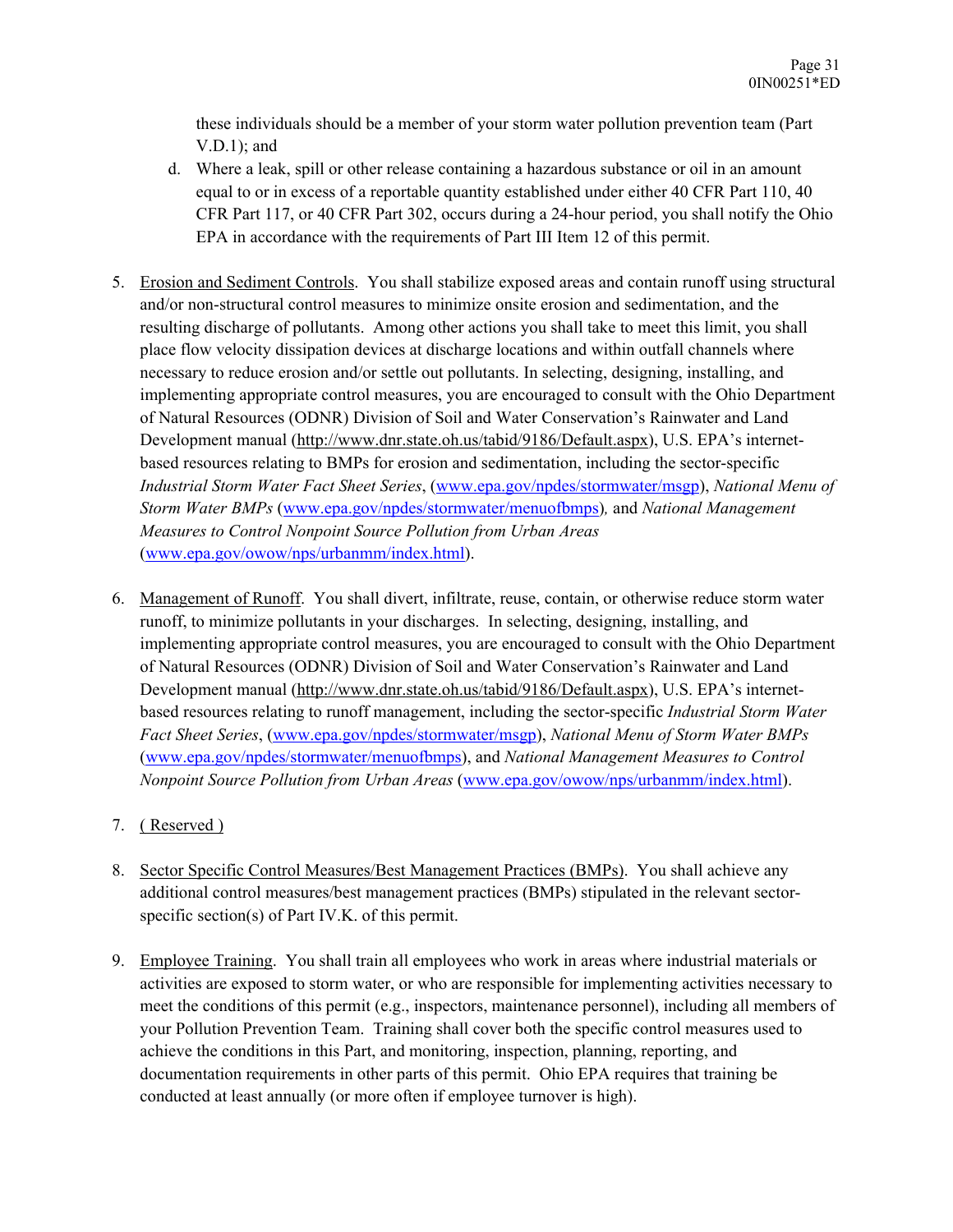these individuals should be a member of your storm water pollution prevention team (Part V.D.1); and

- d. Where a leak, spill or other release containing a hazardous substance or oil in an amount equal to or in excess of a reportable quantity established under either 40 CFR Part 110, 40 CFR Part 117, or 40 CFR Part 302, occurs during a 24-hour period, you shall notify the Ohio EPA in accordance with the requirements of Part III Item 12 of this permit.
- 5. Erosion and Sediment Controls. You shall stabilize exposed areas and contain runoff using structural and/or non-structural control measures to minimize onsite erosion and sedimentation, and the resulting discharge of pollutants. Among other actions you shall take to meet this limit, you shall place flow velocity dissipation devices at discharge locations and within outfall channels where necessary to reduce erosion and/or settle out pollutants. In selecting, designing, installing, and implementing appropriate control measures, you are encouraged to consult with the Ohio Department of Natural Resources (ODNR) Division of Soil and Water Conservation's Rainwater and Land Development manual (http://www.dnr.state.oh.us/tabid/9186/Default.aspx), U.S. EPA's internetbased resources relating to BMPs for erosion and sedimentation, including the sector-specific *Industrial Storm Water Fact Sheet Series*, (www.epa.gov/npdes/stormwater/msgp), *National Menu of Storm Water BMPs* (www.epa.gov/npdes/stormwater/menuofbmps)*,* and *National Management Measures to Control Nonpoint Source Pollution from Urban Areas*  (www.epa.gov/owow/nps/urbanmm/index.html).
- 6. Management of Runoff. You shall divert, infiltrate, reuse, contain, or otherwise reduce storm water runoff, to minimize pollutants in your discharges. In selecting, designing, installing, and implementing appropriate control measures, you are encouraged to consult with the Ohio Department of Natural Resources (ODNR) Division of Soil and Water Conservation's Rainwater and Land Development manual (http://www.dnr.state.oh.us/tabid/9186/Default.aspx), U.S. EPA's internetbased resources relating to runoff management, including the sector-specific *Industrial Storm Water Fact Sheet Series*, (www.epa.gov/npdes/stormwater/msgp), *National Menu of Storm Water BMPs*  (www.epa.gov/npdes/stormwater/menuofbmps), and *National Management Measures to Control Nonpoint Source Pollution from Urban Areas* (www.epa.gov/owow/nps/urbanmm/index.html).
- 7. ( Reserved )
- 8. Sector Specific Control Measures/Best Management Practices (BMPs). You shall achieve any additional control measures/best management practices (BMPs) stipulated in the relevant sectorspecific section(s) of Part IV.K. of this permit.
- 9. Employee Training. You shall train all employees who work in areas where industrial materials or activities are exposed to storm water, or who are responsible for implementing activities necessary to meet the conditions of this permit (e.g., inspectors, maintenance personnel), including all members of your Pollution Prevention Team. Training shall cover both the specific control measures used to achieve the conditions in this Part, and monitoring, inspection, planning, reporting, and documentation requirements in other parts of this permit. Ohio EPA requires that training be conducted at least annually (or more often if employee turnover is high).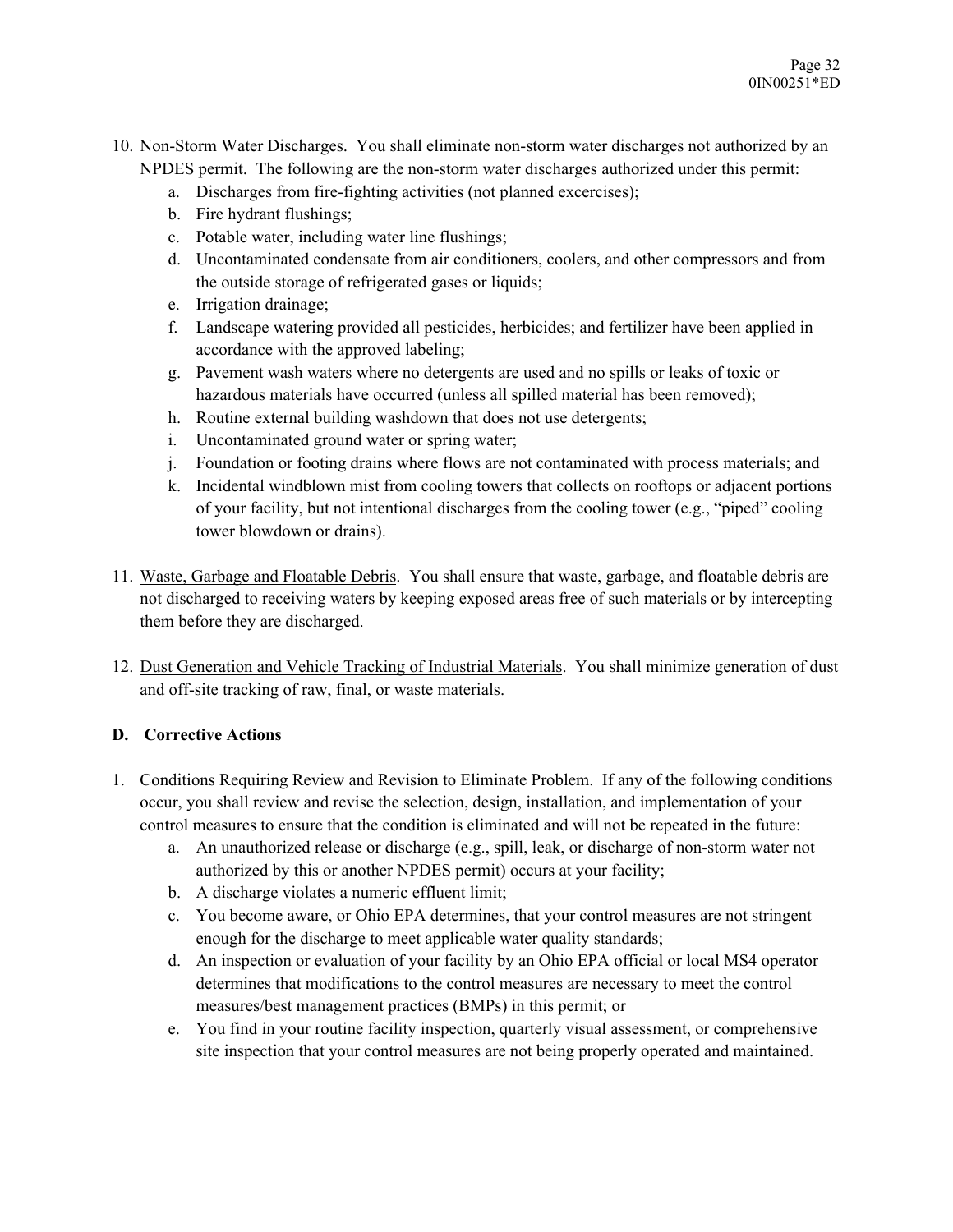- 10. Non-Storm Water Discharges. You shall eliminate non-storm water discharges not authorized by an NPDES permit. The following are the non-storm water discharges authorized under this permit:
	- a. Discharges from fire-fighting activities (not planned excercises);
	- b. Fire hydrant flushings;
	- c. Potable water, including water line flushings;
	- d. Uncontaminated condensate from air conditioners, coolers, and other compressors and from the outside storage of refrigerated gases or liquids;
	- e. Irrigation drainage;
	- f. Landscape watering provided all pesticides, herbicides; and fertilizer have been applied in accordance with the approved labeling;
	- g. Pavement wash waters where no detergents are used and no spills or leaks of toxic or hazardous materials have occurred (unless all spilled material has been removed);
	- h. Routine external building washdown that does not use detergents;
	- i. Uncontaminated ground water or spring water;
	- j. Foundation or footing drains where flows are not contaminated with process materials; and
	- k. Incidental windblown mist from cooling towers that collects on rooftops or adjacent portions of your facility, but not intentional discharges from the cooling tower (e.g., "piped" cooling tower blowdown or drains).
- 11. Waste, Garbage and Floatable Debris. You shall ensure that waste, garbage, and floatable debris are not discharged to receiving waters by keeping exposed areas free of such materials or by intercepting them before they are discharged.
- 12. Dust Generation and Vehicle Tracking of Industrial Materials. You shall minimize generation of dust and off-site tracking of raw, final, or waste materials.

## **D. Corrective Actions**

- 1. Conditions Requiring Review and Revision to Eliminate Problem. If any of the following conditions occur, you shall review and revise the selection, design, installation, and implementation of your control measures to ensure that the condition is eliminated and will not be repeated in the future:
	- a. An unauthorized release or discharge (e.g., spill, leak, or discharge of non-storm water not authorized by this or another NPDES permit) occurs at your facility;
	- b. A discharge violates a numeric effluent limit;
	- c. You become aware, or Ohio EPA determines, that your control measures are not stringent enough for the discharge to meet applicable water quality standards;
	- d. An inspection or evaluation of your facility by an Ohio EPA official or local MS4 operator determines that modifications to the control measures are necessary to meet the control measures/best management practices (BMPs) in this permit; or
	- e. You find in your routine facility inspection, quarterly visual assessment, or comprehensive site inspection that your control measures are not being properly operated and maintained.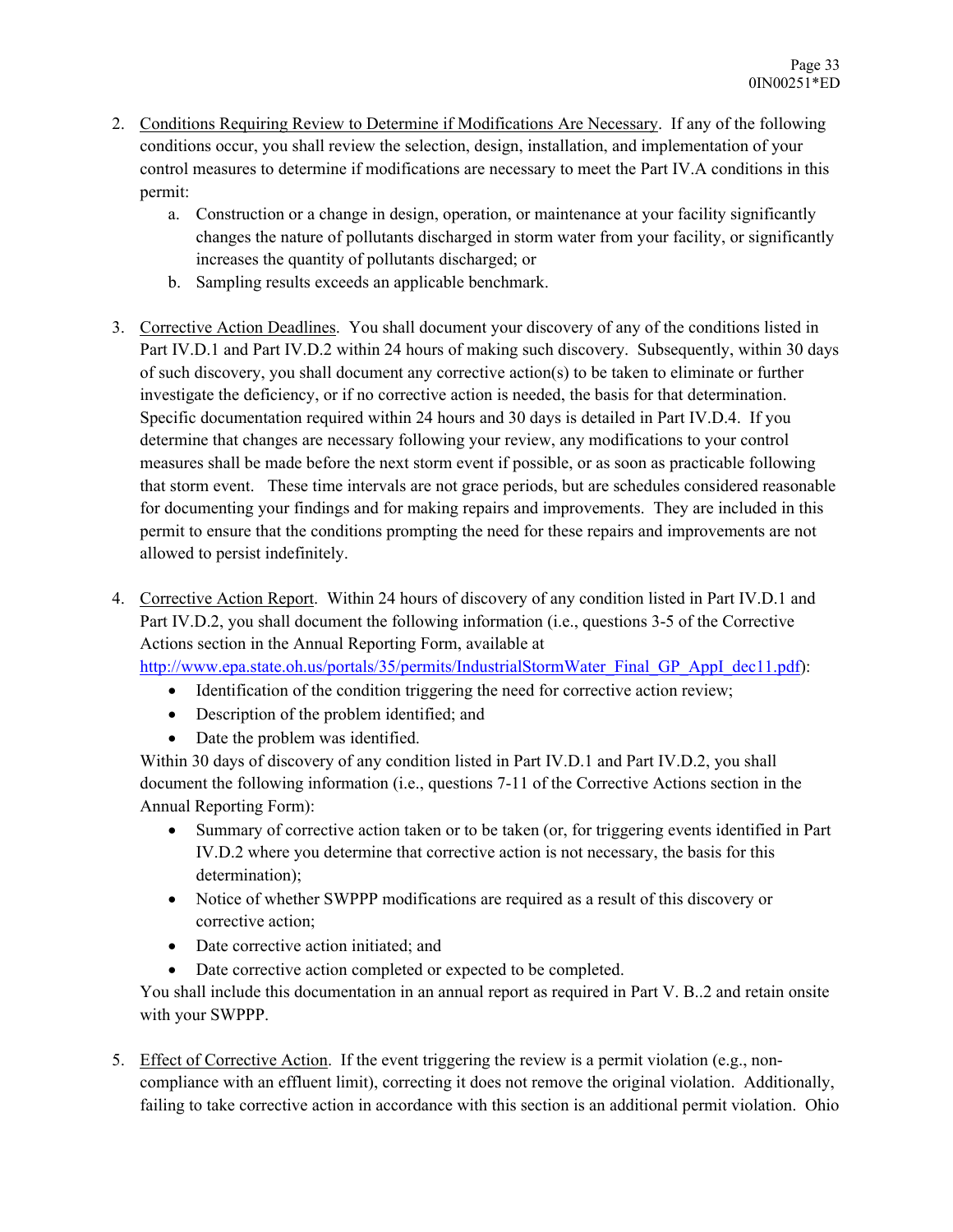- 2. Conditions Requiring Review to Determine if Modifications Are Necessary. If any of the following conditions occur, you shall review the selection, design, installation, and implementation of your control measures to determine if modifications are necessary to meet the Part IV.A conditions in this permit:
	- a. Construction or a change in design, operation, or maintenance at your facility significantly changes the nature of pollutants discharged in storm water from your facility, or significantly increases the quantity of pollutants discharged; or
	- b. Sampling results exceeds an applicable benchmark.
- 3. Corrective Action Deadlines. You shall document your discovery of any of the conditions listed in Part IV.D.1 and Part IV.D.2 within 24 hours of making such discovery. Subsequently, within 30 days of such discovery, you shall document any corrective action(s) to be taken to eliminate or further investigate the deficiency, or if no corrective action is needed, the basis for that determination. Specific documentation required within 24 hours and 30 days is detailed in Part IV.D.4. If you determine that changes are necessary following your review, any modifications to your control measures shall be made before the next storm event if possible, or as soon as practicable following that storm event. These time intervals are not grace periods, but are schedules considered reasonable for documenting your findings and for making repairs and improvements. They are included in this permit to ensure that the conditions prompting the need for these repairs and improvements are not allowed to persist indefinitely.
- 4. Corrective Action Report. Within 24 hours of discovery of any condition listed in Part IV.D.1 and Part IV.D.2, you shall document the following information (i.e., questions 3-5 of the Corrective Actions section in the Annual Reporting Form, available at

http://www.epa.state.oh.us/portals/35/permits/IndustrialStormWater\_Final\_GP\_AppI\_dec11.pdf):

- Identification of the condition triggering the need for corrective action review;
- Description of the problem identified; and
- Date the problem was identified.

Within 30 days of discovery of any condition listed in Part IV.D.1 and Part IV.D.2, you shall document the following information (i.e., questions 7-11 of the Corrective Actions section in the Annual Reporting Form):

- Summary of corrective action taken or to be taken (or, for triggering events identified in Part IV.D.2 where you determine that corrective action is not necessary, the basis for this determination);
- Notice of whether SWPPP modifications are required as a result of this discovery or corrective action;
- Date corrective action initiated: and
- Date corrective action completed or expected to be completed.

You shall include this documentation in an annual report as required in Part V. B..2 and retain onsite with your SWPPP.

5. Effect of Corrective Action. If the event triggering the review is a permit violation (e.g., noncompliance with an effluent limit), correcting it does not remove the original violation. Additionally, failing to take corrective action in accordance with this section is an additional permit violation. Ohio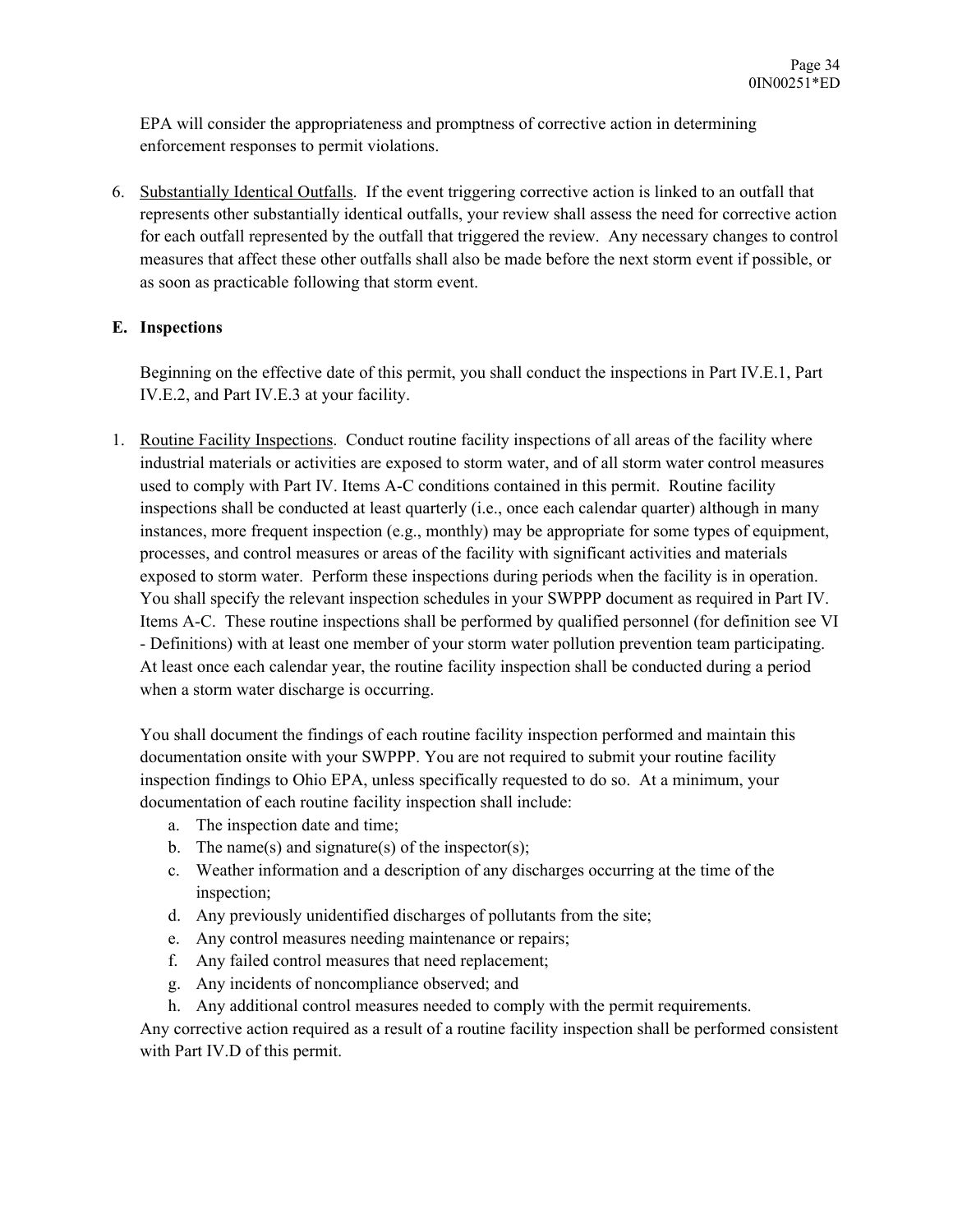EPA will consider the appropriateness and promptness of corrective action in determining enforcement responses to permit violations.

6. Substantially Identical Outfalls. If the event triggering corrective action is linked to an outfall that represents other substantially identical outfalls, your review shall assess the need for corrective action for each outfall represented by the outfall that triggered the review. Any necessary changes to control measures that affect these other outfalls shall also be made before the next storm event if possible, or as soon as practicable following that storm event.

## **E. Inspections**

Beginning on the effective date of this permit, you shall conduct the inspections in Part IV.E.1, Part IV.E.2, and Part IV.E.3 at your facility.

1. Routine Facility Inspections. Conduct routine facility inspections of all areas of the facility where industrial materials or activities are exposed to storm water, and of all storm water control measures used to comply with Part IV. Items A-C conditions contained in this permit. Routine facility inspections shall be conducted at least quarterly (i.e., once each calendar quarter) although in many instances, more frequent inspection (e.g., monthly) may be appropriate for some types of equipment, processes, and control measures or areas of the facility with significant activities and materials exposed to storm water. Perform these inspections during periods when the facility is in operation. You shall specify the relevant inspection schedules in your SWPPP document as required in Part IV. Items A-C. These routine inspections shall be performed by qualified personnel (for definition see VI - Definitions) with at least one member of your storm water pollution prevention team participating. At least once each calendar year, the routine facility inspection shall be conducted during a period when a storm water discharge is occurring.

You shall document the findings of each routine facility inspection performed and maintain this documentation onsite with your SWPPP. You are not required to submit your routine facility inspection findings to Ohio EPA, unless specifically requested to do so. At a minimum, your documentation of each routine facility inspection shall include:

- a. The inspection date and time;
- b. The name(s) and signature(s) of the inspector(s);
- c. Weather information and a description of any discharges occurring at the time of the inspection;
- d. Any previously unidentified discharges of pollutants from the site;
- e. Any control measures needing maintenance or repairs;
- f. Any failed control measures that need replacement;
- g. Any incidents of noncompliance observed; and
- h. Any additional control measures needed to comply with the permit requirements.

Any corrective action required as a result of a routine facility inspection shall be performed consistent with Part IV.D of this permit.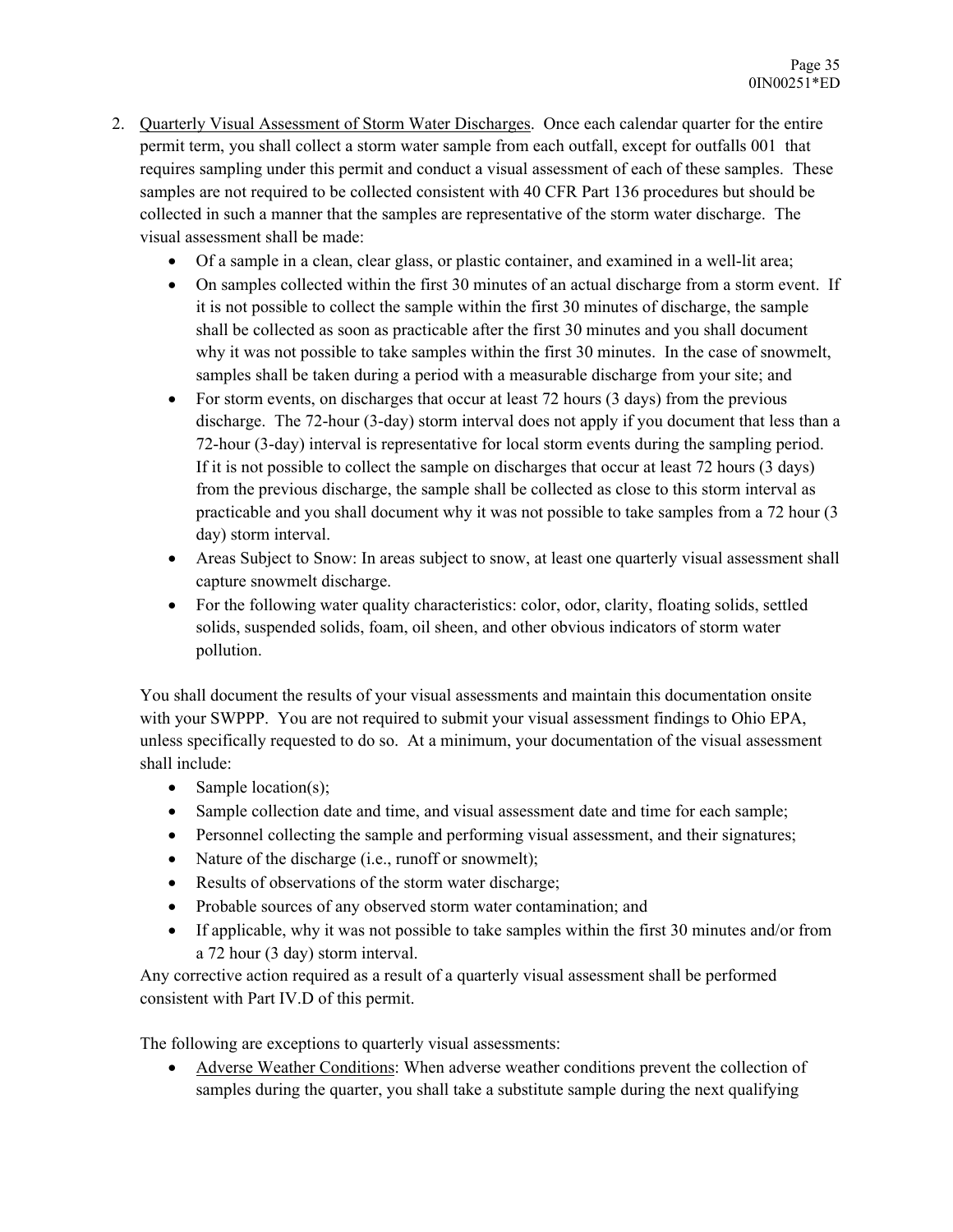- 2. Quarterly Visual Assessment of Storm Water Discharges. Once each calendar quarter for the entire permit term, you shall collect a storm water sample from each outfall, except for outfalls 001 that requires sampling under this permit and conduct a visual assessment of each of these samples. These samples are not required to be collected consistent with 40 CFR Part 136 procedures but should be collected in such a manner that the samples are representative of the storm water discharge. The visual assessment shall be made:
	- Of a sample in a clean, clear glass, or plastic container, and examined in a well-lit area;
	- On samples collected within the first 30 minutes of an actual discharge from a storm event. If it is not possible to collect the sample within the first 30 minutes of discharge, the sample shall be collected as soon as practicable after the first 30 minutes and you shall document why it was not possible to take samples within the first 30 minutes. In the case of snowmelt, samples shall be taken during a period with a measurable discharge from your site; and
	- For storm events, on discharges that occur at least 72 hours (3 days) from the previous discharge. The 72-hour (3-day) storm interval does not apply if you document that less than a 72-hour (3-day) interval is representative for local storm events during the sampling period. If it is not possible to collect the sample on discharges that occur at least 72 hours (3 days) from the previous discharge, the sample shall be collected as close to this storm interval as practicable and you shall document why it was not possible to take samples from a 72 hour (3 day) storm interval.
	- Areas Subject to Snow: In areas subject to snow, at least one quarterly visual assessment shall capture snowmelt discharge.
	- For the following water quality characteristics: color, odor, clarity, floating solids, settled solids, suspended solids, foam, oil sheen, and other obvious indicators of storm water pollution.

You shall document the results of your visual assessments and maintain this documentation onsite with your SWPPP. You are not required to submit your visual assessment findings to Ohio EPA, unless specifically requested to do so. At a minimum, your documentation of the visual assessment shall include:

- Sample location(s);
- Sample collection date and time, and visual assessment date and time for each sample;
- Personnel collecting the sample and performing visual assessment, and their signatures;
- Nature of the discharge (i.e., runoff or snowmelt);
- Results of observations of the storm water discharge;
- Probable sources of any observed storm water contamination; and
- If applicable, why it was not possible to take samples within the first 30 minutes and/or from a 72 hour (3 day) storm interval.

Any corrective action required as a result of a quarterly visual assessment shall be performed consistent with Part IV.D of this permit.

The following are exceptions to quarterly visual assessments:

 Adverse Weather Conditions: When adverse weather conditions prevent the collection of samples during the quarter, you shall take a substitute sample during the next qualifying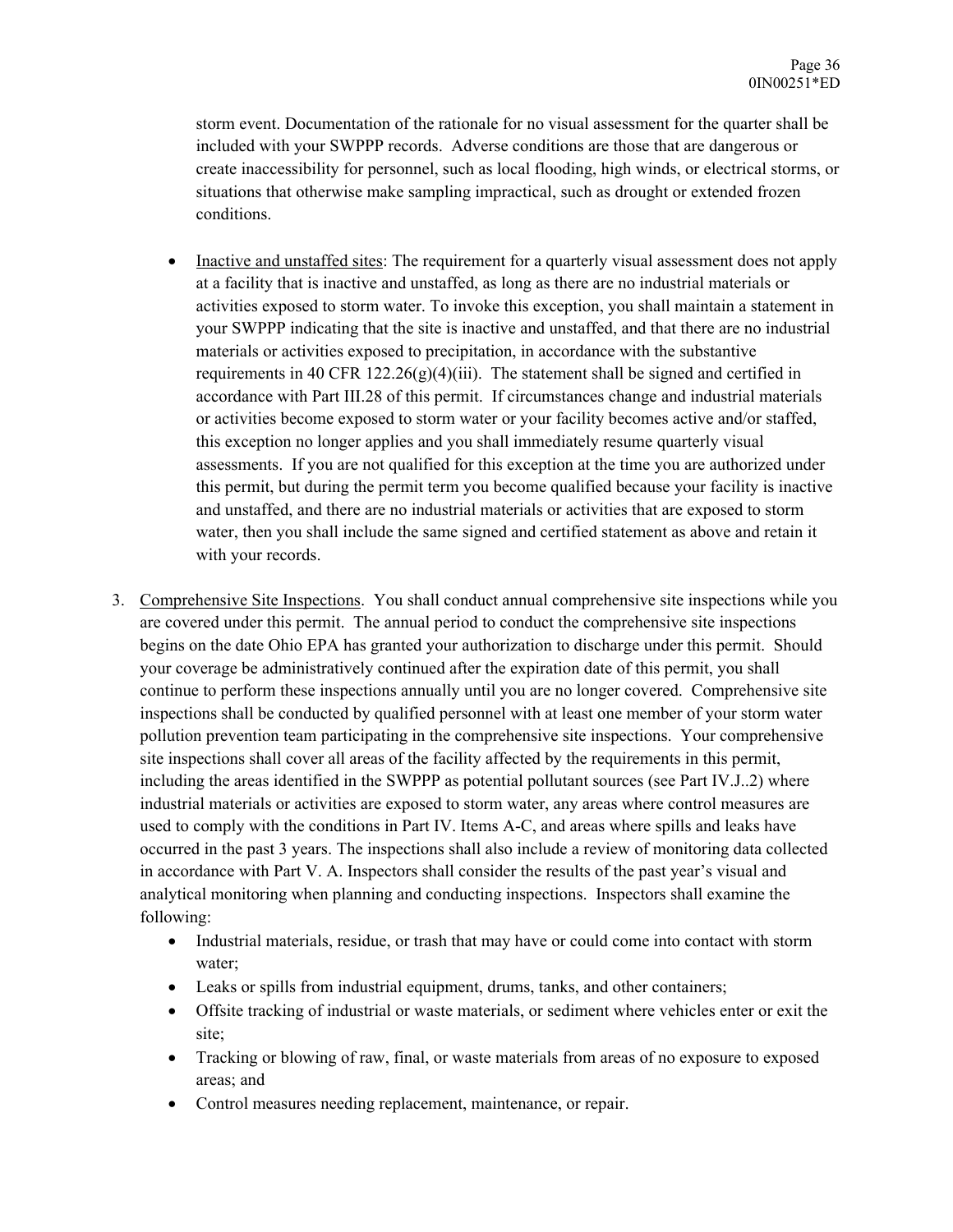storm event. Documentation of the rationale for no visual assessment for the quarter shall be included with your SWPPP records. Adverse conditions are those that are dangerous or create inaccessibility for personnel, such as local flooding, high winds, or electrical storms, or situations that otherwise make sampling impractical, such as drought or extended frozen conditions.

- Inactive and unstaffed sites: The requirement for a quarterly visual assessment does not apply at a facility that is inactive and unstaffed, as long as there are no industrial materials or activities exposed to storm water. To invoke this exception, you shall maintain a statement in your SWPPP indicating that the site is inactive and unstaffed, and that there are no industrial materials or activities exposed to precipitation, in accordance with the substantive requirements in 40 CFR  $122.26(g)(4)(iii)$ . The statement shall be signed and certified in accordance with Part III.28 of this permit. If circumstances change and industrial materials or activities become exposed to storm water or your facility becomes active and/or staffed, this exception no longer applies and you shall immediately resume quarterly visual assessments. If you are not qualified for this exception at the time you are authorized under this permit, but during the permit term you become qualified because your facility is inactive and unstaffed, and there are no industrial materials or activities that are exposed to storm water, then you shall include the same signed and certified statement as above and retain it with your records.
- 3. Comprehensive Site Inspections. You shall conduct annual comprehensive site inspections while you are covered under this permit. The annual period to conduct the comprehensive site inspections begins on the date Ohio EPA has granted your authorization to discharge under this permit. Should your coverage be administratively continued after the expiration date of this permit, you shall continue to perform these inspections annually until you are no longer covered. Comprehensive site inspections shall be conducted by qualified personnel with at least one member of your storm water pollution prevention team participating in the comprehensive site inspections. Your comprehensive site inspections shall cover all areas of the facility affected by the requirements in this permit, including the areas identified in the SWPPP as potential pollutant sources (see Part IV.J..2) where industrial materials or activities are exposed to storm water, any areas where control measures are used to comply with the conditions in Part IV. Items A-C, and areas where spills and leaks have occurred in the past 3 years. The inspections shall also include a review of monitoring data collected in accordance with Part V. A. Inspectors shall consider the results of the past year's visual and analytical monitoring when planning and conducting inspections. Inspectors shall examine the following:
	- Industrial materials, residue, or trash that may have or could come into contact with storm water;
	- Leaks or spills from industrial equipment, drums, tanks, and other containers;
	- Offsite tracking of industrial or waste materials, or sediment where vehicles enter or exit the site;
	- Tracking or blowing of raw, final, or waste materials from areas of no exposure to exposed areas; and
	- Control measures needing replacement, maintenance, or repair.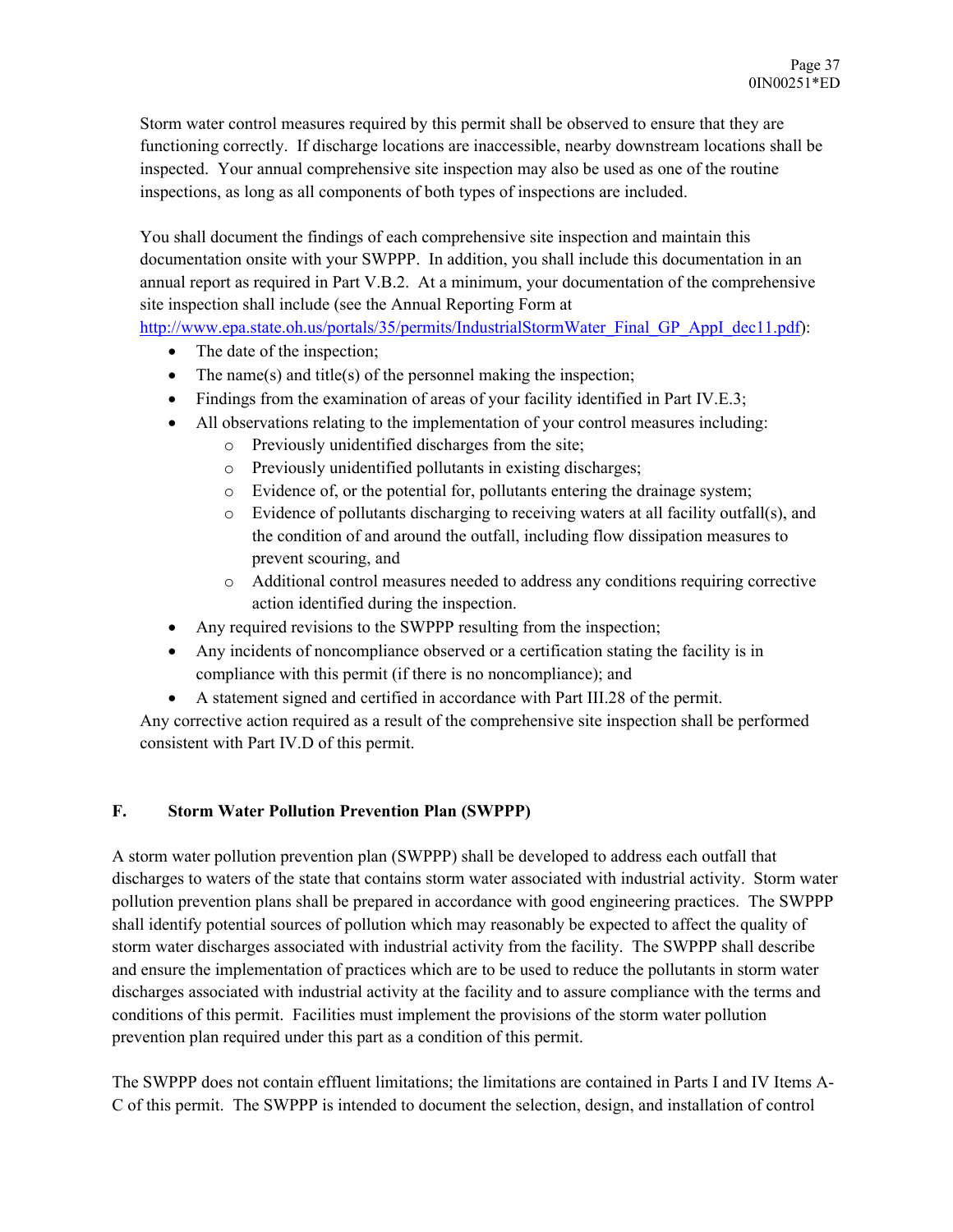Storm water control measures required by this permit shall be observed to ensure that they are functioning correctly. If discharge locations are inaccessible, nearby downstream locations shall be inspected. Your annual comprehensive site inspection may also be used as one of the routine inspections, as long as all components of both types of inspections are included.

You shall document the findings of each comprehensive site inspection and maintain this documentation onsite with your SWPPP. In addition, you shall include this documentation in an annual report as required in Part V.B.2. At a minimum, your documentation of the comprehensive site inspection shall include (see the Annual Reporting Form at

http://www.epa.state.oh.us/portals/35/permits/IndustrialStormWater\_Final\_GP\_AppI\_dec11.pdf):

- The date of the inspection;
- The name(s) and title(s) of the personnel making the inspection;
- Findings from the examination of areas of your facility identified in Part IV.E.3;
- All observations relating to the implementation of your control measures including:
	- o Previously unidentified discharges from the site;
	- o Previously unidentified pollutants in existing discharges;
	- o Evidence of, or the potential for, pollutants entering the drainage system;
	- o Evidence of pollutants discharging to receiving waters at all facility outfall(s), and the condition of and around the outfall, including flow dissipation measures to prevent scouring, and
	- o Additional control measures needed to address any conditions requiring corrective action identified during the inspection.
- Any required revisions to the SWPPP resulting from the inspection;
- Any incidents of noncompliance observed or a certification stating the facility is in compliance with this permit (if there is no noncompliance); and
- A statement signed and certified in accordance with Part III.28 of the permit.

Any corrective action required as a result of the comprehensive site inspection shall be performed consistent with Part IV.D of this permit.

## **F. Storm Water Pollution Prevention Plan (SWPPP)**

A storm water pollution prevention plan (SWPPP) shall be developed to address each outfall that discharges to waters of the state that contains storm water associated with industrial activity. Storm water pollution prevention plans shall be prepared in accordance with good engineering practices. The SWPPP shall identify potential sources of pollution which may reasonably be expected to affect the quality of storm water discharges associated with industrial activity from the facility. The SWPPP shall describe and ensure the implementation of practices which are to be used to reduce the pollutants in storm water discharges associated with industrial activity at the facility and to assure compliance with the terms and conditions of this permit. Facilities must implement the provisions of the storm water pollution prevention plan required under this part as a condition of this permit.

The SWPPP does not contain effluent limitations; the limitations are contained in Parts I and IV Items A-C of this permit. The SWPPP is intended to document the selection, design, and installation of control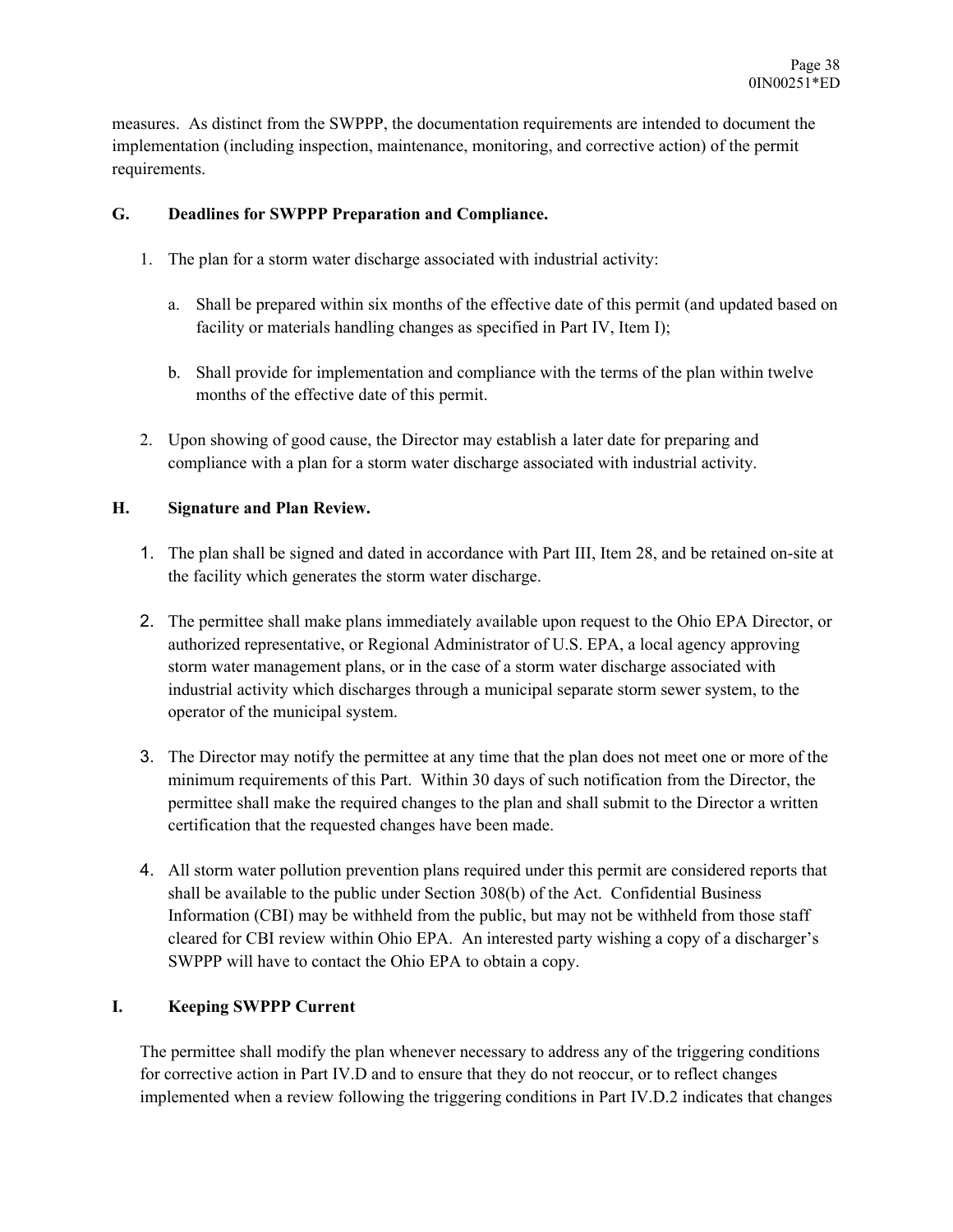measures. As distinct from the SWPPP, the documentation requirements are intended to document the implementation (including inspection, maintenance, monitoring, and corrective action) of the permit requirements.

## **G. Deadlines for SWPPP Preparation and Compliance.**

- 1. The plan for a storm water discharge associated with industrial activity:
	- a. Shall be prepared within six months of the effective date of this permit (and updated based on facility or materials handling changes as specified in Part IV, Item I);
	- b. Shall provide for implementation and compliance with the terms of the plan within twelve months of the effective date of this permit.
- 2. Upon showing of good cause, the Director may establish a later date for preparing and compliance with a plan for a storm water discharge associated with industrial activity.

## **H. Signature and Plan Review.**

- 1. The plan shall be signed and dated in accordance with Part III, Item 28, and be retained on-site at the facility which generates the storm water discharge.
- 2. The permittee shall make plans immediately available upon request to the Ohio EPA Director, or authorized representative, or Regional Administrator of U.S. EPA, a local agency approving storm water management plans, or in the case of a storm water discharge associated with industrial activity which discharges through a municipal separate storm sewer system, to the operator of the municipal system.
- 3. The Director may notify the permittee at any time that the plan does not meet one or more of the minimum requirements of this Part. Within 30 days of such notification from the Director, the permittee shall make the required changes to the plan and shall submit to the Director a written certification that the requested changes have been made.
- 4. All storm water pollution prevention plans required under this permit are considered reports that shall be available to the public under Section 308(b) of the Act. Confidential Business Information (CBI) may be withheld from the public, but may not be withheld from those staff cleared for CBI review within Ohio EPA. An interested party wishing a copy of a discharger's SWPPP will have to contact the Ohio EPA to obtain a copy.

## **I. Keeping SWPPP Current**

The permittee shall modify the plan whenever necessary to address any of the triggering conditions for corrective action in Part IV.D and to ensure that they do not reoccur, or to reflect changes implemented when a review following the triggering conditions in Part IV.D.2 indicates that changes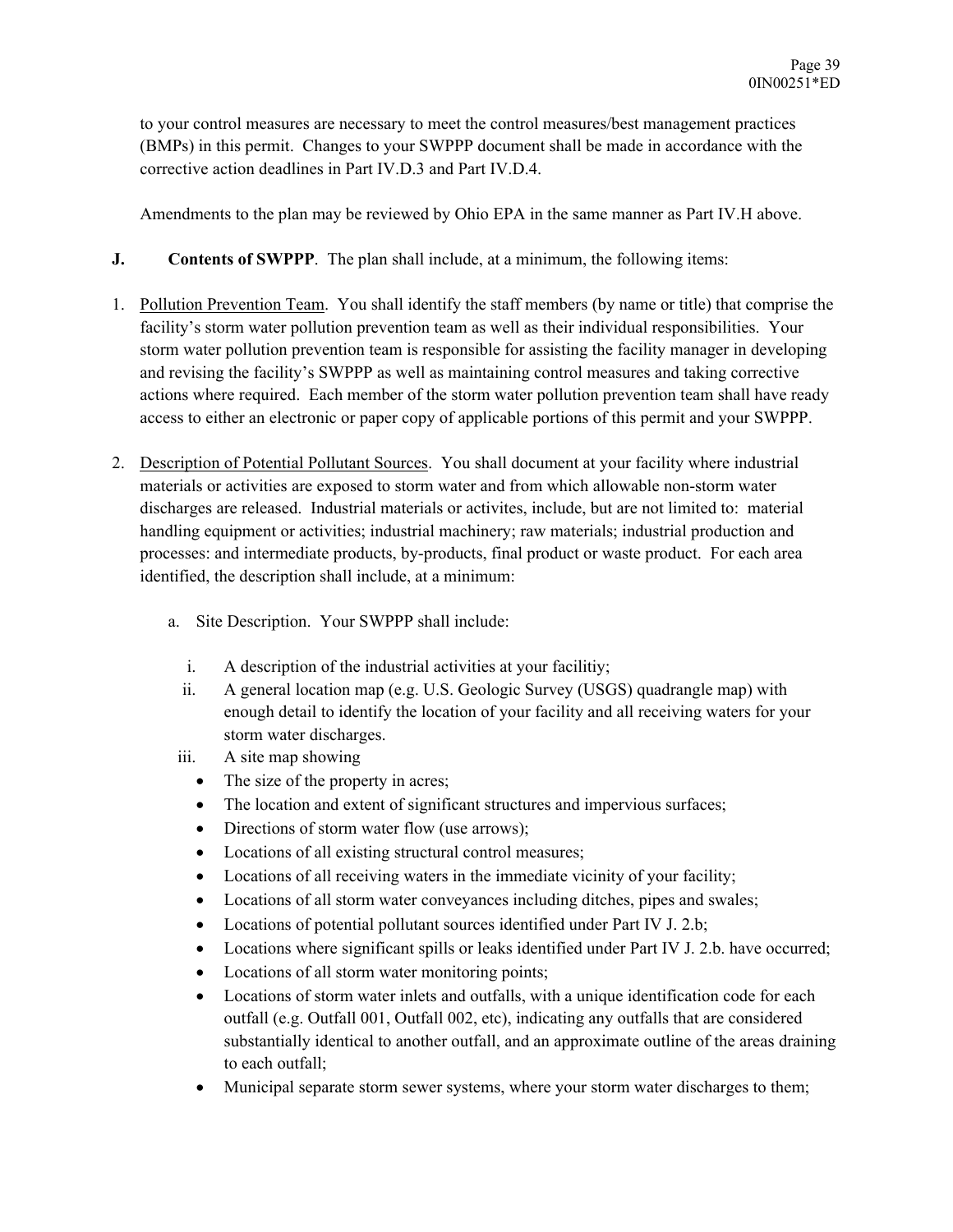to your control measures are necessary to meet the control measures/best management practices (BMPs) in this permit. Changes to your SWPPP document shall be made in accordance with the corrective action deadlines in Part IV.D.3 and Part IV.D.4.

Amendments to the plan may be reviewed by Ohio EPA in the same manner as Part IV.H above.

- **J. Contents of SWPPP**. The plan shall include, at a minimum, the following items:
- 1. Pollution Prevention Team. You shall identify the staff members (by name or title) that comprise the facility's storm water pollution prevention team as well as their individual responsibilities. Your storm water pollution prevention team is responsible for assisting the facility manager in developing and revising the facility's SWPPP as well as maintaining control measures and taking corrective actions where required. Each member of the storm water pollution prevention team shall have ready access to either an electronic or paper copy of applicable portions of this permit and your SWPPP.
- 2. Description of Potential Pollutant Sources. You shall document at your facility where industrial materials or activities are exposed to storm water and from which allowable non-storm water discharges are released. Industrial materials or activites, include, but are not limited to: material handling equipment or activities; industrial machinery; raw materials; industrial production and processes: and intermediate products, by-products, final product or waste product. For each area identified, the description shall include, at a minimum:
	- a. Site Description. Your SWPPP shall include:
		- i. A description of the industrial activities at your facilitiy;
		- ii. A general location map (e.g. U.S. Geologic Survey (USGS) quadrangle map) with enough detail to identify the location of your facility and all receiving waters for your storm water discharges.
	- iii. A site map showing
		- The size of the property in acres;
		- The location and extent of significant structures and impervious surfaces;
		- Directions of storm water flow (use arrows);
		- Locations of all existing structural control measures;
		- Locations of all receiving waters in the immediate vicinity of your facility;
		- Locations of all storm water conveyances including ditches, pipes and swales;
		- Locations of potential pollutant sources identified under Part IV J. 2.b;
		- Locations where significant spills or leaks identified under Part IV J. 2.b. have occurred;
		- Locations of all storm water monitoring points;
		- Locations of storm water inlets and outfalls, with a unique identification code for each outfall (e.g. Outfall 001, Outfall 002, etc), indicating any outfalls that are considered substantially identical to another outfall, and an approximate outline of the areas draining to each outfall;
		- Municipal separate storm sewer systems, where your storm water discharges to them;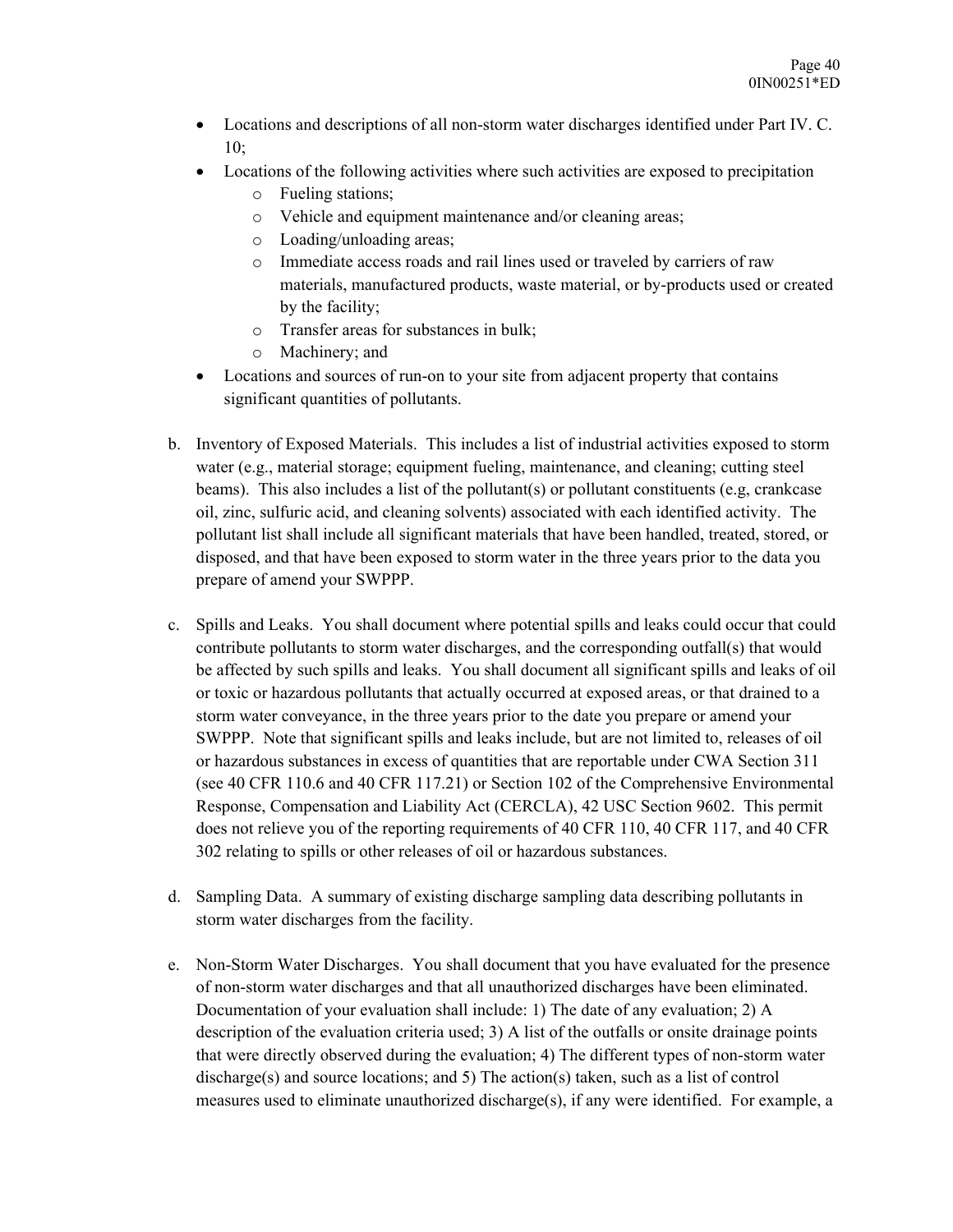- Locations and descriptions of all non-storm water discharges identified under Part IV. C. 10;
- Locations of the following activities where such activities are exposed to precipitation
	- o Fueling stations;
	- o Vehicle and equipment maintenance and/or cleaning areas;
	- o Loading/unloading areas;
	- o Immediate access roads and rail lines used or traveled by carriers of raw materials, manufactured products, waste material, or by-products used or created by the facility;
	- o Transfer areas for substances in bulk;
	- o Machinery; and
- Locations and sources of run-on to your site from adjacent property that contains significant quantities of pollutants.
- b. Inventory of Exposed Materials. This includes a list of industrial activities exposed to storm water (e.g., material storage; equipment fueling, maintenance, and cleaning; cutting steel beams). This also includes a list of the pollutant(s) or pollutant constituents (e.g, crankcase oil, zinc, sulfuric acid, and cleaning solvents) associated with each identified activity. The pollutant list shall include all significant materials that have been handled, treated, stored, or disposed, and that have been exposed to storm water in the three years prior to the data you prepare of amend your SWPPP.
- c. Spills and Leaks. You shall document where potential spills and leaks could occur that could contribute pollutants to storm water discharges, and the corresponding outfall(s) that would be affected by such spills and leaks. You shall document all significant spills and leaks of oil or toxic or hazardous pollutants that actually occurred at exposed areas, or that drained to a storm water conveyance, in the three years prior to the date you prepare or amend your SWPPP. Note that significant spills and leaks include, but are not limited to, releases of oil or hazardous substances in excess of quantities that are reportable under CWA Section 311 (see 40 CFR 110.6 and 40 CFR 117.21) or Section 102 of the Comprehensive Environmental Response, Compensation and Liability Act (CERCLA), 42 USC Section 9602. This permit does not relieve you of the reporting requirements of 40 CFR 110, 40 CFR 117, and 40 CFR 302 relating to spills or other releases of oil or hazardous substances.
- d. Sampling Data. A summary of existing discharge sampling data describing pollutants in storm water discharges from the facility.
- e. Non-Storm Water Discharges. You shall document that you have evaluated for the presence of non-storm water discharges and that all unauthorized discharges have been eliminated. Documentation of your evaluation shall include: 1) The date of any evaluation; 2) A description of the evaluation criteria used; 3) A list of the outfalls or onsite drainage points that were directly observed during the evaluation; 4) The different types of non-storm water discharge(s) and source locations; and 5) The action(s) taken, such as a list of control measures used to eliminate unauthorized discharge(s), if any were identified. For example, a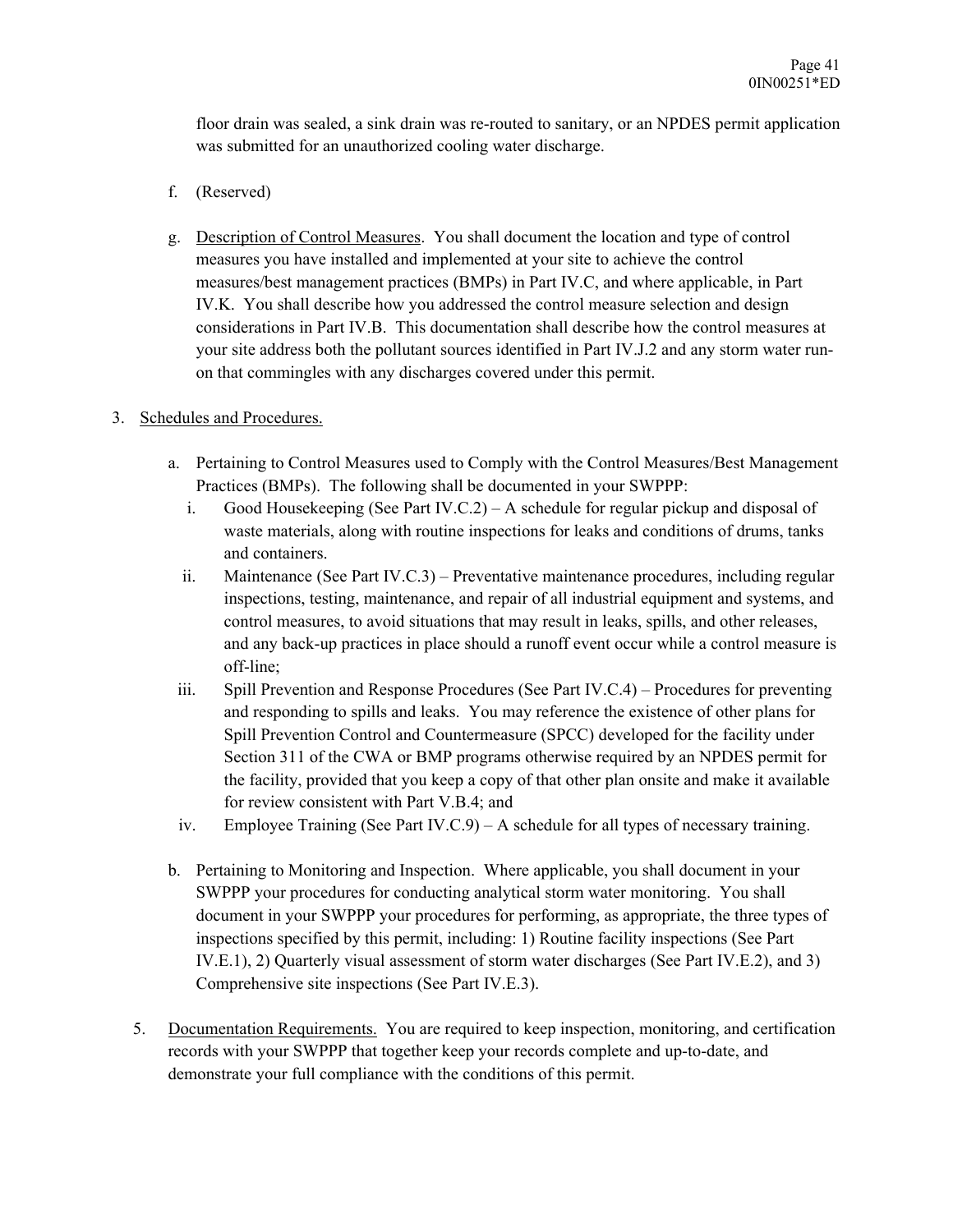floor drain was sealed, a sink drain was re-routed to sanitary, or an NPDES permit application was submitted for an unauthorized cooling water discharge.

- f. (Reserved)
- g. Description of Control Measures. You shall document the location and type of control measures you have installed and implemented at your site to achieve the control measures/best management practices (BMPs) in Part IV.C, and where applicable, in Part IV.K. You shall describe how you addressed the control measure selection and design considerations in Part IV.B. This documentation shall describe how the control measures at your site address both the pollutant sources identified in Part IV.J.2 and any storm water runon that commingles with any discharges covered under this permit.

## 3. Schedules and Procedures.

- a. Pertaining to Control Measures used to Comply with the Control Measures/Best Management Practices (BMPs). The following shall be documented in your SWPPP:
	- i. Good Housekeeping (See Part IV.C.2) A schedule for regular pickup and disposal of waste materials, along with routine inspections for leaks and conditions of drums, tanks and containers.
	- ii. Maintenance (See Part IV.C.3) Preventative maintenance procedures, including regular inspections, testing, maintenance, and repair of all industrial equipment and systems, and control measures, to avoid situations that may result in leaks, spills, and other releases, and any back-up practices in place should a runoff event occur while a control measure is off-line;
- iii. Spill Prevention and Response Procedures (See Part IV.C.4) Procedures for preventing and responding to spills and leaks. You may reference the existence of other plans for Spill Prevention Control and Countermeasure (SPCC) developed for the facility under Section 311 of the CWA or BMP programs otherwise required by an NPDES permit for the facility, provided that you keep a copy of that other plan onsite and make it available for review consistent with Part V.B.4; and
- iv. Employee Training (See Part IV.C.9) A schedule for all types of necessary training.
- b. Pertaining to Monitoring and Inspection. Where applicable, you shall document in your SWPPP your procedures for conducting analytical storm water monitoring. You shall document in your SWPPP your procedures for performing, as appropriate, the three types of inspections specified by this permit, including: 1) Routine facility inspections (See Part IV.E.1), 2) Quarterly visual assessment of storm water discharges (See Part IV.E.2), and 3) Comprehensive site inspections (See Part IV.E.3).
- 5. Documentation Requirements. You are required to keep inspection, monitoring, and certification records with your SWPPP that together keep your records complete and up-to-date, and demonstrate your full compliance with the conditions of this permit.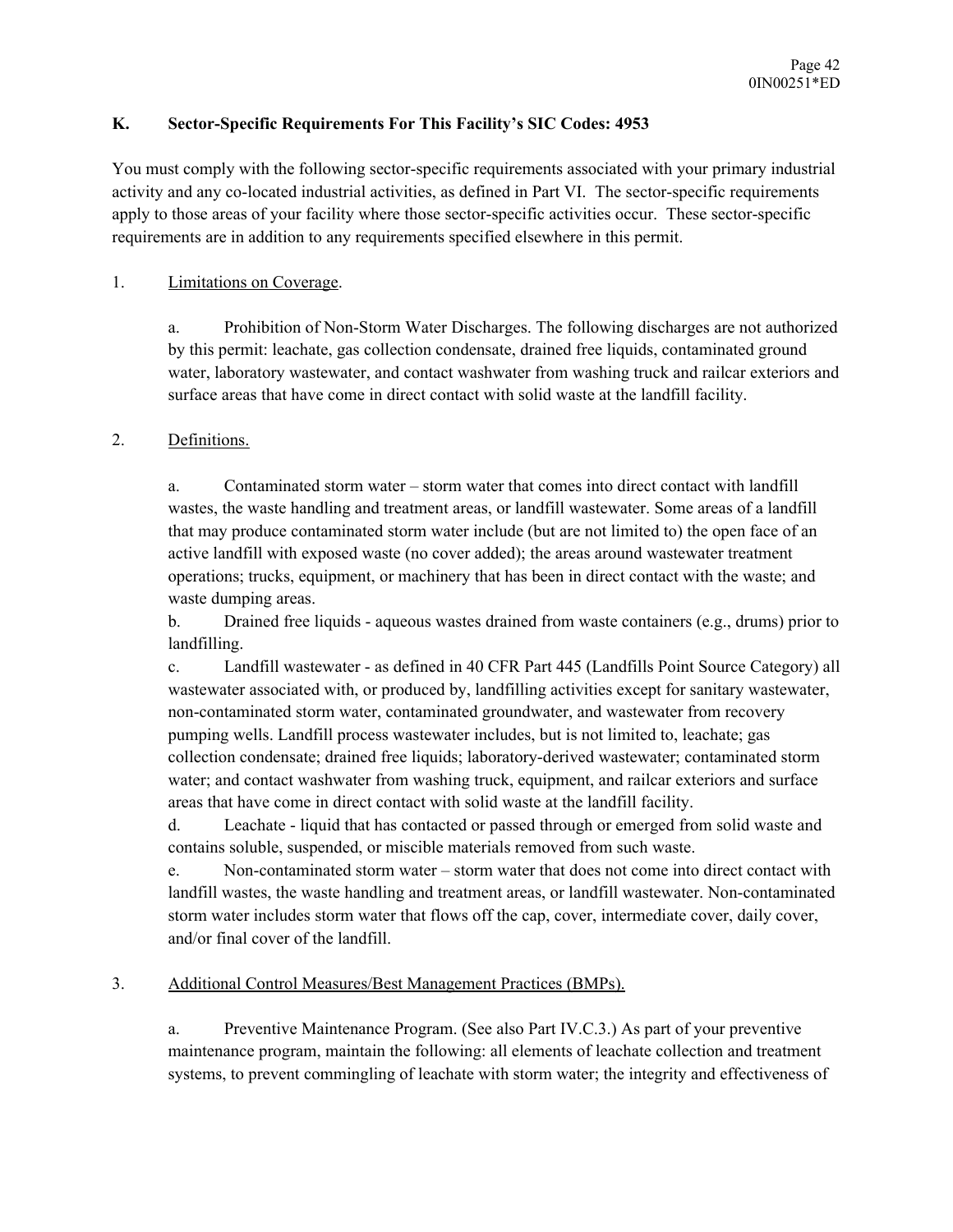## **K. Sector-Specific Requirements For This Facility's SIC Codes: 4953**

You must comply with the following sector-specific requirements associated with your primary industrial activity and any co-located industrial activities, as defined in Part VI. The sector-specific requirements apply to those areas of your facility where those sector-specific activities occur. These sector-specific requirements are in addition to any requirements specified elsewhere in this permit.

## 1. Limitations on Coverage.

 a. Prohibition of Non-Storm Water Discharges. The following discharges are not authorized by this permit: leachate, gas collection condensate, drained free liquids, contaminated ground water, laboratory wastewater, and contact washwater from washing truck and railcar exteriors and surface areas that have come in direct contact with solid waste at the landfill facility.

## 2. Definitions.

 a. Contaminated storm water – storm water that comes into direct contact with landfill wastes, the waste handling and treatment areas, or landfill wastewater. Some areas of a landfill that may produce contaminated storm water include (but are not limited to) the open face of an active landfill with exposed waste (no cover added); the areas around wastewater treatment operations; trucks, equipment, or machinery that has been in direct contact with the waste; and waste dumping areas.

b. Drained free liquids - aqueous wastes drained from waste containers (e.g., drums) prior to landfilling.

 c. Landfill wastewater - as defined in 40 CFR Part 445 (Landfills Point Source Category) all wastewater associated with, or produced by, landfilling activities except for sanitary wastewater, non-contaminated storm water, contaminated groundwater, and wastewater from recovery pumping wells. Landfill process wastewater includes, but is not limited to, leachate; gas collection condensate; drained free liquids; laboratory-derived wastewater; contaminated storm water; and contact washwater from washing truck, equipment, and railcar exteriors and surface areas that have come in direct contact with solid waste at the landfill facility.

 d. Leachate - liquid that has contacted or passed through or emerged from solid waste and contains soluble, suspended, or miscible materials removed from such waste.

 e. Non-contaminated storm water – storm water that does not come into direct contact with landfill wastes, the waste handling and treatment areas, or landfill wastewater. Non-contaminated storm water includes storm water that flows off the cap, cover, intermediate cover, daily cover, and/or final cover of the landfill.

# 3. Additional Control Measures/Best Management Practices (BMPs).

 a. Preventive Maintenance Program. (See also Part IV.C.3.) As part of your preventive maintenance program, maintain the following: all elements of leachate collection and treatment systems, to prevent commingling of leachate with storm water; the integrity and effectiveness of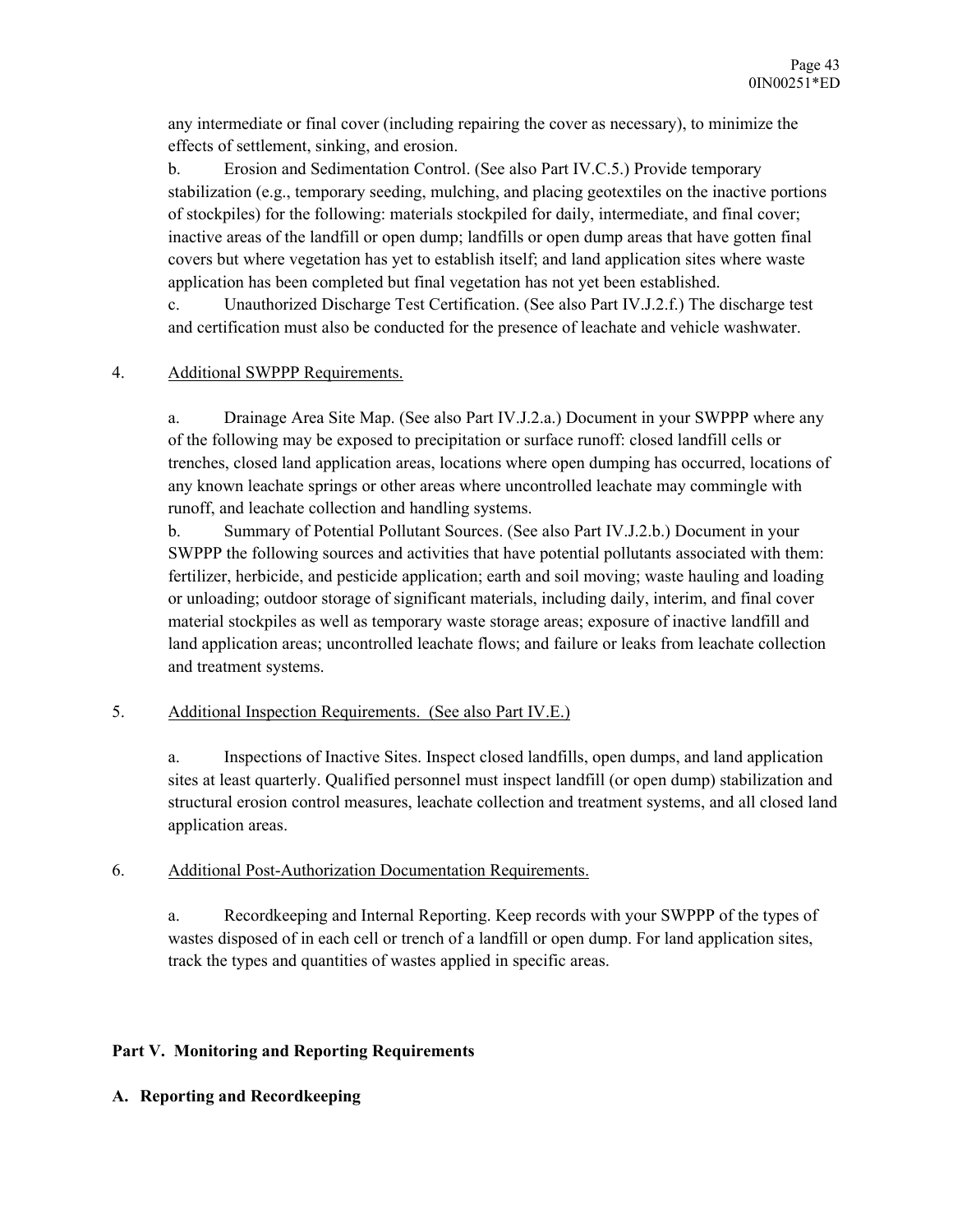any intermediate or final cover (including repairing the cover as necessary), to minimize the effects of settlement, sinking, and erosion.

 b. Erosion and Sedimentation Control. (See also Part IV.C.5.) Provide temporary stabilization (e.g., temporary seeding, mulching, and placing geotextiles on the inactive portions of stockpiles) for the following: materials stockpiled for daily, intermediate, and final cover; inactive areas of the landfill or open dump; landfills or open dump areas that have gotten final covers but where vegetation has yet to establish itself; and land application sites where waste application has been completed but final vegetation has not yet been established.

 c. Unauthorized Discharge Test Certification. (See also Part IV.J.2.f.) The discharge test and certification must also be conducted for the presence of leachate and vehicle washwater.

## 4. Additional SWPPP Requirements.

 a. Drainage Area Site Map. (See also Part IV.J.2.a.) Document in your SWPPP where any of the following may be exposed to precipitation or surface runoff: closed landfill cells or trenches, closed land application areas, locations where open dumping has occurred, locations of any known leachate springs or other areas where uncontrolled leachate may commingle with runoff, and leachate collection and handling systems.

 b. Summary of Potential Pollutant Sources. (See also Part IV.J.2.b.) Document in your SWPPP the following sources and activities that have potential pollutants associated with them: fertilizer, herbicide, and pesticide application; earth and soil moving; waste hauling and loading or unloading; outdoor storage of significant materials, including daily, interim, and final cover material stockpiles as well as temporary waste storage areas; exposure of inactive landfill and land application areas; uncontrolled leachate flows; and failure or leaks from leachate collection and treatment systems.

## 5. Additional Inspection Requirements. (See also Part IV.E.)

 a. Inspections of Inactive Sites. Inspect closed landfills, open dumps, and land application sites at least quarterly. Qualified personnel must inspect landfill (or open dump) stabilization and structural erosion control measures, leachate collection and treatment systems, and all closed land application areas.

## 6. Additional Post-Authorization Documentation Requirements.

 a. Recordkeeping and Internal Reporting. Keep records with your SWPPP of the types of wastes disposed of in each cell or trench of a landfill or open dump. For land application sites, track the types and quantities of wastes applied in specific areas.

## **Part V. Monitoring and Reporting Requirements**

## **A. Reporting and Recordkeeping**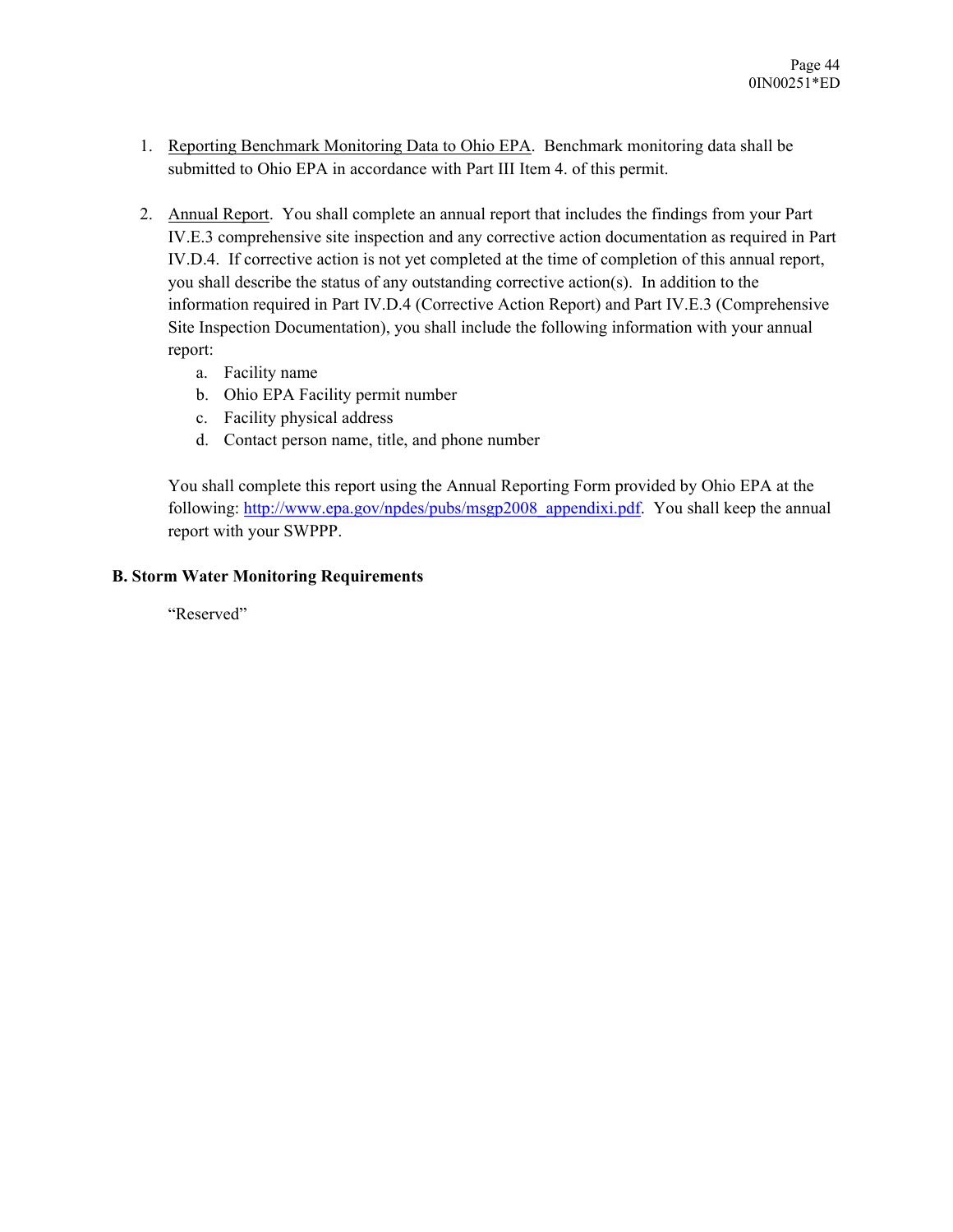- 1. Reporting Benchmark Monitoring Data to Ohio EPA. Benchmark monitoring data shall be submitted to Ohio EPA in accordance with Part III Item 4. of this permit.
- 2. Annual Report. You shall complete an annual report that includes the findings from your Part IV.E.3 comprehensive site inspection and any corrective action documentation as required in Part IV.D.4. If corrective action is not yet completed at the time of completion of this annual report, you shall describe the status of any outstanding corrective action(s). In addition to the information required in Part IV.D.4 (Corrective Action Report) and Part IV.E.3 (Comprehensive Site Inspection Documentation), you shall include the following information with your annual report:
	- a. Facility name
	- b. Ohio EPA Facility permit number
	- c. Facility physical address
	- d. Contact person name, title, and phone number

You shall complete this report using the Annual Reporting Form provided by Ohio EPA at the following: http://www.epa.gov/npdes/pubs/msgp2008 appendixi.pdf. You shall keep the annual report with your SWPPP.

## **B. Storm Water Monitoring Requirements**

"Reserved"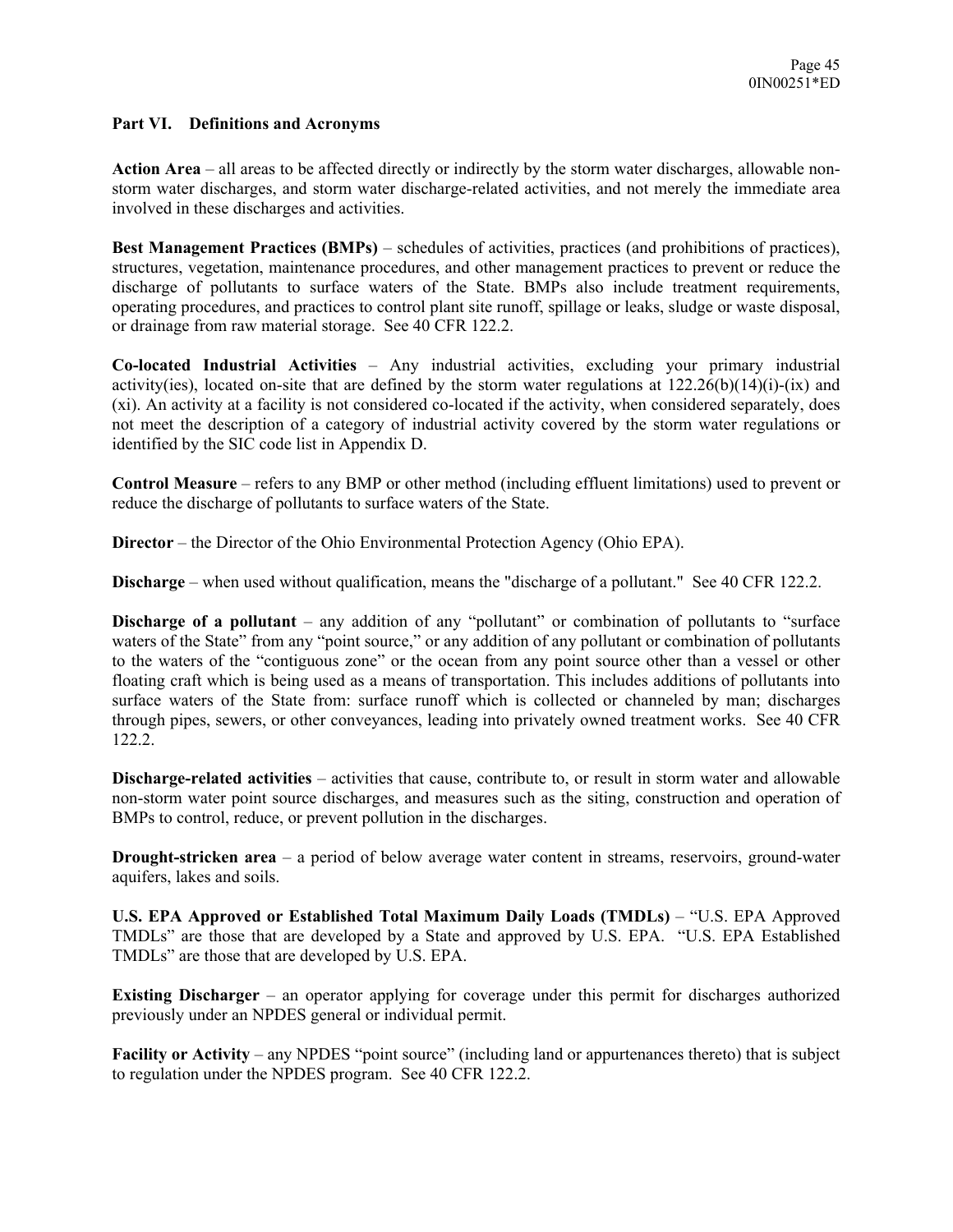#### **Part VI. Definitions and Acronyms**

**Action Area** – all areas to be affected directly or indirectly by the storm water discharges, allowable nonstorm water discharges, and storm water discharge-related activities, and not merely the immediate area involved in these discharges and activities.

**Best Management Practices (BMPs)** – schedules of activities, practices (and prohibitions of practices), structures, vegetation, maintenance procedures, and other management practices to prevent or reduce the discharge of pollutants to surface waters of the State. BMPs also include treatment requirements, operating procedures, and practices to control plant site runoff, spillage or leaks, sludge or waste disposal, or drainage from raw material storage. See 40 CFR 122.2.

**Co-located Industrial Activities** – Any industrial activities, excluding your primary industrial activity(ies), located on-site that are defined by the storm water regulations at 122.26(b)(14)(i)-(ix) and (xi). An activity at a facility is not considered co-located if the activity, when considered separately, does not meet the description of a category of industrial activity covered by the storm water regulations or identified by the SIC code list in Appendix D.

**Control Measure** – refers to any BMP or other method (including effluent limitations) used to prevent or reduce the discharge of pollutants to surface waters of the State.

**Director** – the Director of the Ohio Environmental Protection Agency (Ohio EPA).

**Discharge** – when used without qualification, means the "discharge of a pollutant." See 40 CFR 122.2.

**Discharge of a pollutant** – any addition of any "pollutant" or combination of pollutants to "surface" waters of the State" from any "point source," or any addition of any pollutant or combination of pollutants to the waters of the "contiguous zone" or the ocean from any point source other than a vessel or other floating craft which is being used as a means of transportation. This includes additions of pollutants into surface waters of the State from: surface runoff which is collected or channeled by man; discharges through pipes, sewers, or other conveyances, leading into privately owned treatment works. See 40 CFR 122.2.

**Discharge-related activities** – activities that cause, contribute to, or result in storm water and allowable non-storm water point source discharges, and measures such as the siting, construction and operation of BMPs to control, reduce, or prevent pollution in the discharges.

**Drought-stricken area** – a period of below average water content in streams, reservoirs, ground-water aquifers, lakes and soils.

**U.S. EPA Approved or Established Total Maximum Daily Loads (TMDLs)** – "U.S. EPA Approved TMDLs" are those that are developed by a State and approved by U.S. EPA. "U.S. EPA Established TMDLs" are those that are developed by U.S. EPA.

**Existing Discharger** – an operator applying for coverage under this permit for discharges authorized previously under an NPDES general or individual permit.

**Facility or Activity** – any NPDES "point source" (including land or appurtenances thereto) that is subject to regulation under the NPDES program. See 40 CFR 122.2.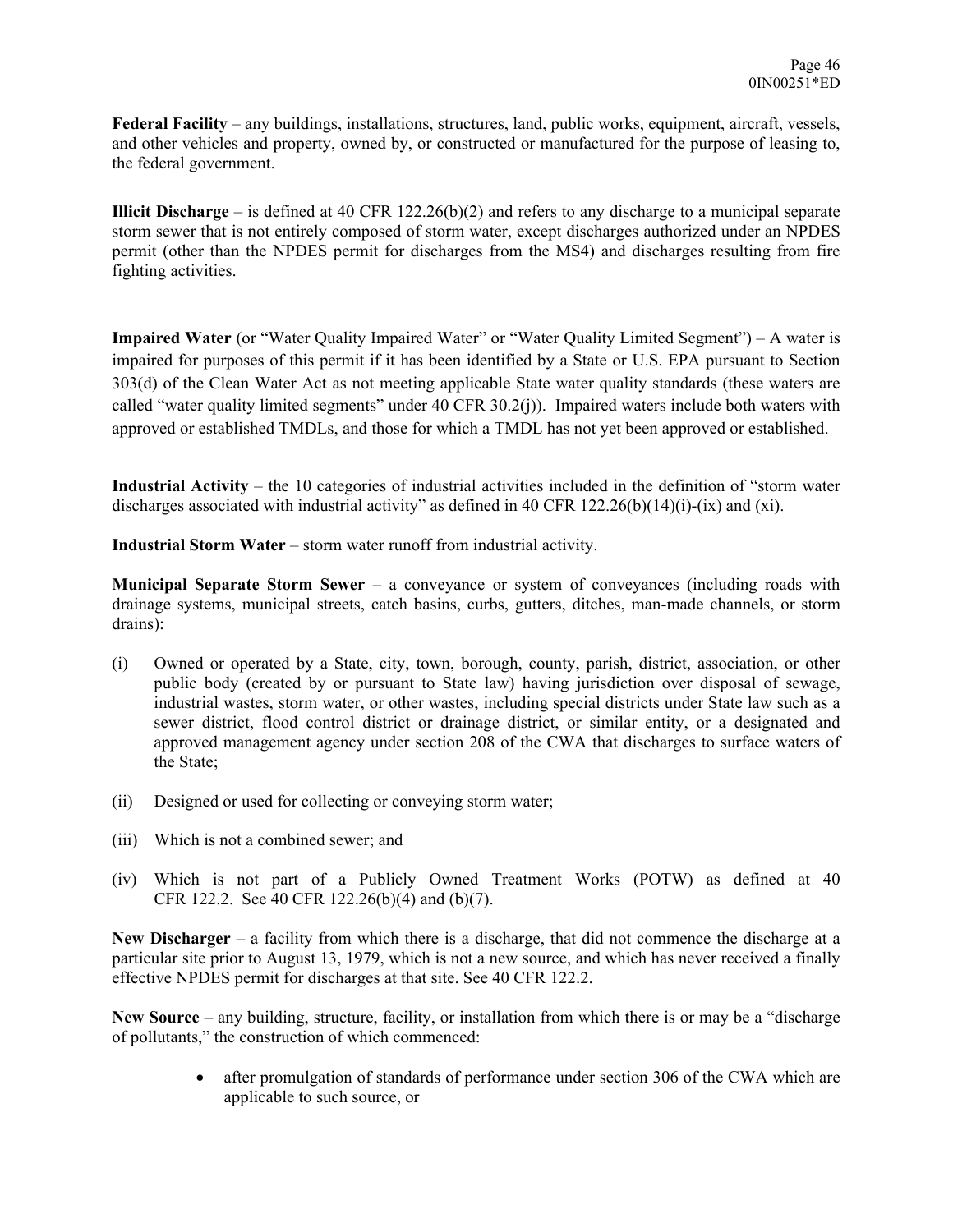**Federal Facility** – any buildings, installations, structures, land, public works, equipment, aircraft, vessels, and other vehicles and property, owned by, or constructed or manufactured for the purpose of leasing to, the federal government.

**Illicit Discharge** – is defined at 40 CFR 122.26(b)(2) and refers to any discharge to a municipal separate storm sewer that is not entirely composed of storm water, except discharges authorized under an NPDES permit (other than the NPDES permit for discharges from the MS4) and discharges resulting from fire fighting activities.

**Impaired Water** (or "Water Quality Impaired Water" or "Water Quality Limited Segment") – A water is impaired for purposes of this permit if it has been identified by a State or U.S. EPA pursuant to Section 303(d) of the Clean Water Act as not meeting applicable State water quality standards (these waters are called "water quality limited segments" under 40 CFR 30.2(j)). Impaired waters include both waters with approved or established TMDLs, and those for which a TMDL has not yet been approved or established.

**Industrial Activity** – the 10 categories of industrial activities included in the definition of "storm water discharges associated with industrial activity" as defined in 40 CFR 122.26(b)(14)(i)-(ix) and (xi).

**Industrial Storm Water** – storm water runoff from industrial activity.

**Municipal Separate Storm Sewer** – a conveyance or system of conveyances (including roads with drainage systems, municipal streets, catch basins, curbs, gutters, ditches, man-made channels, or storm drains):

- (i) Owned or operated by a State, city, town, borough, county, parish, district, association, or other public body (created by or pursuant to State law) having jurisdiction over disposal of sewage, industrial wastes, storm water, or other wastes, including special districts under State law such as a sewer district, flood control district or drainage district, or similar entity, or a designated and approved management agency under section 208 of the CWA that discharges to surface waters of the State;
- (ii) Designed or used for collecting or conveying storm water;
- (iii) Which is not a combined sewer; and
- (iv) Which is not part of a Publicly Owned Treatment Works (POTW) as defined at 40 CFR 122.2. See 40 CFR 122.26(b)(4) and (b)(7).

**New Discharger** – a facility from which there is a discharge, that did not commence the discharge at a particular site prior to August 13, 1979, which is not a new source, and which has never received a finally effective NPDES permit for discharges at that site. See 40 CFR 122.2.

**New Source** – any building, structure, facility, or installation from which there is or may be a "discharge of pollutants," the construction of which commenced:

> after promulgation of standards of performance under section 306 of the CWA which are applicable to such source, or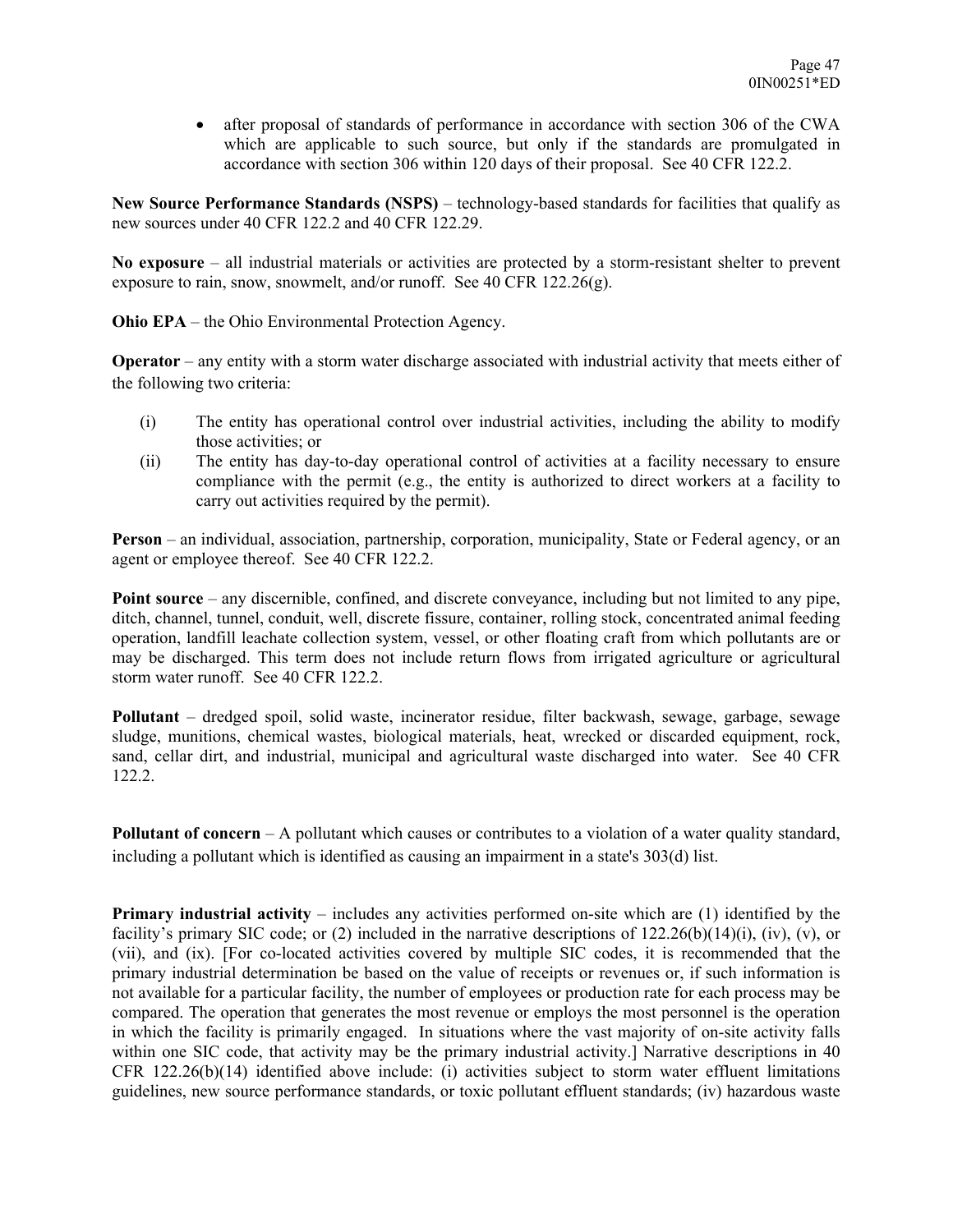after proposal of standards of performance in accordance with section 306 of the CWA which are applicable to such source, but only if the standards are promulgated in accordance with section 306 within 120 days of their proposal. See 40 CFR 122.2.

**New Source Performance Standards (NSPS)** – technology-based standards for facilities that qualify as new sources under 40 CFR 122.2 and 40 CFR 122.29.

**No exposure** – all industrial materials or activities are protected by a storm-resistant shelter to prevent exposure to rain, snow, snowmelt, and/or runoff. See 40 CFR 122.26(g).

**Ohio EPA** – the Ohio Environmental Protection Agency.

**Operator** – any entity with a storm water discharge associated with industrial activity that meets either of the following two criteria:

- (i) The entity has operational control over industrial activities, including the ability to modify those activities; or
- (ii) The entity has day-to-day operational control of activities at a facility necessary to ensure compliance with the permit (e.g., the entity is authorized to direct workers at a facility to carry out activities required by the permit).

**Person** – an individual, association, partnership, corporation, municipality, State or Federal agency, or an agent or employee thereof. See 40 CFR 122.2.

**Point source** – any discernible, confined, and discrete conveyance, including but not limited to any pipe, ditch, channel, tunnel, conduit, well, discrete fissure, container, rolling stock, concentrated animal feeding operation, landfill leachate collection system, vessel, or other floating craft from which pollutants are or may be discharged. This term does not include return flows from irrigated agriculture or agricultural storm water runoff. See 40 CFR 122.2.

**Pollutant** – dredged spoil, solid waste, incinerator residue, filter backwash, sewage, garbage, sewage sludge, munitions, chemical wastes, biological materials, heat, wrecked or discarded equipment, rock, sand, cellar dirt, and industrial, municipal and agricultural waste discharged into water. See 40 CFR 122.2.

**Pollutant of concern** – A pollutant which causes or contributes to a violation of a water quality standard, including a pollutant which is identified as causing an impairment in a state's 303(d) list.

**Primary industrial activity** – includes any activities performed on-site which are (1) identified by the facility's primary SIC code; or (2) included in the narrative descriptions of  $122.26(b)(14)(i)$ , (iv), (v), or (vii), and (ix). [For co-located activities covered by multiple SIC codes, it is recommended that the primary industrial determination be based on the value of receipts or revenues or, if such information is not available for a particular facility, the number of employees or production rate for each process may be compared. The operation that generates the most revenue or employs the most personnel is the operation in which the facility is primarily engaged. In situations where the vast majority of on-site activity falls within one SIC code, that activity may be the primary industrial activity.] Narrative descriptions in 40 CFR 122.26(b)(14) identified above include: (i) activities subject to storm water effluent limitations guidelines, new source performance standards, or toxic pollutant effluent standards; (iv) hazardous waste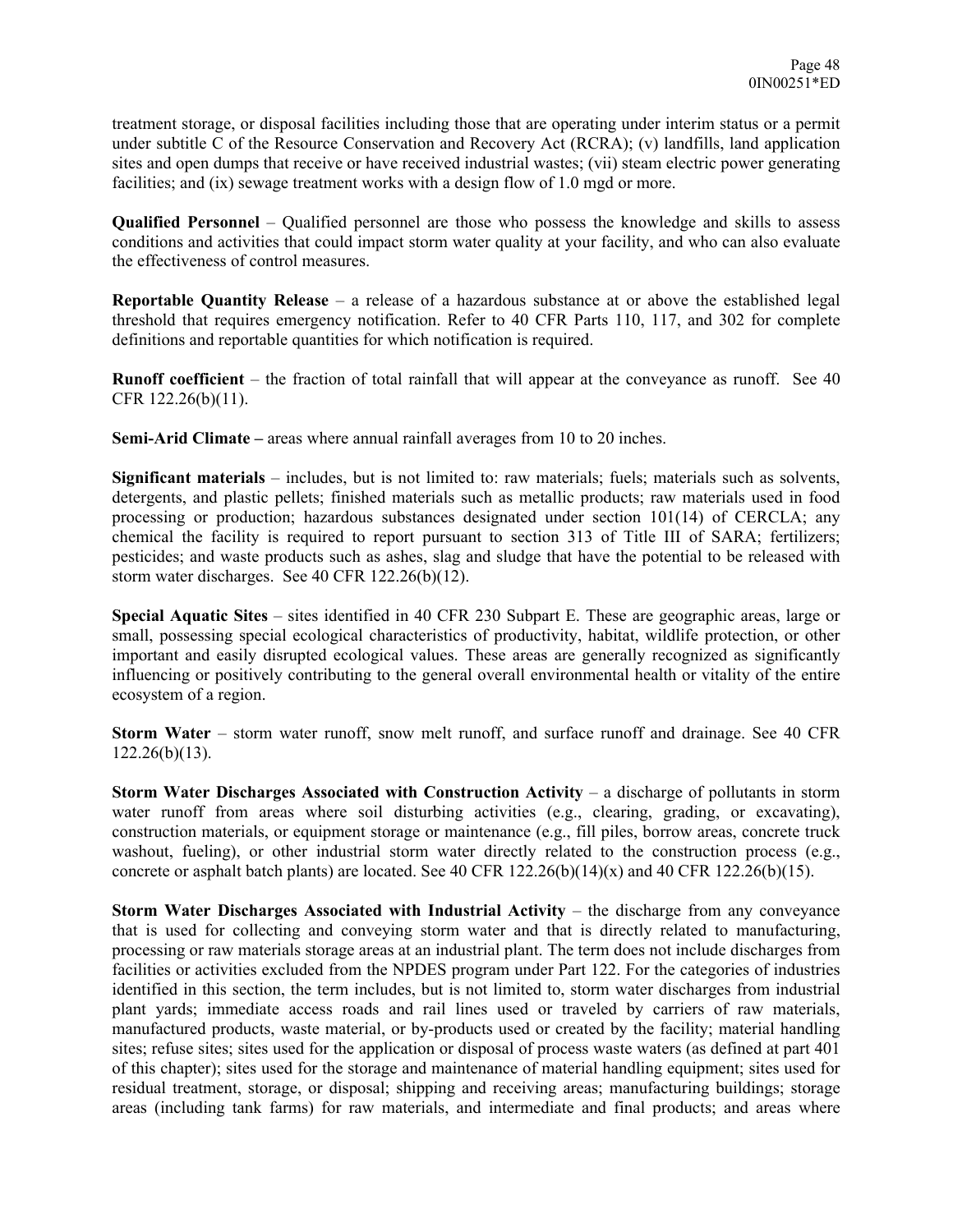treatment storage, or disposal facilities including those that are operating under interim status or a permit under subtitle C of the Resource Conservation and Recovery Act (RCRA); (v) landfills, land application sites and open dumps that receive or have received industrial wastes; (vii) steam electric power generating facilities; and (ix) sewage treatment works with a design flow of 1.0 mgd or more.

**Qualified Personnel** – Qualified personnel are those who possess the knowledge and skills to assess conditions and activities that could impact storm water quality at your facility, and who can also evaluate the effectiveness of control measures.

**Reportable Quantity Release** – a release of a hazardous substance at or above the established legal threshold that requires emergency notification. Refer to 40 CFR Parts 110, 117, and 302 for complete definitions and reportable quantities for which notification is required.

**Runoff coefficient** – the fraction of total rainfall that will appear at the conveyance as runoff. See 40 CFR 122.26(b)(11).

**Semi-Arid Climate –** areas where annual rainfall averages from 10 to 20 inches.

**Significant materials** – includes, but is not limited to: raw materials; fuels; materials such as solvents, detergents, and plastic pellets; finished materials such as metallic products; raw materials used in food processing or production; hazardous substances designated under section 101(14) of CERCLA; any chemical the facility is required to report pursuant to section 313 of Title III of SARA; fertilizers; pesticides; and waste products such as ashes, slag and sludge that have the potential to be released with storm water discharges. See 40 CFR 122.26(b)(12).

**Special Aquatic Sites** – sites identified in 40 CFR 230 Subpart E. These are geographic areas, large or small, possessing special ecological characteristics of productivity, habitat, wildlife protection, or other important and easily disrupted ecological values. These areas are generally recognized as significantly influencing or positively contributing to the general overall environmental health or vitality of the entire ecosystem of a region.

**Storm Water** – storm water runoff, snow melt runoff, and surface runoff and drainage. See 40 CFR 122.26(b)(13).

**Storm Water Discharges Associated with Construction Activity** – a discharge of pollutants in storm water runoff from areas where soil disturbing activities (e.g., clearing, grading, or excavating), construction materials, or equipment storage or maintenance (e.g., fill piles, borrow areas, concrete truck washout, fueling), or other industrial storm water directly related to the construction process (e.g., concrete or asphalt batch plants) are located. See 40 CFR  $122.26(b)(14)(x)$  and 40 CFR  $122.26(b)(15)$ .

**Storm Water Discharges Associated with Industrial Activity** – the discharge from any conveyance that is used for collecting and conveying storm water and that is directly related to manufacturing, processing or raw materials storage areas at an industrial plant. The term does not include discharges from facilities or activities excluded from the NPDES program under Part 122. For the categories of industries identified in this section, the term includes, but is not limited to, storm water discharges from industrial plant yards; immediate access roads and rail lines used or traveled by carriers of raw materials, manufactured products, waste material, or by-products used or created by the facility; material handling sites; refuse sites; sites used for the application or disposal of process waste waters (as defined at part 401 of this chapter); sites used for the storage and maintenance of material handling equipment; sites used for residual treatment, storage, or disposal; shipping and receiving areas; manufacturing buildings; storage areas (including tank farms) for raw materials, and intermediate and final products; and areas where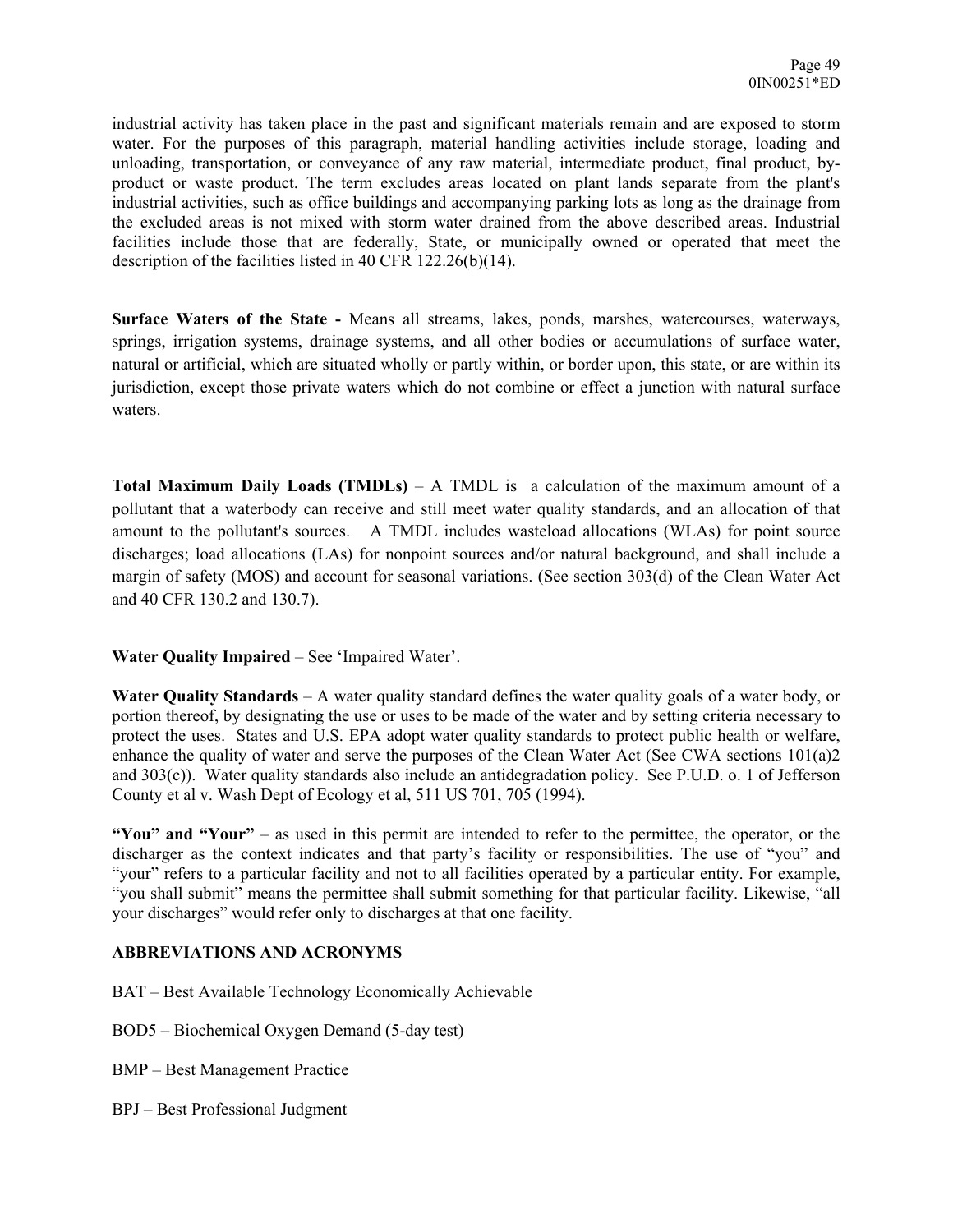industrial activity has taken place in the past and significant materials remain and are exposed to storm water. For the purposes of this paragraph, material handling activities include storage, loading and unloading, transportation, or conveyance of any raw material, intermediate product, final product, byproduct or waste product. The term excludes areas located on plant lands separate from the plant's industrial activities, such as office buildings and accompanying parking lots as long as the drainage from the excluded areas is not mixed with storm water drained from the above described areas. Industrial facilities include those that are federally, State, or municipally owned or operated that meet the description of the facilities listed in 40 CFR 122.26(b)(14).

**Surface Waters of the State -** Means all streams, lakes, ponds, marshes, watercourses, waterways, springs, irrigation systems, drainage systems, and all other bodies or accumulations of surface water, natural or artificial, which are situated wholly or partly within, or border upon, this state, or are within its jurisdiction, except those private waters which do not combine or effect a junction with natural surface waters.

**Total Maximum Daily Loads (TMDLs)** – A TMDL is a calculation of the maximum amount of a pollutant that a waterbody can receive and still meet water quality standards, and an allocation of that amount to the pollutant's sources. A TMDL includes wasteload allocations (WLAs) for point source discharges; load allocations (LAs) for nonpoint sources and/or natural background, and shall include a margin of safety (MOS) and account for seasonal variations. (See section 303(d) of the Clean Water Act and 40 CFR 130.2 and 130.7).

#### **Water Quality Impaired** – See 'Impaired Water'.

**Water Quality Standards** – A water quality standard defines the water quality goals of a water body, or portion thereof, by designating the use or uses to be made of the water and by setting criteria necessary to protect the uses. States and U.S. EPA adopt water quality standards to protect public health or welfare, enhance the quality of water and serve the purposes of the Clean Water Act (See CWA sections 101(a)2 and 303(c)). Water quality standards also include an antidegradation policy. See P.U.D. o. 1 of Jefferson County et al v. Wash Dept of Ecology et al, 511 US 701, 705 (1994).

**"You" and "Your"** – as used in this permit are intended to refer to the permittee, the operator, or the discharger as the context indicates and that party's facility or responsibilities. The use of "you" and "your" refers to a particular facility and not to all facilities operated by a particular entity. For example, "you shall submit" means the permittee shall submit something for that particular facility. Likewise, "all your discharges" would refer only to discharges at that one facility.

#### **ABBREVIATIONS AND ACRONYMS**

BAT – Best Available Technology Economically Achievable

BOD5 – Biochemical Oxygen Demand (5-day test)

BMP – Best Management Practice

BPJ – Best Professional Judgment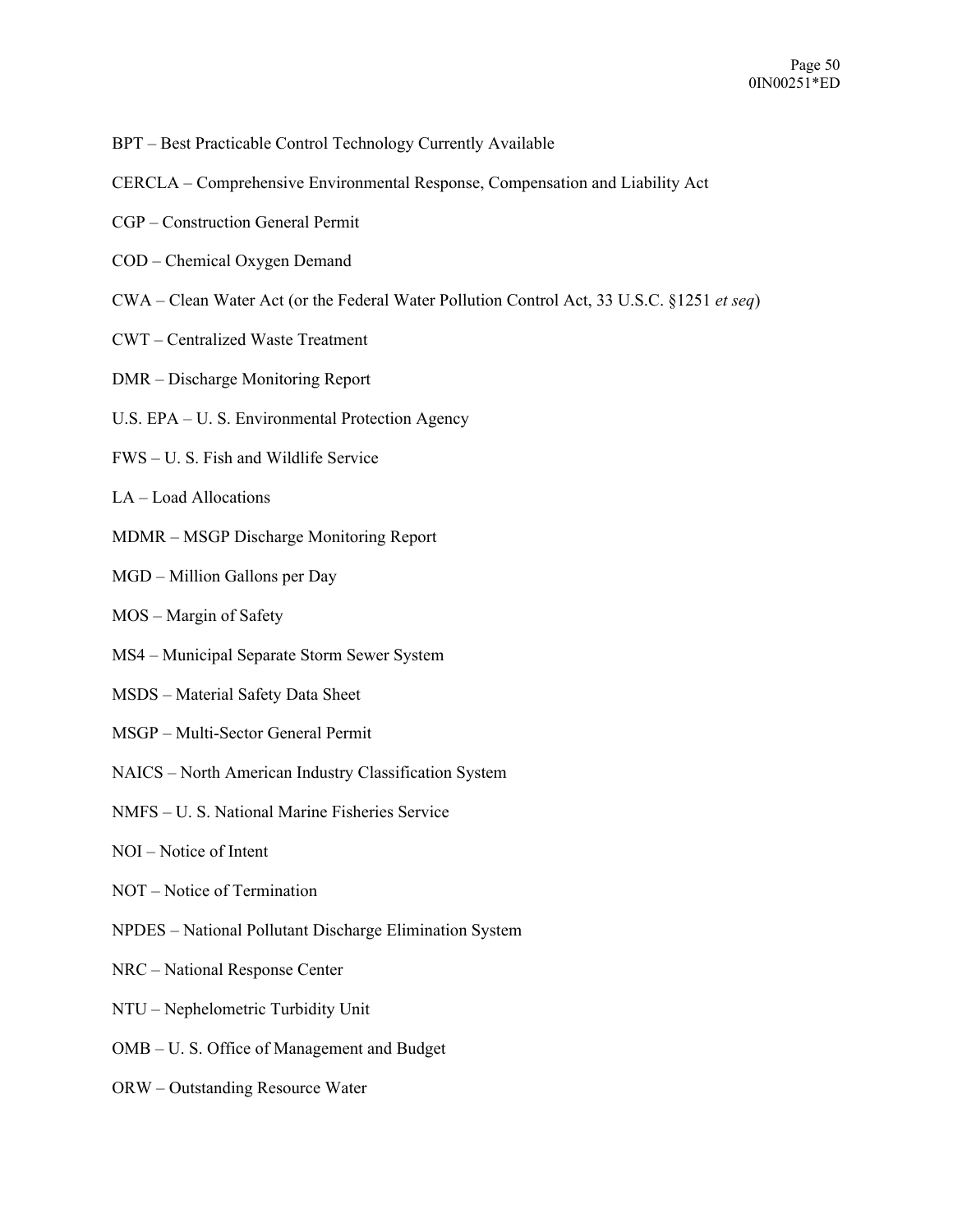- BPT Best Practicable Control Technology Currently Available
- CERCLA Comprehensive Environmental Response, Compensation and Liability Act
- CGP Construction General Permit
- COD Chemical Oxygen Demand
- CWA Clean Water Act (or the Federal Water Pollution Control Act, 33 U.S.C. §1251 *et seq*)
- CWT Centralized Waste Treatment
- DMR Discharge Monitoring Report
- U.S. EPA U. S. Environmental Protection Agency
- FWS U. S. Fish and Wildlife Service
- LA Load Allocations
- MDMR MSGP Discharge Monitoring Report
- MGD Million Gallons per Day
- MOS Margin of Safety
- MS4 Municipal Separate Storm Sewer System
- MSDS Material Safety Data Sheet
- MSGP Multi-Sector General Permit
- NAICS North American Industry Classification System
- NMFS U. S. National Marine Fisheries Service
- NOI Notice of Intent
- NOT Notice of Termination
- NPDES National Pollutant Discharge Elimination System
- NRC National Response Center
- NTU Nephelometric Turbidity Unit
- OMB U. S. Office of Management and Budget
- ORW Outstanding Resource Water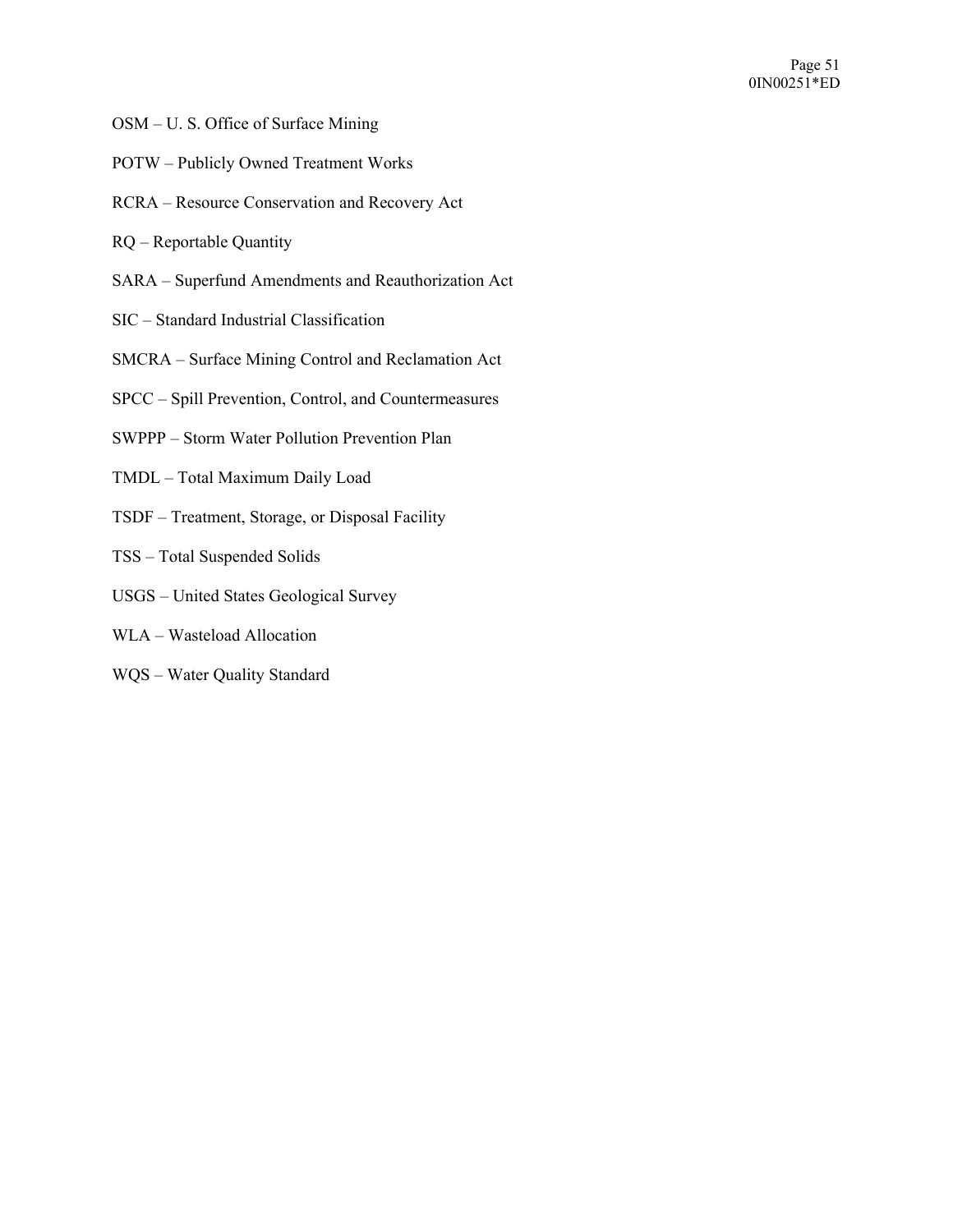- OSM U. S. Office of Surface Mining
- POTW Publicly Owned Treatment Works
- RCRA Resource Conservation and Recovery Act
- RQ Reportable Quantity
- SARA Superfund Amendments and Reauthorization Act
- SIC Standard Industrial Classification
- SMCRA Surface Mining Control and Reclamation Act
- SPCC Spill Prevention, Control, and Countermeasures
- SWPPP Storm Water Pollution Prevention Plan
- TMDL Total Maximum Daily Load
- TSDF Treatment, Storage, or Disposal Facility
- TSS Total Suspended Solids
- USGS United States Geological Survey
- WLA Wasteload Allocation
- WQS Water Quality Standard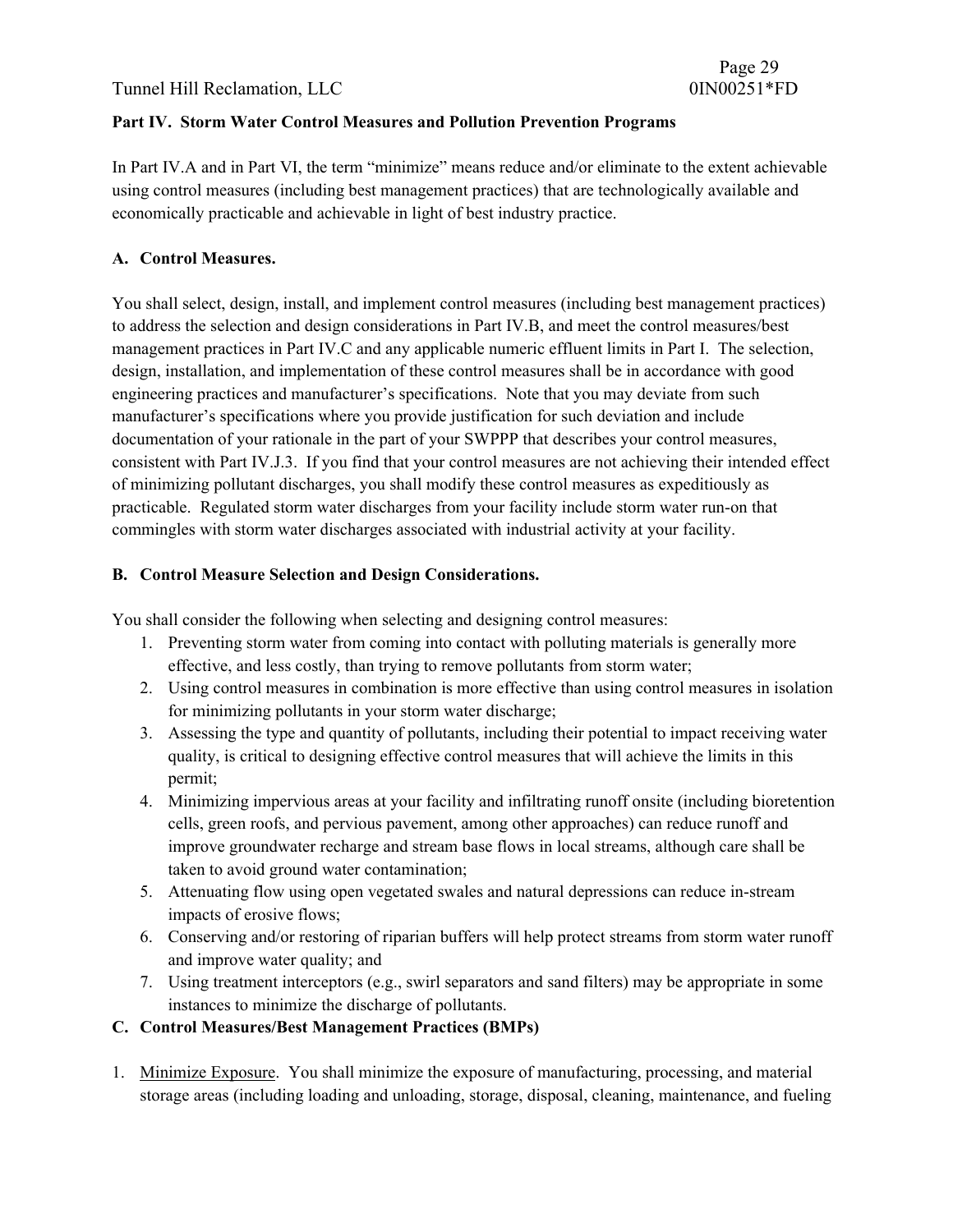# **Part IV. Storm Water Control Measures and Pollution Prevention Programs**

In Part IV.A and in Part VI, the term "minimize" means reduce and/or eliminate to the extent achievable using control measures (including best management practices) that are technologically available and economically practicable and achievable in light of best industry practice.

# **A. Control Measures.**

You shall select, design, install, and implement control measures (including best management practices) to address the selection and design considerations in Part IV.B, and meet the control measures/best management practices in Part IV.C and any applicable numeric effluent limits in Part I.The selection, design, installation, and implementation of these control measures shall be in accordance with good engineering practices and manufacturer's specifications. Note that you may deviate from such manufacturer's specifications where you provide justification for such deviation and include documentation of your rationale in the part of your SWPPP that describes your control measures, consistent with Part IV.J.3. If you find that your control measures are not achieving their intended effect of minimizing pollutant discharges, you shall modify these control measures as expeditiously as practicable. Regulated storm water discharges from your facility include storm water run-on that commingles with storm water discharges associated with industrial activity at your facility.

## **B. Control Measure Selection and Design Considerations.**

You shall consider the following when selecting and designing control measures:

- 1. Preventing storm water from coming into contact with polluting materials is generally more effective, and less costly, than trying to remove pollutants from storm water;
- 2. Using control measures in combination is more effective than using control measures in isolation for minimizing pollutants in your storm water discharge;
- 3. Assessing the type and quantity of pollutants, including their potential to impact receiving water quality, is critical to designing effective control measures that will achieve the limits in this permit;
- 4. Minimizing impervious areas at your facility and infiltrating runoff onsite (including bioretention cells, green roofs, and pervious pavement, among other approaches) can reduce runoff and improve groundwater recharge and stream base flows in local streams, although care shall be taken to avoid ground water contamination;
- 5. Attenuating flow using open vegetated swales and natural depressions can reduce in-stream impacts of erosive flows;
- 6. Conserving and/or restoring of riparian buffers will help protect streams from storm water runoff and improve water quality; and
- 7. Using treatment interceptors (e.g., swirl separators and sand filters) may be appropriate in some instances to minimize the discharge of pollutants.

# **C. Control Measures/Best Management Practices (BMPs)**

1. Minimize Exposure. You shall minimize the exposure of manufacturing, processing, and material storage areas (including loading and unloading, storage, disposal, cleaning, maintenance, and fueling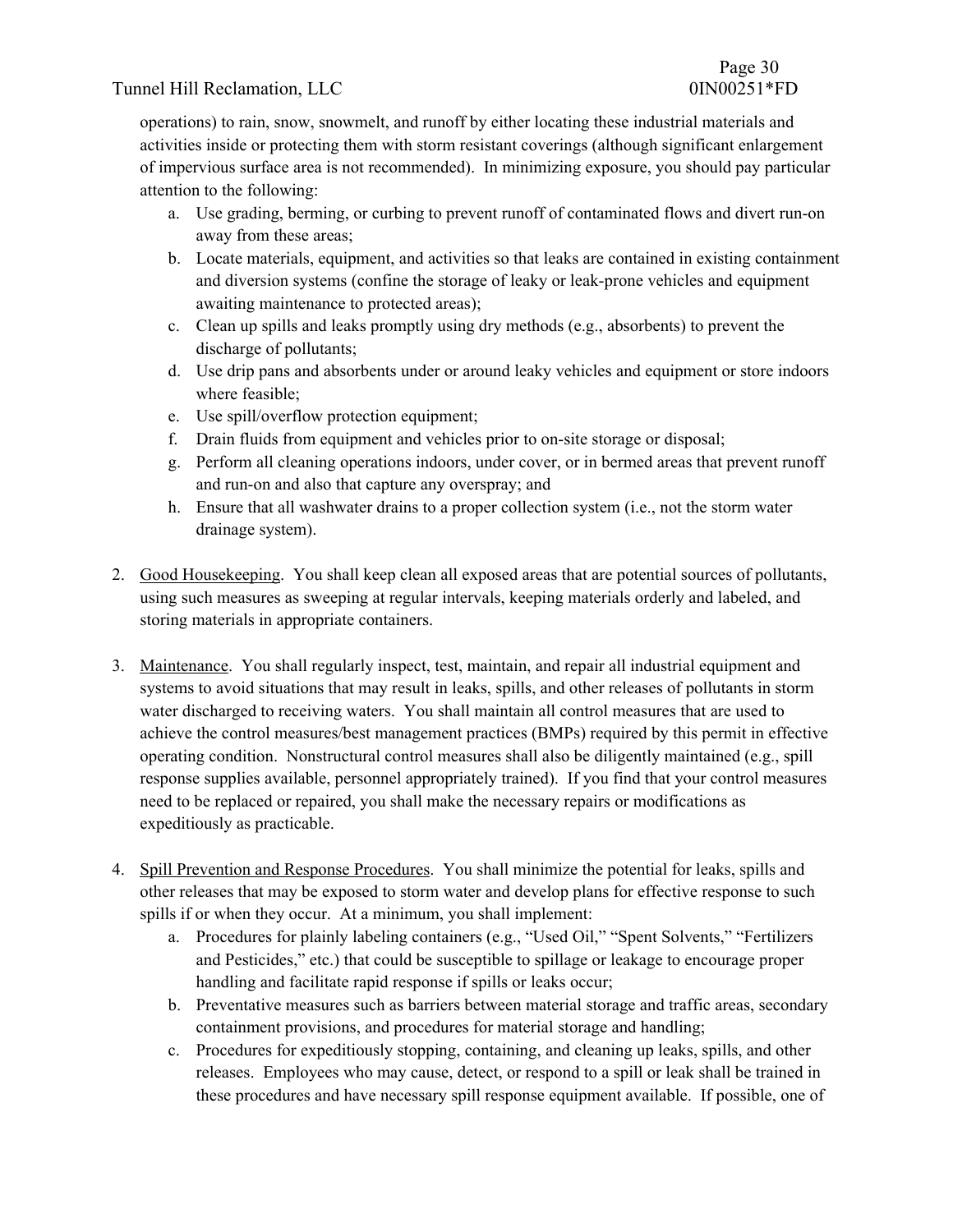operations) to rain, snow, snowmelt, and runoff by either locating these industrial materials and activities inside or protecting them with storm resistant coverings (although significant enlargement of impervious surface area is not recommended). In minimizing exposure, you should pay particular attention to the following:

- a. Use grading, berming, or curbing to prevent runoff of contaminated flows and divert run-on away from these areas;
- b. Locate materials, equipment, and activities so that leaks are contained in existing containment and diversion systems (confine the storage of leaky or leak-prone vehicles and equipment awaiting maintenance to protected areas);
- c. Clean up spills and leaks promptly using dry methods (e.g., absorbents) to prevent the discharge of pollutants;
- d. Use drip pans and absorbents under or around leaky vehicles and equipment or store indoors where feasible;
- e. Use spill/overflow protection equipment;
- f. Drain fluids from equipment and vehicles prior to on-site storage or disposal;
- g. Perform all cleaning operations indoors, under cover, or in bermed areas that prevent runoff and run-on and also that capture any overspray; and
- h. Ensure that all washwater drains to a proper collection system (i.e., not the storm water drainage system).
- 2. Good Housekeeping. You shall keep clean all exposed areas that are potential sources of pollutants, using such measures as sweeping at regular intervals, keeping materials orderly and labeled, and storing materials in appropriate containers.
- 3. Maintenance. You shall regularly inspect, test, maintain, and repair all industrial equipment and systems to avoid situations that may result in leaks, spills, and other releases of pollutants in storm water discharged to receiving waters. You shall maintain all control measures that are used to achieve the control measures/best management practices (BMPs) required by this permit in effective operating condition. Nonstructural control measures shall also be diligently maintained (e.g., spill response supplies available, personnel appropriately trained). If you find that your control measures need to be replaced or repaired, you shall make the necessary repairs or modifications as expeditiously as practicable.
- 4. Spill Prevention and Response Procedures. You shall minimize the potential for leaks, spills and other releases that may be exposed to storm water and develop plans for effective response to such spills if or when they occur. At a minimum, you shall implement:
	- a. Procedures for plainly labeling containers (e.g., "Used Oil," "Spent Solvents," "Fertilizers and Pesticides," etc.) that could be susceptible to spillage or leakage to encourage proper handling and facilitate rapid response if spills or leaks occur;
	- b. Preventative measures such as barriers between material storage and traffic areas, secondary containment provisions, and procedures for material storage and handling;
	- c. Procedures for expeditiously stopping, containing, and cleaning up leaks, spills, and other releases. Employees who may cause, detect, or respond to a spill or leak shall be trained in these procedures and have necessary spill response equipment available. If possible, one of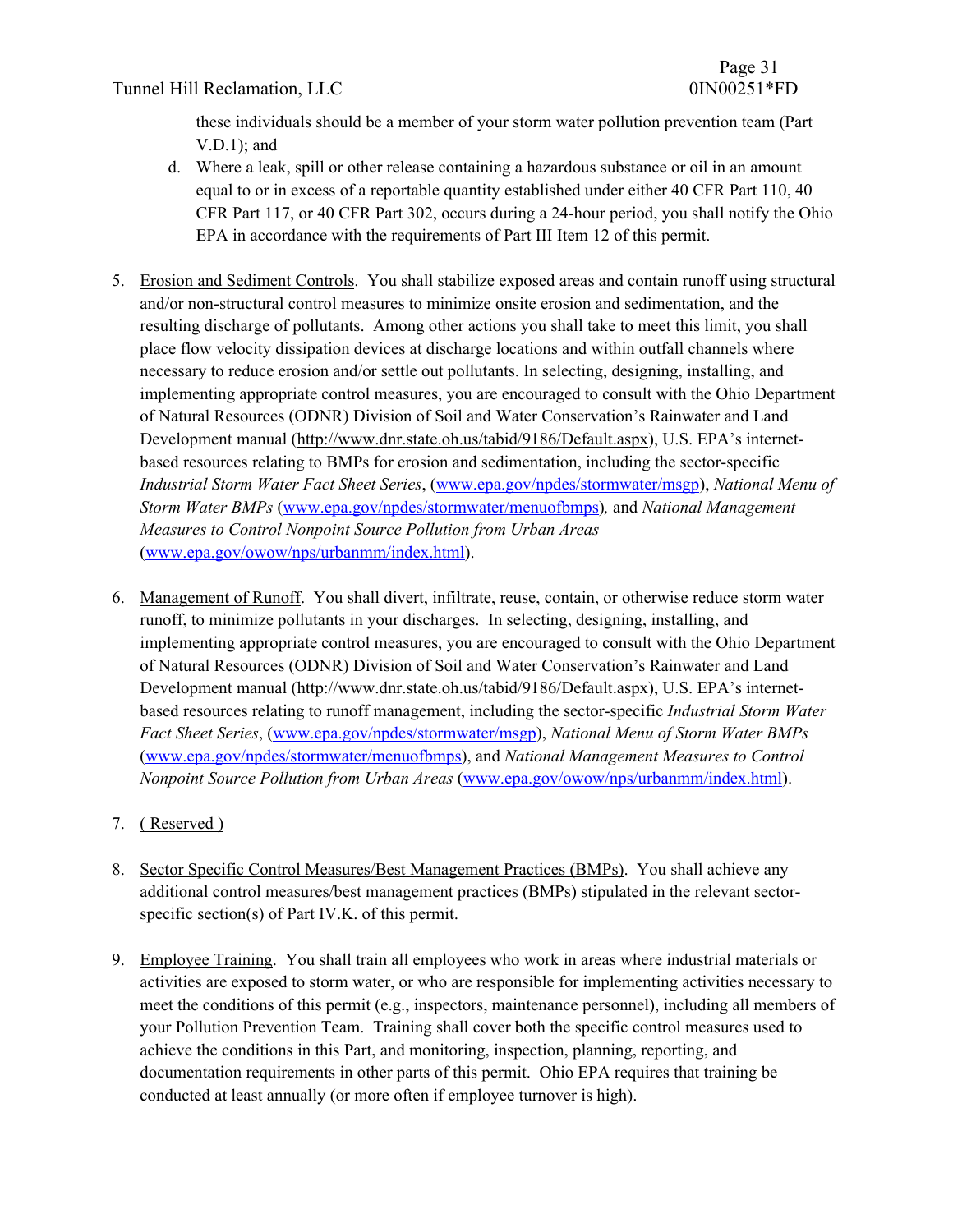these individuals should be a member of your storm water pollution prevention team (Part V.D.1); and

- d. Where a leak, spill or other release containing a hazardous substance or oil in an amount equal to or in excess of a reportable quantity established under either 40 CFR Part 110, 40 CFR Part 117, or 40 CFR Part 302, occurs during a 24-hour period, you shall notify the Ohio EPA in accordance with the requirements of Part III Item 12 of this permit.
- 5. Erosion and Sediment Controls. You shall stabilize exposed areas and contain runoff using structural and/or non-structural control measures to minimize onsite erosion and sedimentation, and the resulting discharge of pollutants. Among other actions you shall take to meet this limit, you shall place flow velocity dissipation devices at discharge locations and within outfall channels where necessary to reduce erosion and/or settle out pollutants. In selecting, designing, installing, and implementing appropriate control measures, you are encouraged to consult with the Ohio Department of Natural Resources (ODNR) Division of Soil and Water Conservation's Rainwater and Land Development manual (http://www.dnr.state.oh.us/tabid/9186/Default.aspx), U.S. EPA's internetbased resources relating to BMPs for erosion and sedimentation, including the sector-specific *Industrial Storm Water Fact Sheet Series*, (www.epa.gov/npdes/stormwater/msgp), *National Menu of Storm Water BMPs* (www.epa.gov/npdes/stormwater/menuofbmps)*,* and *National Management Measures to Control Nonpoint Source Pollution from Urban Areas*  (www.epa.gov/owow/nps/urbanmm/index.html).
- 6. Management of Runoff. You shall divert, infiltrate, reuse, contain, or otherwise reduce storm water runoff, to minimize pollutants in your discharges. In selecting, designing, installing, and implementing appropriate control measures, you are encouraged to consult with the Ohio Department of Natural Resources (ODNR) Division of Soil and Water Conservation's Rainwater and Land Development manual (http://www.dnr.state.oh.us/tabid/9186/Default.aspx), U.S. EPA's internetbased resources relating to runoff management, including the sector-specific *Industrial Storm Water Fact Sheet Series*, (www.epa.gov/npdes/stormwater/msgp), *National Menu of Storm Water BMPs*  (www.epa.gov/npdes/stormwater/menuofbmps), and *National Management Measures to Control Nonpoint Source Pollution from Urban Areas* (www.epa.gov/owow/nps/urbanmm/index.html).
- 7. ( Reserved )
- 8. Sector Specific Control Measures/Best Management Practices (BMPs). You shall achieve any additional control measures/best management practices (BMPs) stipulated in the relevant sectorspecific section(s) of Part IV.K. of this permit.
- 9. Employee Training. You shall train all employees who work in areas where industrial materials or activities are exposed to storm water, or who are responsible for implementing activities necessary to meet the conditions of this permit (e.g., inspectors, maintenance personnel), including all members of your Pollution Prevention Team. Training shall cover both the specific control measures used to achieve the conditions in this Part, and monitoring, inspection, planning, reporting, and documentation requirements in other parts of this permit. Ohio EPA requires that training be conducted at least annually (or more often if employee turnover is high).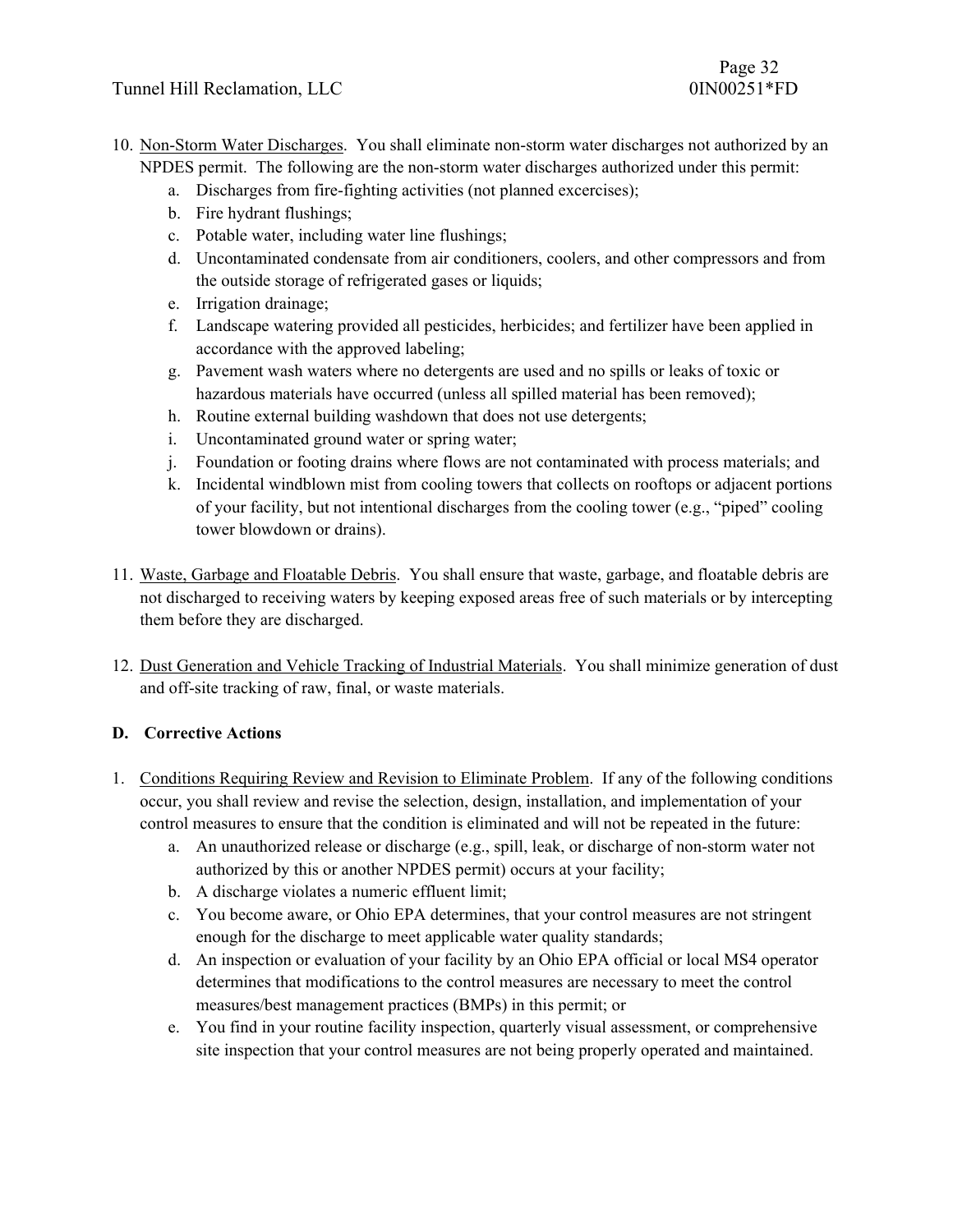- 10. Non-Storm Water Discharges. You shall eliminate non-storm water discharges not authorized by an NPDES permit. The following are the non-storm water discharges authorized under this permit:
	- a. Discharges from fire-fighting activities (not planned excercises);
	- b. Fire hydrant flushings;
	- c. Potable water, including water line flushings;
	- d. Uncontaminated condensate from air conditioners, coolers, and other compressors and from the outside storage of refrigerated gases or liquids;
	- e. Irrigation drainage;
	- f. Landscape watering provided all pesticides, herbicides; and fertilizer have been applied in accordance with the approved labeling;
	- g. Pavement wash waters where no detergents are used and no spills or leaks of toxic or hazardous materials have occurred (unless all spilled material has been removed);
	- h. Routine external building washdown that does not use detergents;
	- i. Uncontaminated ground water or spring water;
	- j. Foundation or footing drains where flows are not contaminated with process materials; and
	- k. Incidental windblown mist from cooling towers that collects on rooftops or adjacent portions of your facility, but not intentional discharges from the cooling tower (e.g., "piped" cooling tower blowdown or drains).
- 11. Waste, Garbage and Floatable Debris. You shall ensure that waste, garbage, and floatable debris are not discharged to receiving waters by keeping exposed areas free of such materials or by intercepting them before they are discharged.
- 12. Dust Generation and Vehicle Tracking of Industrial Materials. You shall minimize generation of dust and off-site tracking of raw, final, or waste materials.

## **D. Corrective Actions**

- 1. Conditions Requiring Review and Revision to Eliminate Problem. If any of the following conditions occur, you shall review and revise the selection, design, installation, and implementation of your control measures to ensure that the condition is eliminated and will not be repeated in the future:
	- a. An unauthorized release or discharge (e.g., spill, leak, or discharge of non-storm water not authorized by this or another NPDES permit) occurs at your facility;
	- b. A discharge violates a numeric effluent limit;
	- c. You become aware, or Ohio EPA determines, that your control measures are not stringent enough for the discharge to meet applicable water quality standards;
	- d. An inspection or evaluation of your facility by an Ohio EPA official or local MS4 operator determines that modifications to the control measures are necessary to meet the control measures/best management practices (BMPs) in this permit; or
	- e. You find in your routine facility inspection, quarterly visual assessment, or comprehensive site inspection that your control measures are not being properly operated and maintained.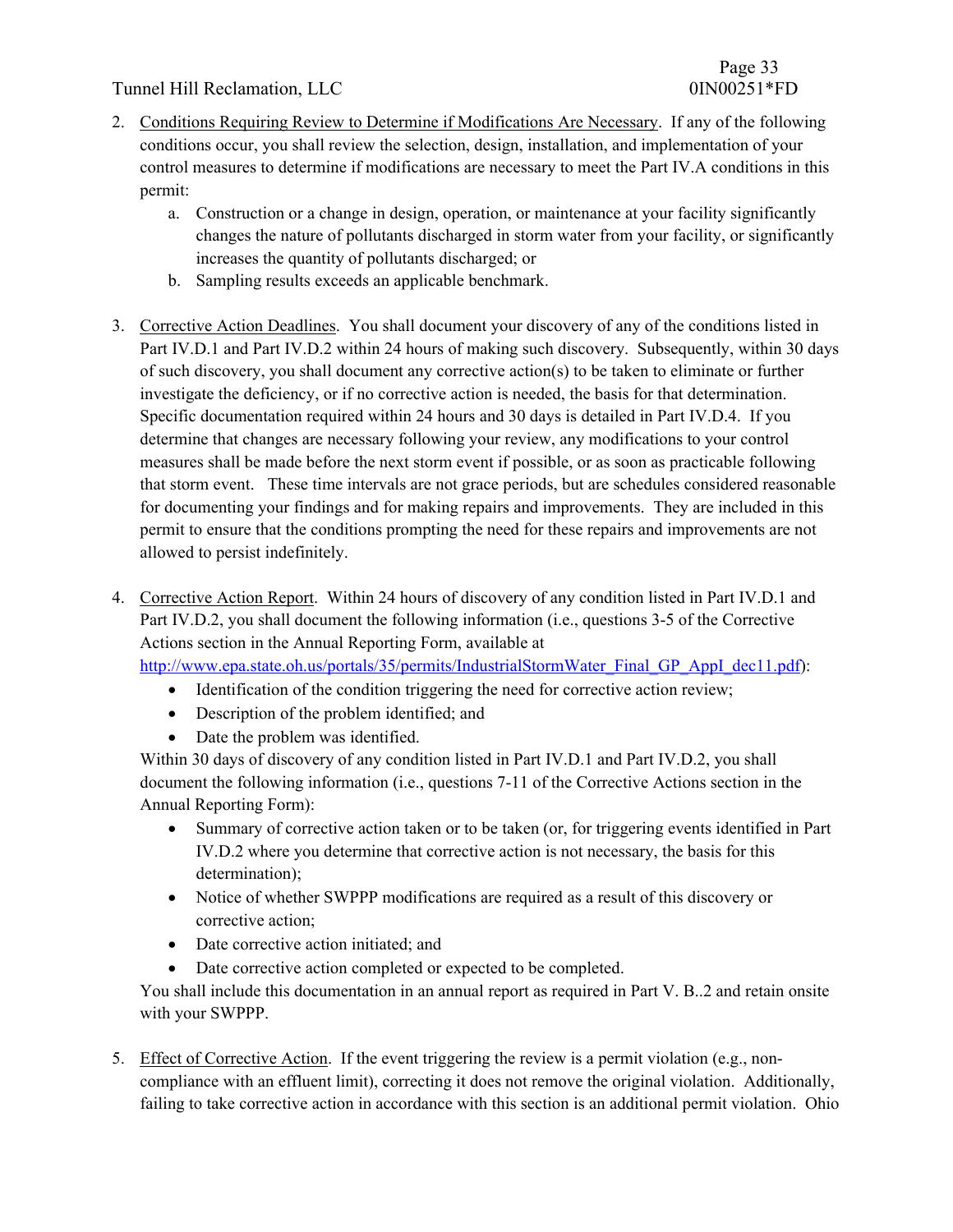- 2. Conditions Requiring Review to Determine if Modifications Are Necessary. If any of the following conditions occur, you shall review the selection, design, installation, and implementation of your control measures to determine if modifications are necessary to meet the Part IV.A conditions in this permit:
	- a. Construction or a change in design, operation, or maintenance at your facility significantly changes the nature of pollutants discharged in storm water from your facility, or significantly increases the quantity of pollutants discharged; or
	- b. Sampling results exceeds an applicable benchmark.
- 3. Corrective Action Deadlines. You shall document your discovery of any of the conditions listed in Part IV.D.1 and Part IV.D.2 within 24 hours of making such discovery. Subsequently, within 30 days of such discovery, you shall document any corrective action(s) to be taken to eliminate or further investigate the deficiency, or if no corrective action is needed, the basis for that determination. Specific documentation required within 24 hours and 30 days is detailed in Part IV.D.4. If you determine that changes are necessary following your review, any modifications to your control measures shall be made before the next storm event if possible, or as soon as practicable following that storm event. These time intervals are not grace periods, but are schedules considered reasonable for documenting your findings and for making repairs and improvements. They are included in this permit to ensure that the conditions prompting the need for these repairs and improvements are not allowed to persist indefinitely.
- 4. Corrective Action Report. Within 24 hours of discovery of any condition listed in Part IV.D.1 and Part IV.D.2, you shall document the following information (i.e., questions 3-5 of the Corrective Actions section in the Annual Reporting Form, available at

http://www.epa.state.oh.us/portals/35/permits/IndustrialStormWater\_Final\_GP\_AppI\_dec11.pdf):

- Identification of the condition triggering the need for corrective action review;
- Description of the problem identified; and
- Date the problem was identified.

Within 30 days of discovery of any condition listed in Part IV.D.1 and Part IV.D.2, you shall document the following information (i.e., questions 7-11 of the Corrective Actions section in the Annual Reporting Form):

- Summary of corrective action taken or to be taken (or, for triggering events identified in Part IV.D.2 where you determine that corrective action is not necessary, the basis for this determination);
- Notice of whether SWPPP modifications are required as a result of this discovery or corrective action;
- Date corrective action initiated; and
- Date corrective action completed or expected to be completed.

You shall include this documentation in an annual report as required in Part V. B..2 and retain onsite with your SWPPP.

5. Effect of Corrective Action. If the event triggering the review is a permit violation (e.g., noncompliance with an effluent limit), correcting it does not remove the original violation. Additionally, failing to take corrective action in accordance with this section is an additional permit violation. Ohio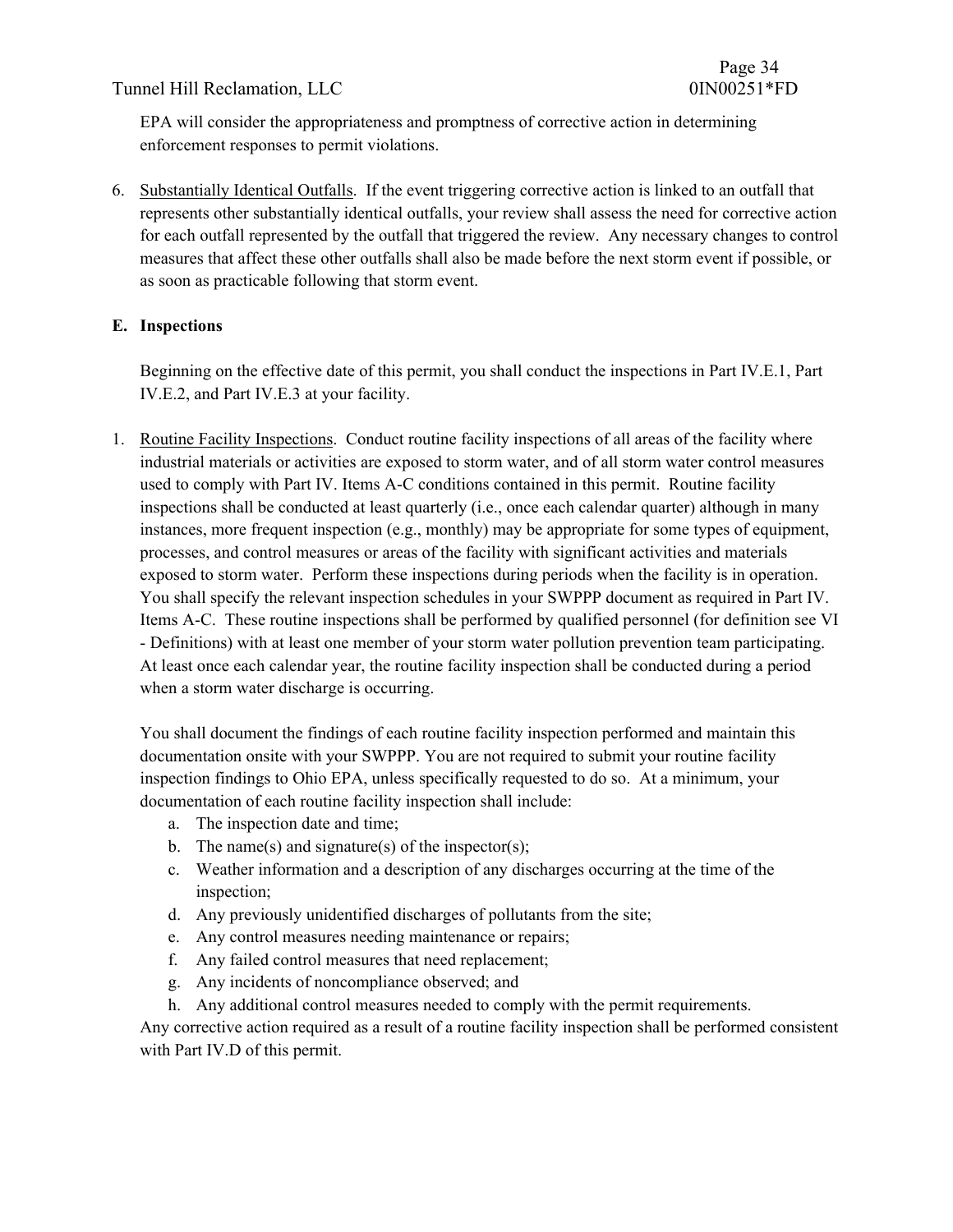EPA will consider the appropriateness and promptness of corrective action in determining enforcement responses to permit violations.

6. Substantially Identical Outfalls. If the event triggering corrective action is linked to an outfall that represents other substantially identical outfalls, your review shall assess the need for corrective action for each outfall represented by the outfall that triggered the review. Any necessary changes to control measures that affect these other outfalls shall also be made before the next storm event if possible, or as soon as practicable following that storm event.

## **E. Inspections**

Beginning on the effective date of this permit, you shall conduct the inspections in Part IV.E.1, Part IV.E.2, and Part IV.E.3 at your facility.

1. Routine Facility Inspections. Conduct routine facility inspections of all areas of the facility where industrial materials or activities are exposed to storm water, and of all storm water control measures used to comply with Part IV. Items A-C conditions contained in this permit. Routine facility inspections shall be conducted at least quarterly (i.e., once each calendar quarter) although in many instances, more frequent inspection (e.g., monthly) may be appropriate for some types of equipment, processes, and control measures or areas of the facility with significant activities and materials exposed to storm water. Perform these inspections during periods when the facility is in operation. You shall specify the relevant inspection schedules in your SWPPP document as required in Part IV. Items A-C. These routine inspections shall be performed by qualified personnel (for definition see VI - Definitions) with at least one member of your storm water pollution prevention team participating. At least once each calendar year, the routine facility inspection shall be conducted during a period when a storm water discharge is occurring.

You shall document the findings of each routine facility inspection performed and maintain this documentation onsite with your SWPPP. You are not required to submit your routine facility inspection findings to Ohio EPA, unless specifically requested to do so. At a minimum, your documentation of each routine facility inspection shall include:

- a. The inspection date and time;
- b. The name(s) and signature(s) of the inspector(s);
- c. Weather information and a description of any discharges occurring at the time of the inspection;
- d. Any previously unidentified discharges of pollutants from the site;
- e. Any control measures needing maintenance or repairs;
- f. Any failed control measures that need replacement;
- g. Any incidents of noncompliance observed; and
- h. Any additional control measures needed to comply with the permit requirements.

Any corrective action required as a result of a routine facility inspection shall be performed consistent with Part IV.D of this permit.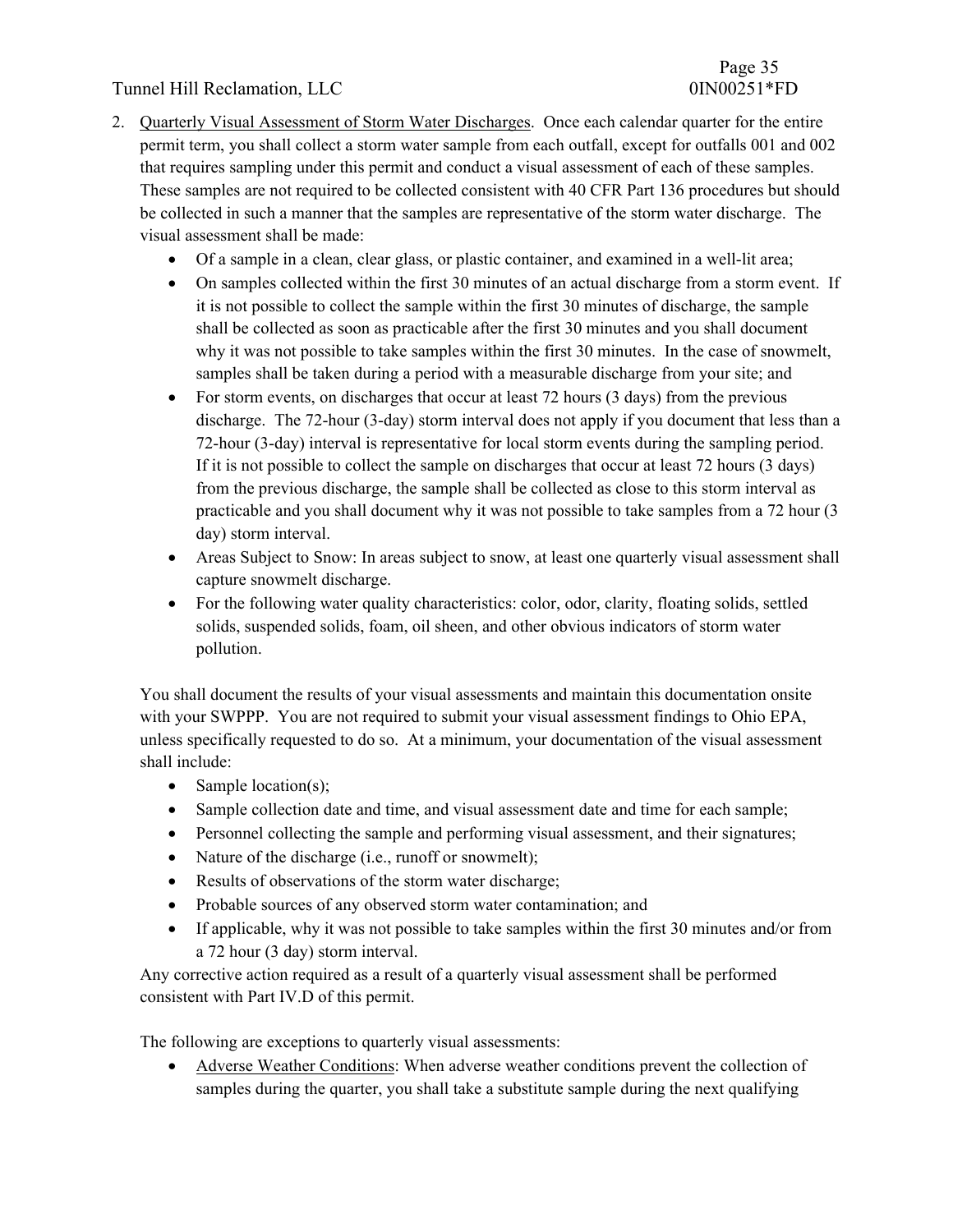- 2. Quarterly Visual Assessment of Storm Water Discharges. Once each calendar quarter for the entire permit term, you shall collect a storm water sample from each outfall, except for outfalls 001 and 002 that requires sampling under this permit and conduct a visual assessment of each of these samples. These samples are not required to be collected consistent with 40 CFR Part 136 procedures but should be collected in such a manner that the samples are representative of the storm water discharge. The visual assessment shall be made:
	- Of a sample in a clean, clear glass, or plastic container, and examined in a well-lit area;
	- On samples collected within the first 30 minutes of an actual discharge from a storm event. If it is not possible to collect the sample within the first 30 minutes of discharge, the sample shall be collected as soon as practicable after the first 30 minutes and you shall document why it was not possible to take samples within the first 30 minutes. In the case of snowmelt, samples shall be taken during a period with a measurable discharge from your site; and
	- For storm events, on discharges that occur at least 72 hours (3 days) from the previous discharge. The 72-hour (3-day) storm interval does not apply if you document that less than a 72-hour (3-day) interval is representative for local storm events during the sampling period. If it is not possible to collect the sample on discharges that occur at least 72 hours (3 days) from the previous discharge, the sample shall be collected as close to this storm interval as practicable and you shall document why it was not possible to take samples from a 72 hour (3 day) storm interval.
	- Areas Subject to Snow: In areas subject to snow, at least one quarterly visual assessment shall capture snowmelt discharge.
	- For the following water quality characteristics: color, odor, clarity, floating solids, settled solids, suspended solids, foam, oil sheen, and other obvious indicators of storm water pollution.

You shall document the results of your visual assessments and maintain this documentation onsite with your SWPPP. You are not required to submit your visual assessment findings to Ohio EPA, unless specifically requested to do so. At a minimum, your documentation of the visual assessment shall include:

- $\bullet$  Sample location(s);
- Sample collection date and time, and visual assessment date and time for each sample;
- Personnel collecting the sample and performing visual assessment, and their signatures;
- Nature of the discharge (i.e., runoff or snowmelt);
- Results of observations of the storm water discharge;
- Probable sources of any observed storm water contamination; and
- If applicable, why it was not possible to take samples within the first 30 minutes and/or from a 72 hour (3 day) storm interval.

Any corrective action required as a result of a quarterly visual assessment shall be performed consistent with Part IV.D of this permit.

The following are exceptions to quarterly visual assessments:

 Adverse Weather Conditions: When adverse weather conditions prevent the collection of samples during the quarter, you shall take a substitute sample during the next qualifying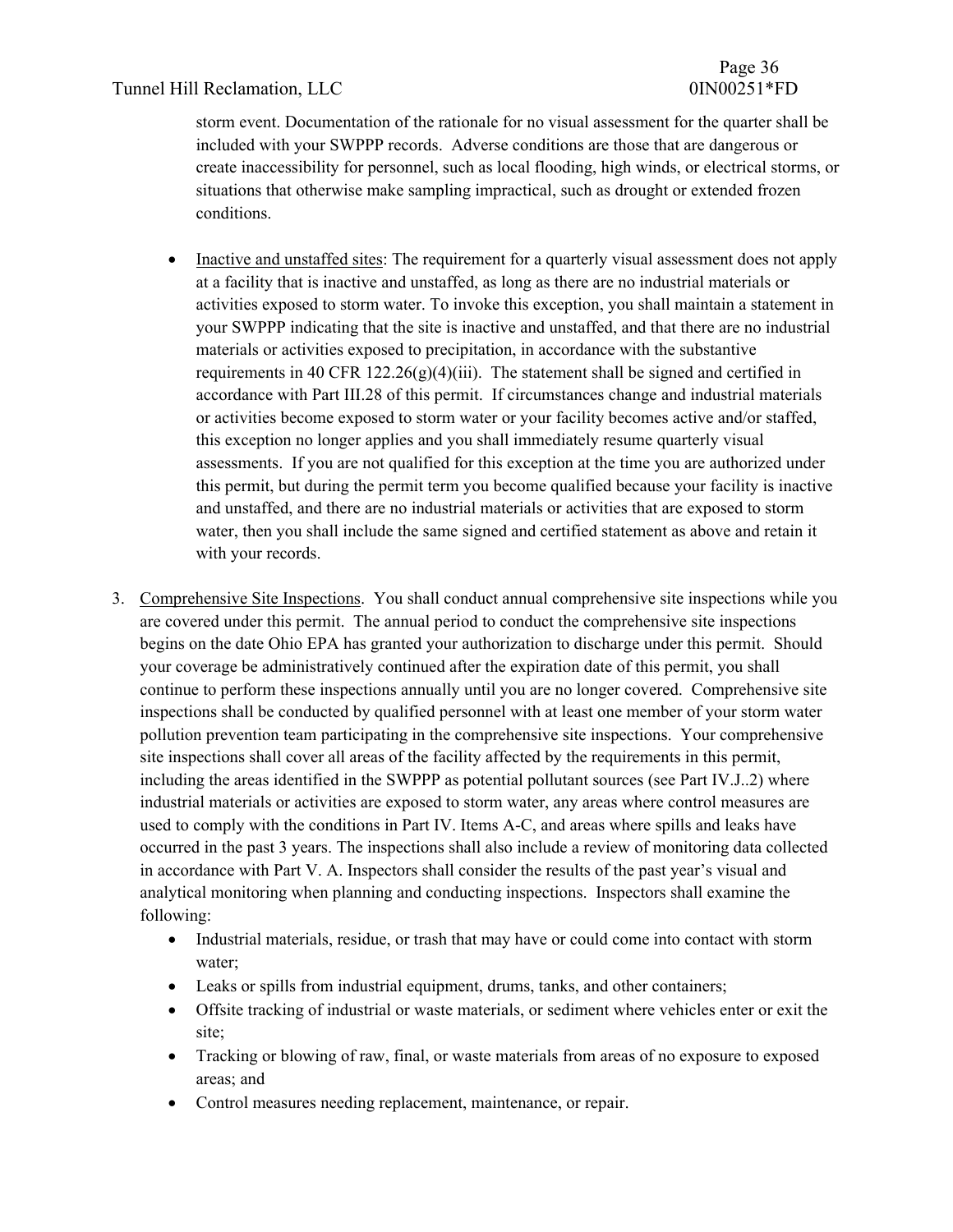storm event. Documentation of the rationale for no visual assessment for the quarter shall be included with your SWPPP records. Adverse conditions are those that are dangerous or create inaccessibility for personnel, such as local flooding, high winds, or electrical storms, or situations that otherwise make sampling impractical, such as drought or extended frozen conditions.

- Inactive and unstaffed sites: The requirement for a quarterly visual assessment does not apply at a facility that is inactive and unstaffed, as long as there are no industrial materials or activities exposed to storm water. To invoke this exception, you shall maintain a statement in your SWPPP indicating that the site is inactive and unstaffed, and that there are no industrial materials or activities exposed to precipitation, in accordance with the substantive requirements in 40 CFR 122.26(g)(4)(iii). The statement shall be signed and certified in accordance with Part III.28 of this permit. If circumstances change and industrial materials or activities become exposed to storm water or your facility becomes active and/or staffed, this exception no longer applies and you shall immediately resume quarterly visual assessments. If you are not qualified for this exception at the time you are authorized under this permit, but during the permit term you become qualified because your facility is inactive and unstaffed, and there are no industrial materials or activities that are exposed to storm water, then you shall include the same signed and certified statement as above and retain it with your records.
- 3. Comprehensive Site Inspections. You shall conduct annual comprehensive site inspections while you are covered under this permit. The annual period to conduct the comprehensive site inspections begins on the date Ohio EPA has granted your authorization to discharge under this permit. Should your coverage be administratively continued after the expiration date of this permit, you shall continue to perform these inspections annually until you are no longer covered. Comprehensive site inspections shall be conducted by qualified personnel with at least one member of your storm water pollution prevention team participating in the comprehensive site inspections. Your comprehensive site inspections shall cover all areas of the facility affected by the requirements in this permit, including the areas identified in the SWPPP as potential pollutant sources (see Part IV.J..2) where industrial materials or activities are exposed to storm water, any areas where control measures are used to comply with the conditions in Part IV. Items A-C, and areas where spills and leaks have occurred in the past 3 years. The inspections shall also include a review of monitoring data collected in accordance with Part V. A. Inspectors shall consider the results of the past year's visual and analytical monitoring when planning and conducting inspections. Inspectors shall examine the following:
	- Industrial materials, residue, or trash that may have or could come into contact with storm water;
	- Leaks or spills from industrial equipment, drums, tanks, and other containers;
	- Offsite tracking of industrial or waste materials, or sediment where vehicles enter or exit the site;
	- Tracking or blowing of raw, final, or waste materials from areas of no exposure to exposed areas; and
	- Control measures needing replacement, maintenance, or repair.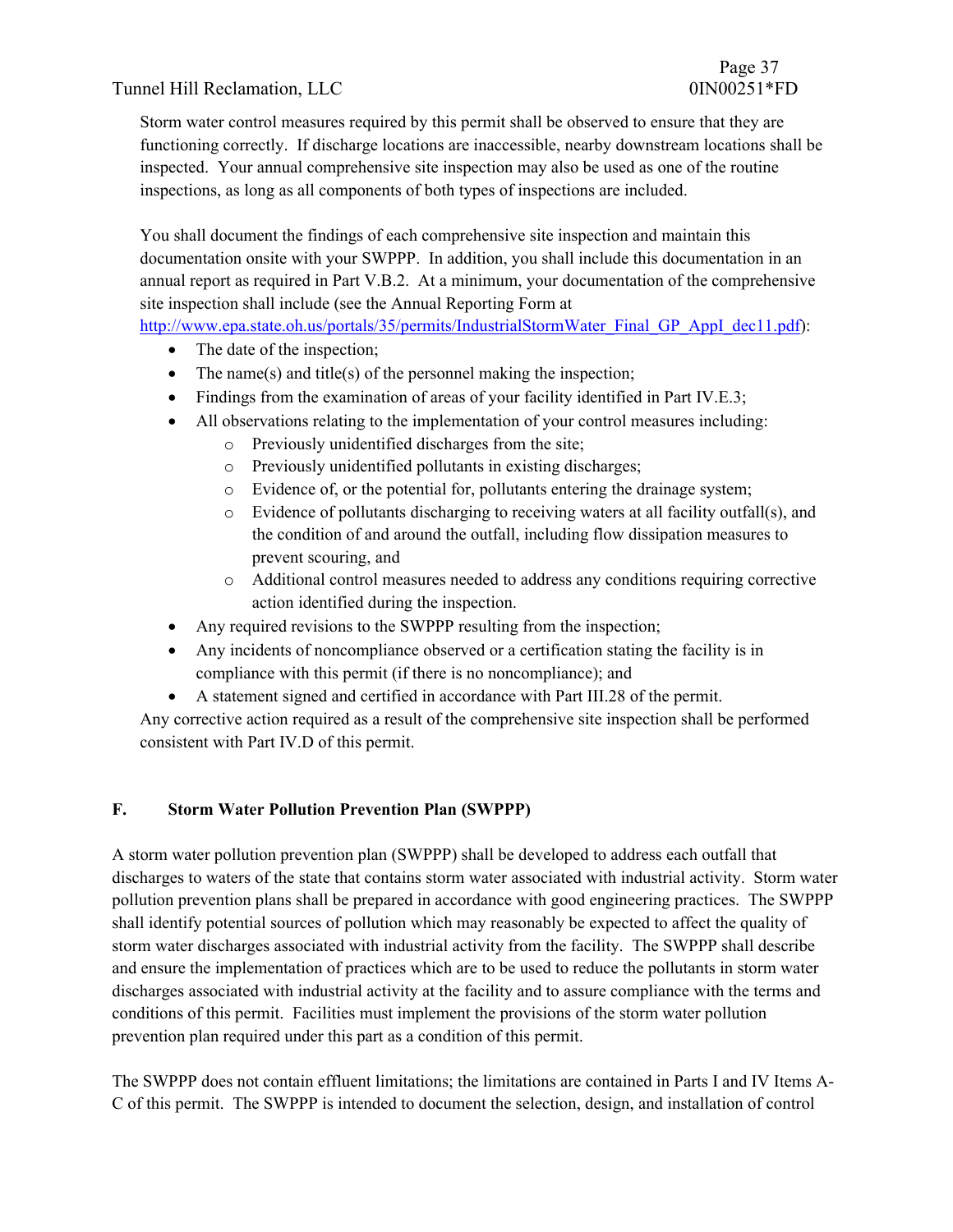Storm water control measures required by this permit shall be observed to ensure that they are functioning correctly. If discharge locations are inaccessible, nearby downstream locations shall be inspected. Your annual comprehensive site inspection may also be used as one of the routine inspections, as long as all components of both types of inspections are included.

You shall document the findings of each comprehensive site inspection and maintain this documentation onsite with your SWPPP. In addition, you shall include this documentation in an annual report as required in Part V.B.2. At a minimum, your documentation of the comprehensive site inspection shall include (see the Annual Reporting Form at

http://www.epa.state.oh.us/portals/35/permits/IndustrialStormWater\_Final\_GP\_AppI\_dec11.pdf):

- The date of the inspection;
- The name(s) and title(s) of the personnel making the inspection;
- Findings from the examination of areas of your facility identified in Part IV.E.3;
- All observations relating to the implementation of your control measures including:
	- o Previously unidentified discharges from the site;
	- o Previously unidentified pollutants in existing discharges;
	- o Evidence of, or the potential for, pollutants entering the drainage system;
	- o Evidence of pollutants discharging to receiving waters at all facility outfall(s), and the condition of and around the outfall, including flow dissipation measures to prevent scouring, and
	- o Additional control measures needed to address any conditions requiring corrective action identified during the inspection.
- Any required revisions to the SWPPP resulting from the inspection;
- Any incidents of noncompliance observed or a certification stating the facility is in compliance with this permit (if there is no noncompliance); and
- A statement signed and certified in accordance with Part III.28 of the permit.

Any corrective action required as a result of the comprehensive site inspection shall be performed consistent with Part IV.D of this permit.

## **F. Storm Water Pollution Prevention Plan (SWPPP)**

A storm water pollution prevention plan (SWPPP) shall be developed to address each outfall that discharges to waters of the state that contains storm water associated with industrial activity. Storm water pollution prevention plans shall be prepared in accordance with good engineering practices. The SWPPP shall identify potential sources of pollution which may reasonably be expected to affect the quality of storm water discharges associated with industrial activity from the facility. The SWPPP shall describe and ensure the implementation of practices which are to be used to reduce the pollutants in storm water discharges associated with industrial activity at the facility and to assure compliance with the terms and conditions of this permit. Facilities must implement the provisions of the storm water pollution prevention plan required under this part as a condition of this permit.

The SWPPP does not contain effluent limitations; the limitations are contained in Parts I and IV Items A-C of this permit. The SWPPP is intended to document the selection, design, and installation of control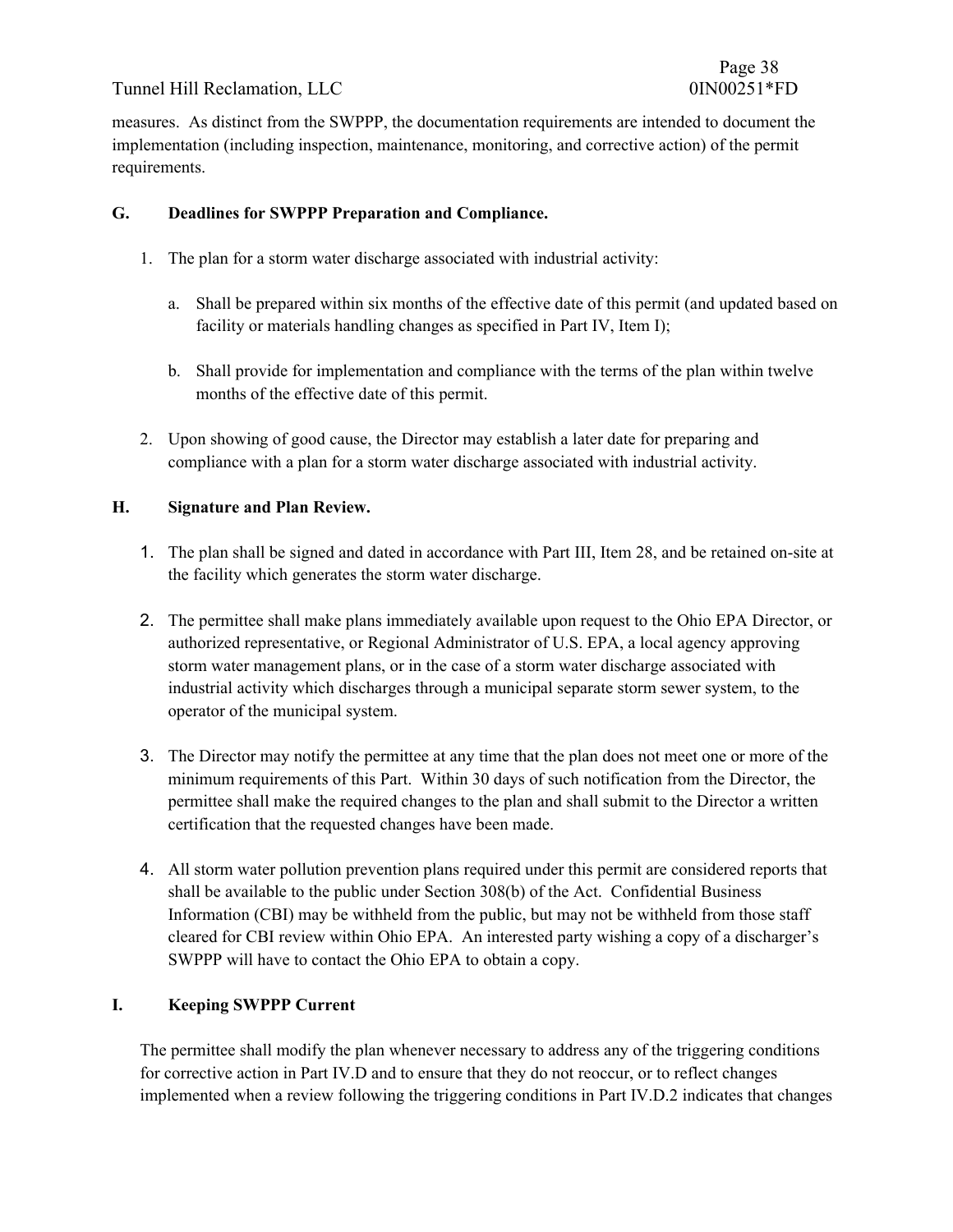measures. As distinct from the SWPPP, the documentation requirements are intended to document the implementation (including inspection, maintenance, monitoring, and corrective action) of the permit requirements.

## **G. Deadlines for SWPPP Preparation and Compliance.**

- 1. The plan for a storm water discharge associated with industrial activity:
	- a. Shall be prepared within six months of the effective date of this permit (and updated based on facility or materials handling changes as specified in Part IV, Item I);
	- b. Shall provide for implementation and compliance with the terms of the plan within twelve months of the effective date of this permit.
- 2. Upon showing of good cause, the Director may establish a later date for preparing and compliance with a plan for a storm water discharge associated with industrial activity.

## **H. Signature and Plan Review.**

- 1. The plan shall be signed and dated in accordance with Part III, Item 28, and be retained on-site at the facility which generates the storm water discharge.
- 2. The permittee shall make plans immediately available upon request to the Ohio EPA Director, or authorized representative, or Regional Administrator of U.S. EPA, a local agency approving storm water management plans, or in the case of a storm water discharge associated with industrial activity which discharges through a municipal separate storm sewer system, to the operator of the municipal system.
- 3. The Director may notify the permittee at any time that the plan does not meet one or more of the minimum requirements of this Part. Within 30 days of such notification from the Director, the permittee shall make the required changes to the plan and shall submit to the Director a written certification that the requested changes have been made.
- 4. All storm water pollution prevention plans required under this permit are considered reports that shall be available to the public under Section 308(b) of the Act. Confidential Business Information (CBI) may be withheld from the public, but may not be withheld from those staff cleared for CBI review within Ohio EPA. An interested party wishing a copy of a discharger's SWPPP will have to contact the Ohio EPA to obtain a copy.

## **I. Keeping SWPPP Current**

The permittee shall modify the plan whenever necessary to address any of the triggering conditions for corrective action in Part IV.D and to ensure that they do not reoccur, or to reflect changes implemented when a review following the triggering conditions in Part IV.D.2 indicates that changes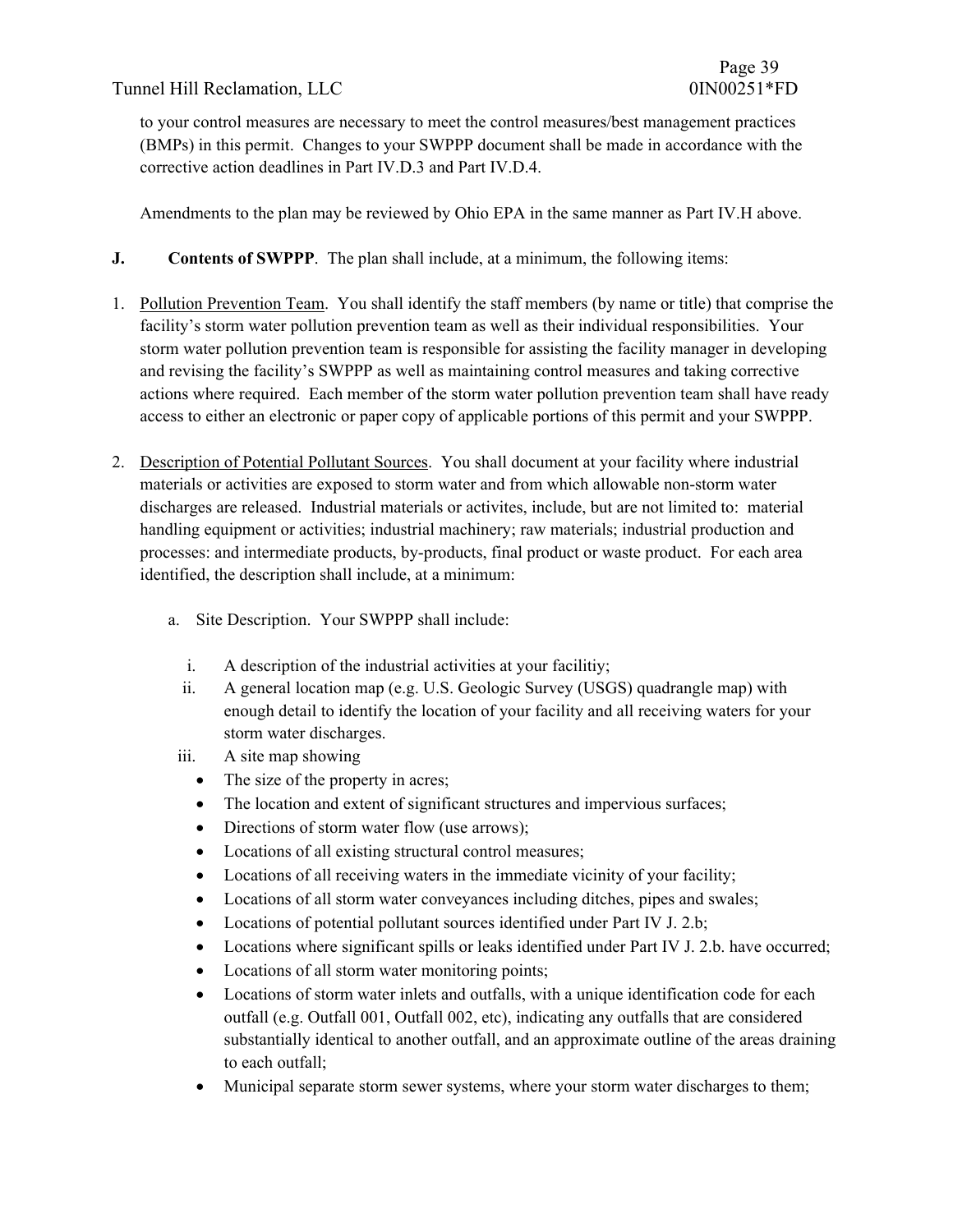to your control measures are necessary to meet the control measures/best management practices (BMPs) in this permit. Changes to your SWPPP document shall be made in accordance with the corrective action deadlines in Part IV.D.3 and Part IV.D.4.

Amendments to the plan may be reviewed by Ohio EPA in the same manner as Part IV.H above.

- **J.** Contents of SWPPP. The plan shall include, at a minimum, the following items:
- 1. Pollution Prevention Team. You shall identify the staff members (by name or title) that comprise the facility's storm water pollution prevention team as well as their individual responsibilities. Your storm water pollution prevention team is responsible for assisting the facility manager in developing and revising the facility's SWPPP as well as maintaining control measures and taking corrective actions where required. Each member of the storm water pollution prevention team shall have ready access to either an electronic or paper copy of applicable portions of this permit and your SWPPP.
- 2. Description of Potential Pollutant Sources. You shall document at your facility where industrial materials or activities are exposed to storm water and from which allowable non-storm water discharges are released. Industrial materials or activites, include, but are not limited to: material handling equipment or activities; industrial machinery; raw materials; industrial production and processes: and intermediate products, by-products, final product or waste product. For each area identified, the description shall include, at a minimum:
	- a. Site Description. Your SWPPP shall include:
		- i. A description of the industrial activities at your facilitiy;
		- ii. A general location map (e.g. U.S. Geologic Survey (USGS) quadrangle map) with enough detail to identify the location of your facility and all receiving waters for your storm water discharges.
	- iii. A site map showing
		- The size of the property in acres;
		- The location and extent of significant structures and impervious surfaces;
		- Directions of storm water flow (use arrows);
		- Locations of all existing structural control measures;
		- Locations of all receiving waters in the immediate vicinity of your facility;
		- Locations of all storm water conveyances including ditches, pipes and swales;
		- Locations of potential pollutant sources identified under Part IV J. 2.b;
		- Locations where significant spills or leaks identified under Part IV J. 2.b. have occurred;
		- Locations of all storm water monitoring points;
		- Locations of storm water inlets and outfalls, with a unique identification code for each outfall (e.g. Outfall 001, Outfall 002, etc), indicating any outfalls that are considered substantially identical to another outfall, and an approximate outline of the areas draining to each outfall;
		- Municipal separate storm sewer systems, where your storm water discharges to them;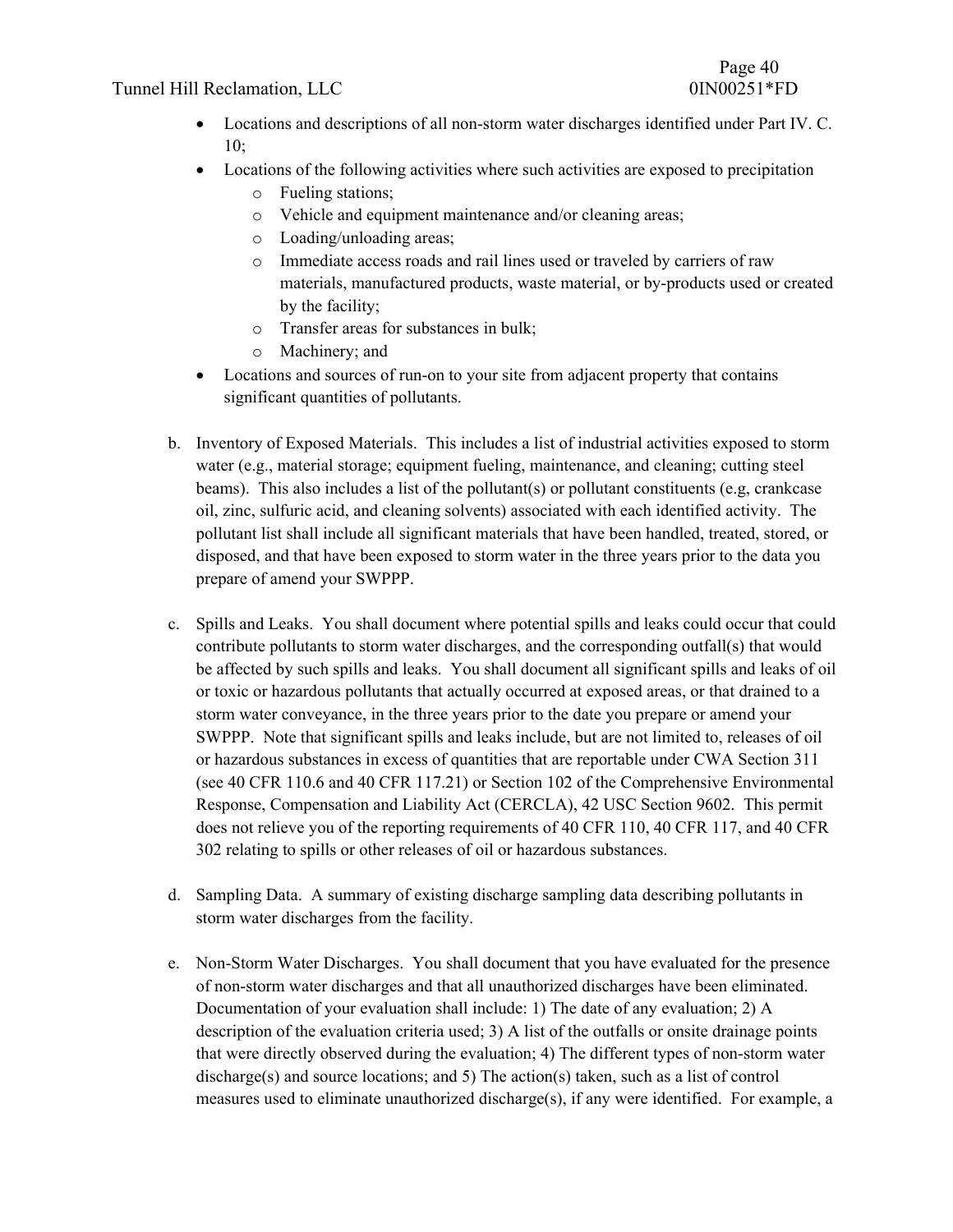# Page 40

- Locations and descriptions of all non-storm water discharges identified under Part IV. C. 10;
- Locations of the following activities where such activities are exposed to precipitation
	- o Fueling stations;
	- o Vehicle and equipment maintenance and/or cleaning areas;
	- o Loading/unloading areas;
	- o Immediate access roads and rail lines used or traveled by carriers of raw materials, manufactured products, waste material, or by-products used or created by the facility;
	- o Transfer areas for substances in bulk;
	- o Machinery; and
- Locations and sources of run-on to your site from adjacent property that contains significant quantities of pollutants.
- b. Inventory of Exposed Materials. This includes a list of industrial activities exposed to storm water (e.g., material storage; equipment fueling, maintenance, and cleaning; cutting steel beams). This also includes a list of the pollutant(s) or pollutant constituents (e.g, crankcase oil, zinc, sulfuric acid, and cleaning solvents) associated with each identified activity. The pollutant list shall include all significant materials that have been handled, treated, stored, or disposed, and that have been exposed to storm water in the three years prior to the data you prepare of amend your SWPPP.
- c. Spills and Leaks. You shall document where potential spills and leaks could occur that could contribute pollutants to storm water discharges, and the corresponding outfall(s) that would be affected by such spills and leaks. You shall document all significant spills and leaks of oil or toxic or hazardous pollutants that actually occurred at exposed areas, or that drained to a storm water conveyance, in the three years prior to the date you prepare or amend your SWPPP. Note that significant spills and leaks include, but are not limited to, releases of oil or hazardous substances in excess of quantities that are reportable under CWA Section 311 (see 40 CFR 110.6 and 40 CFR 117.21) or Section 102 of the Comprehensive Environmental Response, Compensation and Liability Act (CERCLA), 42 USC Section 9602. This permit does not relieve you of the reporting requirements of 40 CFR 110, 40 CFR 117, and 40 CFR 302 relating to spills or other releases of oil or hazardous substances.
- d. Sampling Data. A summary of existing discharge sampling data describing pollutants in storm water discharges from the facility.
- e. Non-Storm Water Discharges. You shall document that you have evaluated for the presence of non-storm water discharges and that all unauthorized discharges have been eliminated. Documentation of your evaluation shall include: 1) The date of any evaluation; 2) A description of the evaluation criteria used; 3) A list of the outfalls or onsite drainage points that were directly observed during the evaluation; 4) The different types of non-storm water discharge(s) and source locations; and 5) The action(s) taken, such as a list of control measures used to eliminate unauthorized discharge(s), if any were identified. For example, a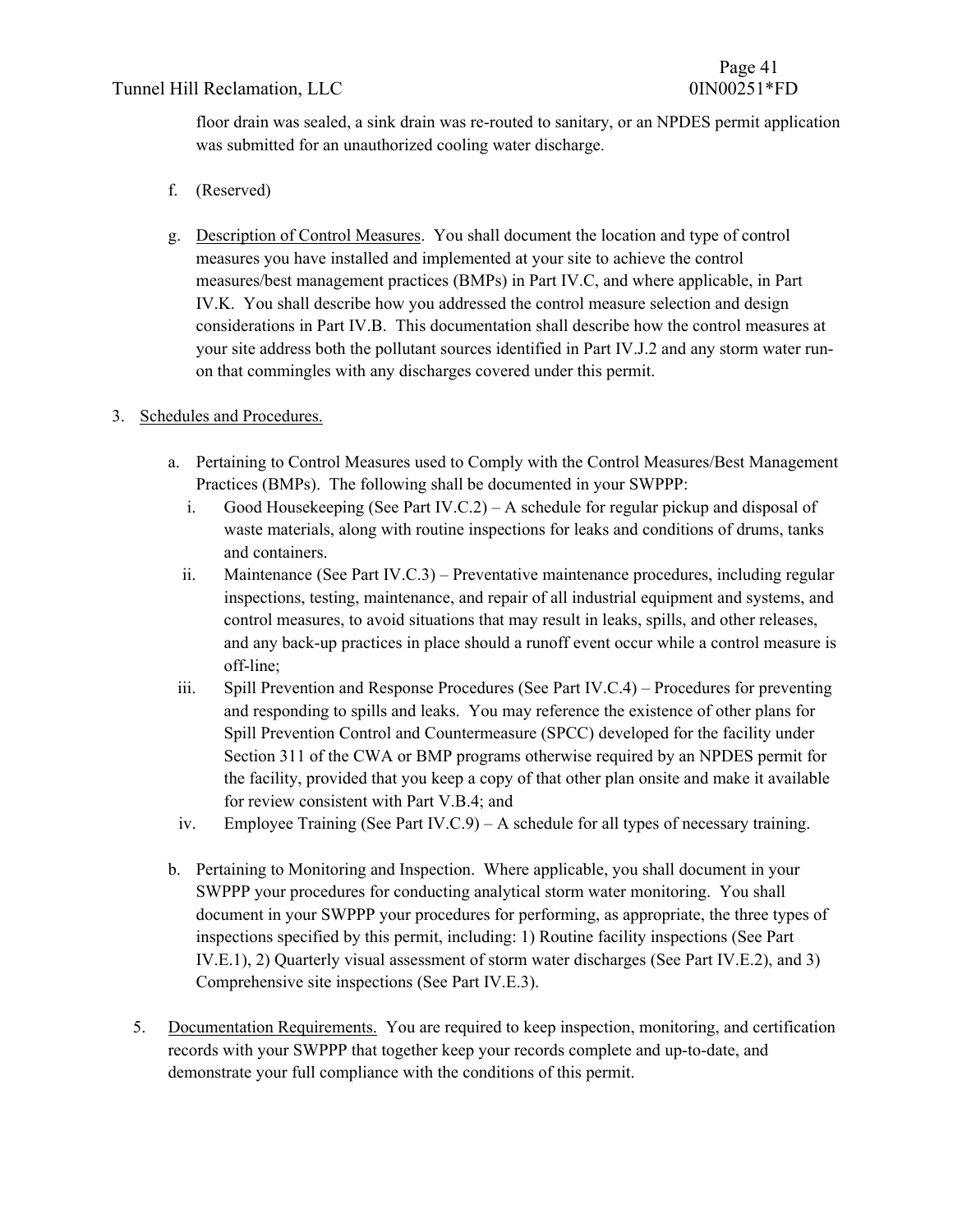## Tunnel Hill Reclamation, LLC 61 and 1 and 1 and 1 and 1 and 1 and 1 and 1 and 1 and 1 and 1 and 1 and 1 and 1 and 1 and 1 and 1 and 1 and 1 and 1 and 1 and 1 and 1 and 1 and 1 and 1 and 1 and 1 and 1 and 1 and 1 and 1 and

floor drain was sealed, a sink drain was re-routed to sanitary, or an NPDES permit application was submitted for an unauthorized cooling water discharge.

- f. (Reserved)
- g. Description of Control Measures. You shall document the location and type of control measures you have installed and implemented at your site to achieve the control measures/best management practices (BMPs) in Part IV.C, and where applicable, in Part IV.K. You shall describe how you addressed the control measure selection and design considerations in Part IV.B. This documentation shall describe how the control measures at your site address both the pollutant sources identified in Part IV.J.2 and any storm water runon that commingles with any discharges covered under this permit.

# 3. Schedules and Procedures.

- a. Pertaining to Control Measures used to Comply with the Control Measures/Best Management Practices (BMPs). The following shall be documented in your SWPPP:
	- i. Good Housekeeping (See Part IV.C.2) A schedule for regular pickup and disposal of waste materials, along with routine inspections for leaks and conditions of drums, tanks and containers.
	- ii. Maintenance (See Part IV.C.3) Preventative maintenance procedures, including regular inspections, testing, maintenance, and repair of all industrial equipment and systems, and control measures, to avoid situations that may result in leaks, spills, and other releases, and any back-up practices in place should a runoff event occur while a control measure is off-line;
- iii. Spill Prevention and Response Procedures (See Part IV.C.4) Procedures for preventing and responding to spills and leaks. You may reference the existence of other plans for Spill Prevention Control and Countermeasure (SPCC) developed for the facility under Section 311 of the CWA or BMP programs otherwise required by an NPDES permit for the facility, provided that you keep a copy of that other plan onsite and make it available for review consistent with Part V.B.4; and
- iv. Employee Training (See Part IV.C.9) A schedule for all types of necessary training.
- b. Pertaining to Monitoring and Inspection. Where applicable, you shall document in your SWPPP your procedures for conducting analytical storm water monitoring. You shall document in your SWPPP your procedures for performing, as appropriate, the three types of inspections specified by this permit, including: 1) Routine facility inspections (See Part IV.E.1), 2) Quarterly visual assessment of storm water discharges (See Part IV.E.2), and 3) Comprehensive site inspections (See Part IV.E.3).
- 5. Documentation Requirements. You are required to keep inspection, monitoring, and certification records with your SWPPP that together keep your records complete and up-to-date, and demonstrate your full compliance with the conditions of this permit.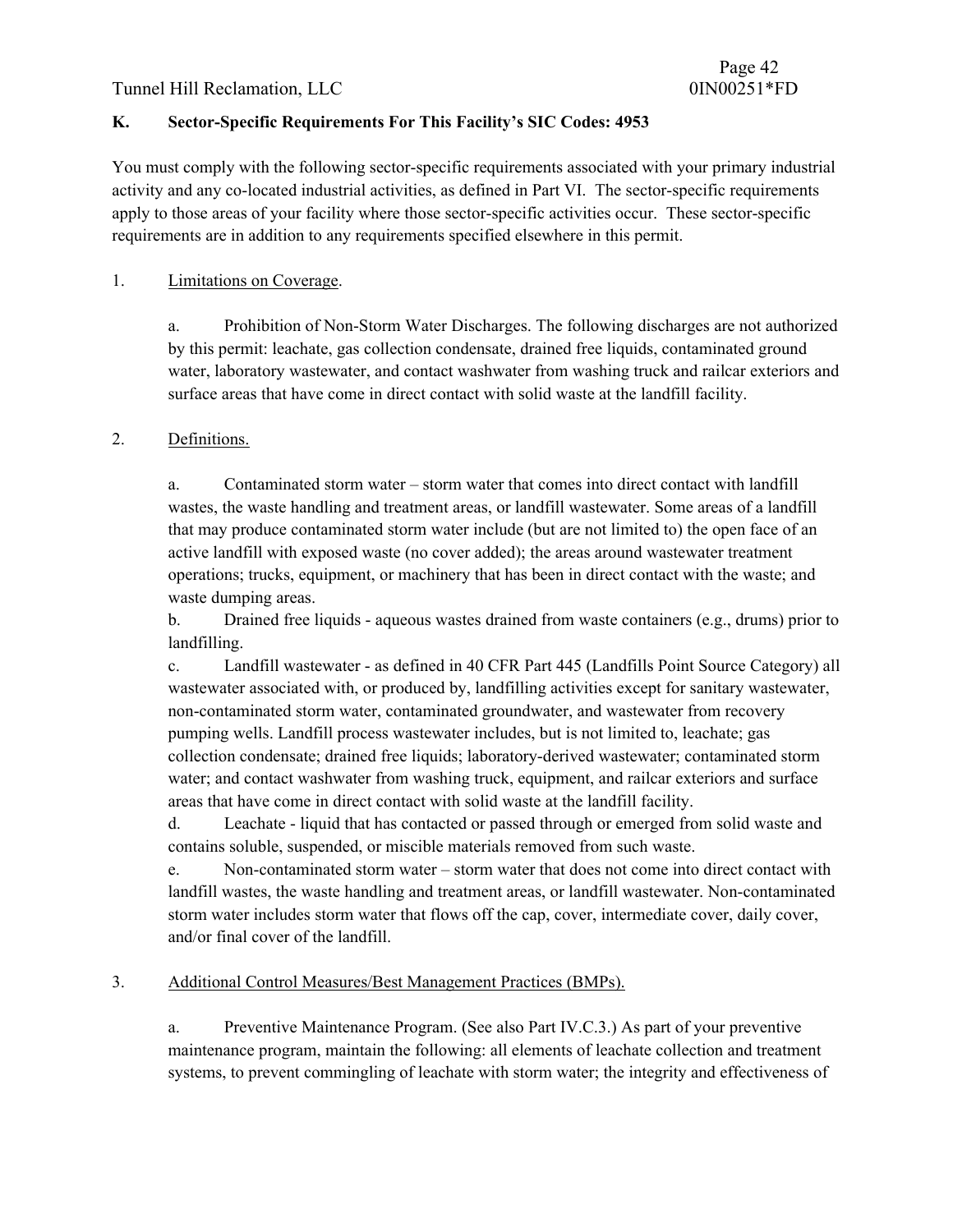# **K. Sector-Specific Requirements For This Facility's SIC Codes: 4953**

You must comply with the following sector-specific requirements associated with your primary industrial activity and any co-located industrial activities, as defined in Part VI. The sector-specific requirements apply to those areas of your facility where those sector-specific activities occur. These sector-specific requirements are in addition to any requirements specified elsewhere in this permit.

## 1. Limitations on Coverage.

 a. Prohibition of Non-Storm Water Discharges. The following discharges are not authorized by this permit: leachate, gas collection condensate, drained free liquids, contaminated ground water, laboratory wastewater, and contact washwater from washing truck and railcar exteriors and surface areas that have come in direct contact with solid waste at the landfill facility.

## 2. Definitions.

 a. Contaminated storm water – storm water that comes into direct contact with landfill wastes, the waste handling and treatment areas, or landfill wastewater. Some areas of a landfill that may produce contaminated storm water include (but are not limited to) the open face of an active landfill with exposed waste (no cover added); the areas around wastewater treatment operations; trucks, equipment, or machinery that has been in direct contact with the waste; and waste dumping areas.

b. Drained free liquids - aqueous wastes drained from waste containers (e.g., drums) prior to landfilling.

 c. Landfill wastewater - as defined in 40 CFR Part 445 (Landfills Point Source Category) all wastewater associated with, or produced by, landfilling activities except for sanitary wastewater, non-contaminated storm water, contaminated groundwater, and wastewater from recovery pumping wells. Landfill process wastewater includes, but is not limited to, leachate; gas collection condensate; drained free liquids; laboratory-derived wastewater; contaminated storm water; and contact washwater from washing truck, equipment, and railcar exteriors and surface areas that have come in direct contact with solid waste at the landfill facility.

 d. Leachate - liquid that has contacted or passed through or emerged from solid waste and contains soluble, suspended, or miscible materials removed from such waste.

 e. Non-contaminated storm water – storm water that does not come into direct contact with landfill wastes, the waste handling and treatment areas, or landfill wastewater. Non-contaminated storm water includes storm water that flows off the cap, cover, intermediate cover, daily cover, and/or final cover of the landfill.

#### 3. Additional Control Measures/Best Management Practices (BMPs).

 a. Preventive Maintenance Program. (See also Part IV.C.3.) As part of your preventive maintenance program, maintain the following: all elements of leachate collection and treatment systems, to prevent commingling of leachate with storm water; the integrity and effectiveness of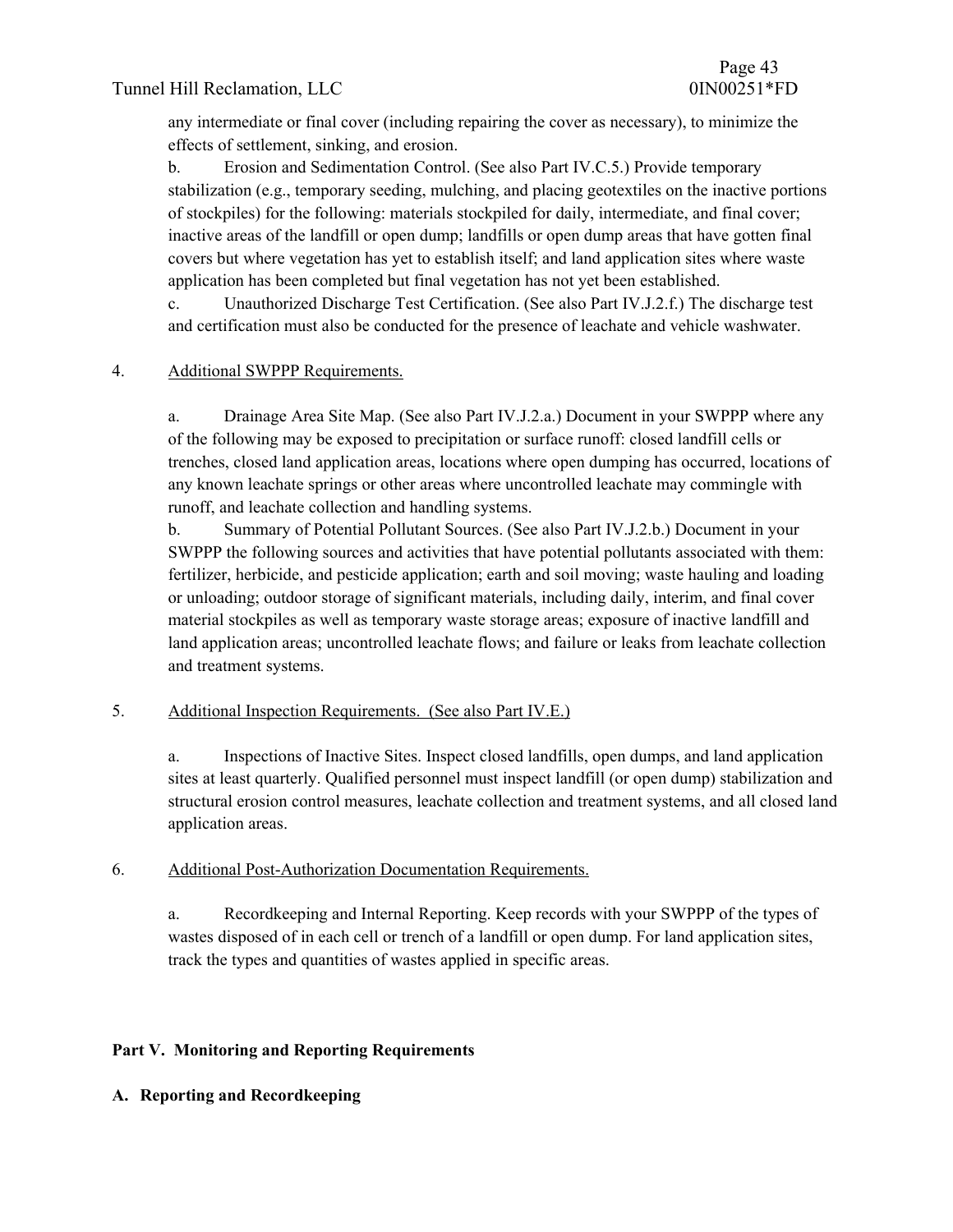any intermediate or final cover (including repairing the cover as necessary), to minimize the effects of settlement, sinking, and erosion.

 b. Erosion and Sedimentation Control. (See also Part IV.C.5.) Provide temporary stabilization (e.g., temporary seeding, mulching, and placing geotextiles on the inactive portions of stockpiles) for the following: materials stockpiled for daily, intermediate, and final cover; inactive areas of the landfill or open dump; landfills or open dump areas that have gotten final covers but where vegetation has yet to establish itself; and land application sites where waste application has been completed but final vegetation has not yet been established.

 c. Unauthorized Discharge Test Certification. (See also Part IV.J.2.f.) The discharge test and certification must also be conducted for the presence of leachate and vehicle washwater.

## 4. Additional SWPPP Requirements.

 a. Drainage Area Site Map. (See also Part IV.J.2.a.) Document in your SWPPP where any of the following may be exposed to precipitation or surface runoff: closed landfill cells or trenches, closed land application areas, locations where open dumping has occurred, locations of any known leachate springs or other areas where uncontrolled leachate may commingle with runoff, and leachate collection and handling systems.

 b. Summary of Potential Pollutant Sources. (See also Part IV.J.2.b.) Document in your SWPPP the following sources and activities that have potential pollutants associated with them: fertilizer, herbicide, and pesticide application; earth and soil moving; waste hauling and loading or unloading; outdoor storage of significant materials, including daily, interim, and final cover material stockpiles as well as temporary waste storage areas; exposure of inactive landfill and land application areas; uncontrolled leachate flows; and failure or leaks from leachate collection and treatment systems.

## 5. Additional Inspection Requirements. (See also Part IV.E.)

 a. Inspections of Inactive Sites. Inspect closed landfills, open dumps, and land application sites at least quarterly. Qualified personnel must inspect landfill (or open dump) stabilization and structural erosion control measures, leachate collection and treatment systems, and all closed land application areas.

## 6. Additional Post-Authorization Documentation Requirements.

 a. Recordkeeping and Internal Reporting. Keep records with your SWPPP of the types of wastes disposed of in each cell or trench of a landfill or open dump. For land application sites, track the types and quantities of wastes applied in specific areas.

## **Part V. Monitoring and Reporting Requirements**

## **A. Reporting and Recordkeeping**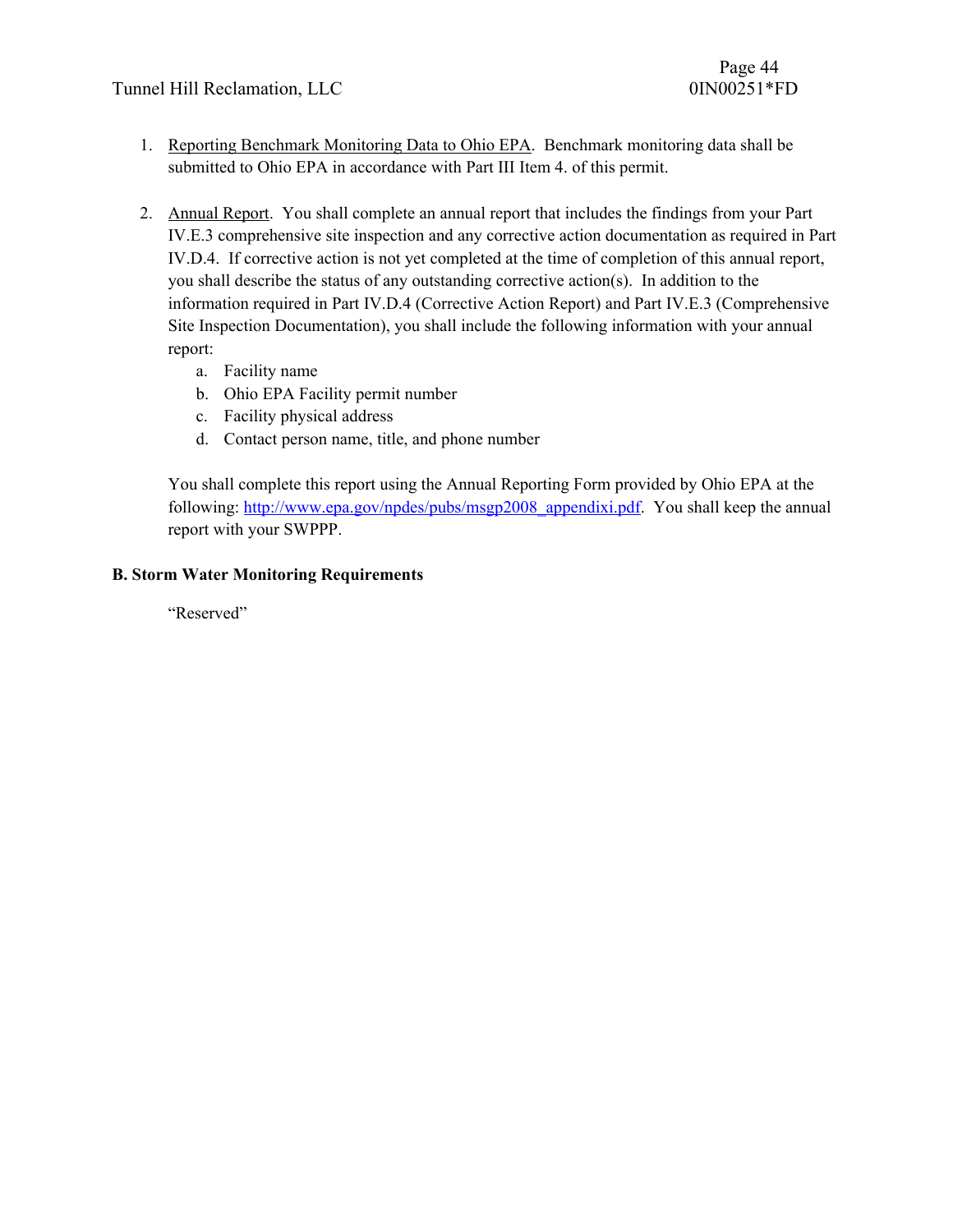- 1. Reporting Benchmark Monitoring Data to Ohio EPA. Benchmark monitoring data shall be submitted to Ohio EPA in accordance with Part III Item 4. of this permit.
- 2. Annual Report. You shall complete an annual report that includes the findings from your Part IV.E.3 comprehensive site inspection and any corrective action documentation as required in Part IV.D.4. If corrective action is not yet completed at the time of completion of this annual report, you shall describe the status of any outstanding corrective action(s). In addition to the information required in Part IV.D.4 (Corrective Action Report) and Part IV.E.3 (Comprehensive Site Inspection Documentation), you shall include the following information with your annual report:
	- a. Facility name
	- b. Ohio EPA Facility permit number
	- c. Facility physical address
	- d. Contact person name, title, and phone number

You shall complete this report using the Annual Reporting Form provided by Ohio EPA at the following: http://www.epa.gov/npdes/pubs/msgp2008\_appendixi.pdf. You shall keep the annual report with your SWPPP.

## **B. Storm Water Monitoring Requirements**

"Reserved"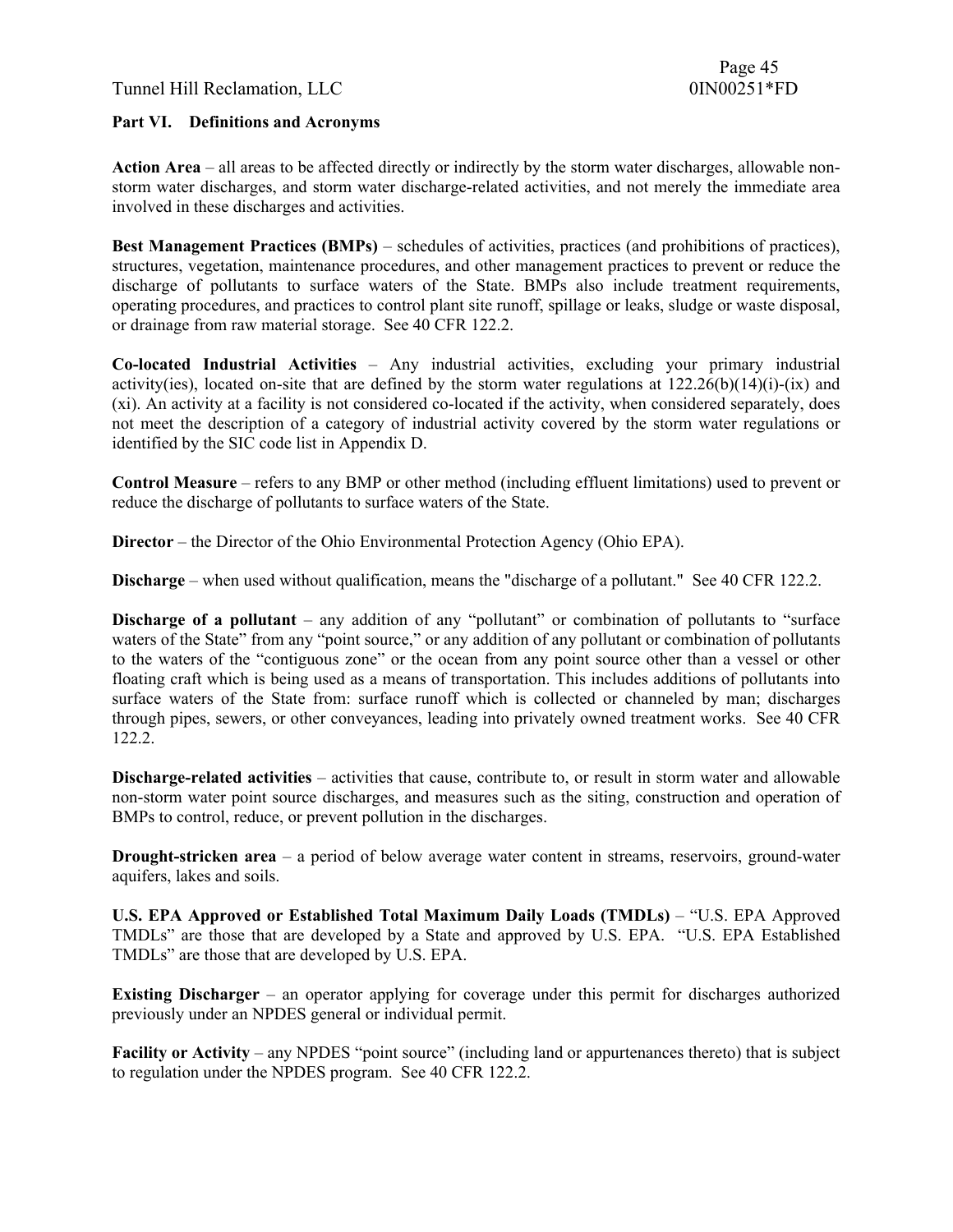#### **Part VI. Definitions and Acronyms**

**Action Area** – all areas to be affected directly or indirectly by the storm water discharges, allowable nonstorm water discharges, and storm water discharge-related activities, and not merely the immediate area involved in these discharges and activities.

**Best Management Practices (BMPs)** – schedules of activities, practices (and prohibitions of practices), structures, vegetation, maintenance procedures, and other management practices to prevent or reduce the discharge of pollutants to surface waters of the State. BMPs also include treatment requirements, operating procedures, and practices to control plant site runoff, spillage or leaks, sludge or waste disposal, or drainage from raw material storage. See 40 CFR 122.2.

**Co-located Industrial Activities** – Any industrial activities, excluding your primary industrial activity(ies), located on-site that are defined by the storm water regulations at 122.26(b)(14)(i)-(ix) and (xi). An activity at a facility is not considered co-located if the activity, when considered separately, does not meet the description of a category of industrial activity covered by the storm water regulations or identified by the SIC code list in Appendix D.

**Control Measure** – refers to any BMP or other method (including effluent limitations) used to prevent or reduce the discharge of pollutants to surface waters of the State.

**Director** – the Director of the Ohio Environmental Protection Agency (Ohio EPA).

**Discharge** – when used without qualification, means the "discharge of a pollutant." See 40 CFR 122.2.

**Discharge of a pollutant** – any addition of any "pollutant" or combination of pollutants to "surface" waters of the State" from any "point source," or any addition of any pollutant or combination of pollutants to the waters of the "contiguous zone" or the ocean from any point source other than a vessel or other floating craft which is being used as a means of transportation. This includes additions of pollutants into surface waters of the State from: surface runoff which is collected or channeled by man; discharges through pipes, sewers, or other conveyances, leading into privately owned treatment works. See 40 CFR 122.2.

**Discharge-related activities** – activities that cause, contribute to, or result in storm water and allowable non-storm water point source discharges, and measures such as the siting, construction and operation of BMPs to control, reduce, or prevent pollution in the discharges.

**Drought-stricken area** – a period of below average water content in streams, reservoirs, ground-water aquifers, lakes and soils.

**U.S. EPA Approved or Established Total Maximum Daily Loads (TMDLs)** – "U.S. EPA Approved TMDLs" are those that are developed by a State and approved by U.S. EPA. "U.S. EPA Established TMDLs" are those that are developed by U.S. EPA.

**Existing Discharger** – an operator applying for coverage under this permit for discharges authorized previously under an NPDES general or individual permit.

**Facility or Activity** – any NPDES "point source" (including land or appurtenances thereto) that is subject to regulation under the NPDES program. See 40 CFR 122.2.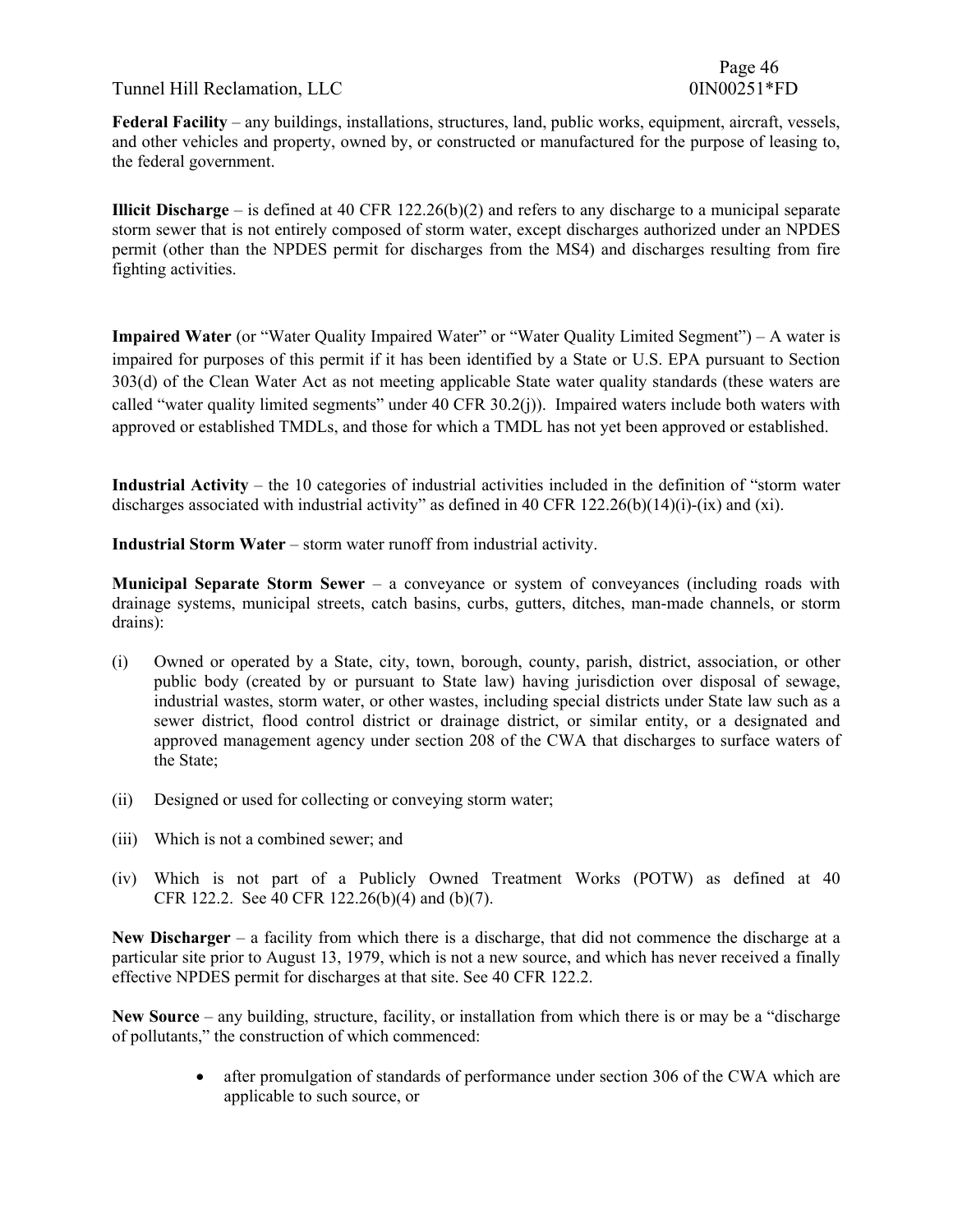**Federal Facility** – any buildings, installations, structures, land, public works, equipment, aircraft, vessels, and other vehicles and property, owned by, or constructed or manufactured for the purpose of leasing to, the federal government.

**Illicit Discharge** – is defined at 40 CFR 122.26(b)(2) and refers to any discharge to a municipal separate storm sewer that is not entirely composed of storm water, except discharges authorized under an NPDES permit (other than the NPDES permit for discharges from the MS4) and discharges resulting from fire fighting activities.

**Impaired Water** (or "Water Quality Impaired Water" or "Water Quality Limited Segment") – A water is impaired for purposes of this permit if it has been identified by a State or U.S. EPA pursuant to Section 303(d) of the Clean Water Act as not meeting applicable State water quality standards (these waters are called "water quality limited segments" under 40 CFR 30.2(j)). Impaired waters include both waters with approved or established TMDLs, and those for which a TMDL has not yet been approved or established.

**Industrial Activity** – the 10 categories of industrial activities included in the definition of "storm water discharges associated with industrial activity" as defined in 40 CFR 122.26(b)(14)(i)-(ix) and (xi).

**Industrial Storm Water** – storm water runoff from industrial activity.

**Municipal Separate Storm Sewer** – a conveyance or system of conveyances (including roads with drainage systems, municipal streets, catch basins, curbs, gutters, ditches, man-made channels, or storm drains):

- (i) Owned or operated by a State, city, town, borough, county, parish, district, association, or other public body (created by or pursuant to State law) having jurisdiction over disposal of sewage, industrial wastes, storm water, or other wastes, including special districts under State law such as a sewer district, flood control district or drainage district, or similar entity, or a designated and approved management agency under section 208 of the CWA that discharges to surface waters of the State;
- (ii) Designed or used for collecting or conveying storm water;
- (iii) Which is not a combined sewer; and
- (iv) Which is not part of a Publicly Owned Treatment Works (POTW) as defined at 40 CFR 122.2. See 40 CFR 122.26(b)(4) and (b)(7).

**New Discharger** – a facility from which there is a discharge, that did not commence the discharge at a particular site prior to August 13, 1979, which is not a new source, and which has never received a finally effective NPDES permit for discharges at that site. See 40 CFR 122.2.

**New Source** – any building, structure, facility, or installation from which there is or may be a "discharge of pollutants," the construction of which commenced:

> after promulgation of standards of performance under section 306 of the CWA which are applicable to such source, or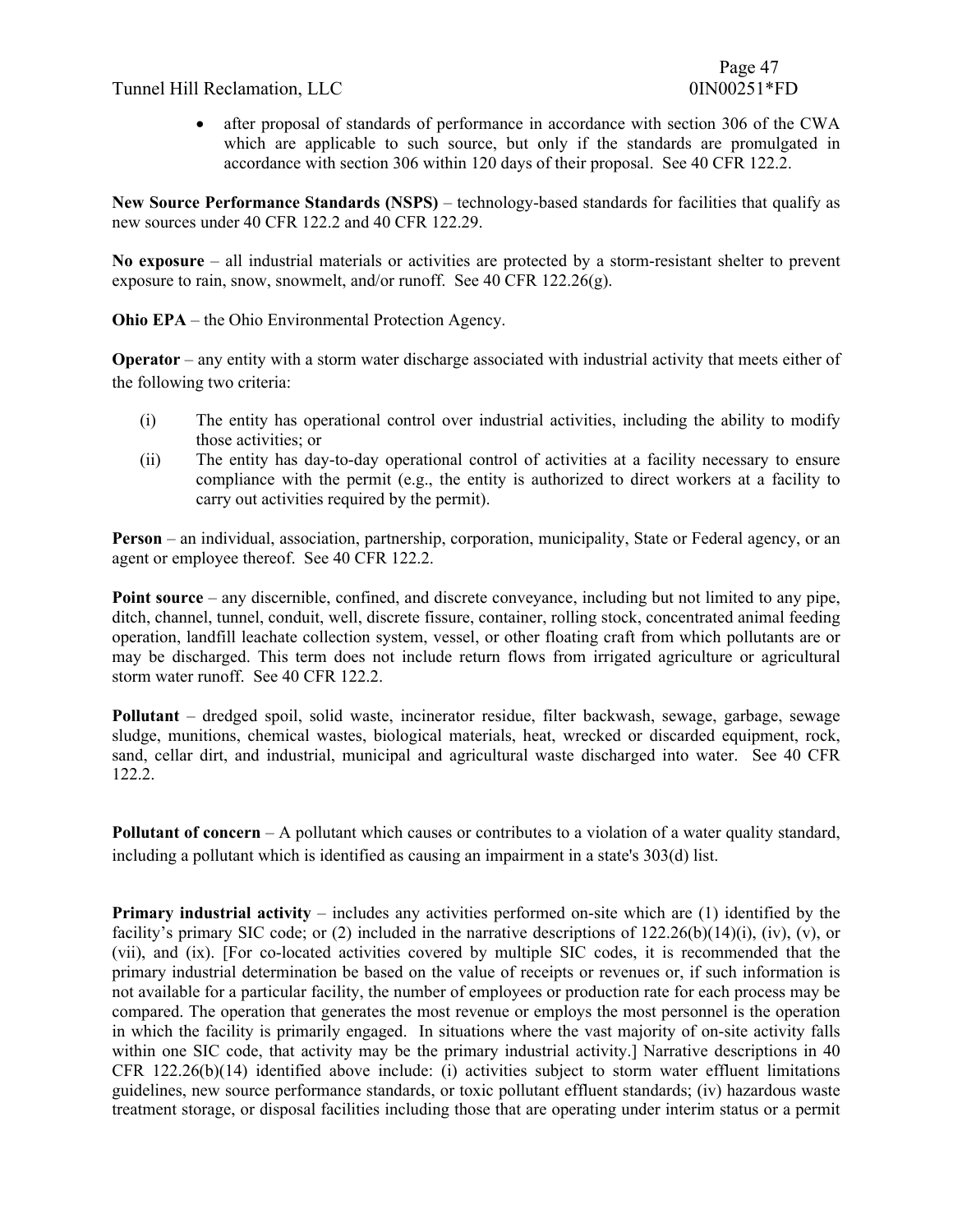after proposal of standards of performance in accordance with section 306 of the CWA which are applicable to such source, but only if the standards are promulgated in accordance with section 306 within 120 days of their proposal. See 40 CFR 122.2.

**New Source Performance Standards (NSPS)** – technology-based standards for facilities that qualify as new sources under 40 CFR 122.2 and 40 CFR 122.29.

**No exposure** – all industrial materials or activities are protected by a storm-resistant shelter to prevent exposure to rain, snow, snowmelt, and/or runoff. See 40 CFR 122.26(g).

**Ohio EPA** – the Ohio Environmental Protection Agency.

**Operator** – any entity with a storm water discharge associated with industrial activity that meets either of the following two criteria:

- (i) The entity has operational control over industrial activities, including the ability to modify those activities; or
- (ii) The entity has day-to-day operational control of activities at a facility necessary to ensure compliance with the permit (e.g., the entity is authorized to direct workers at a facility to carry out activities required by the permit).

**Person** – an individual, association, partnership, corporation, municipality, State or Federal agency, or an agent or employee thereof. See 40 CFR 122.2.

**Point source** – any discernible, confined, and discrete conveyance, including but not limited to any pipe, ditch, channel, tunnel, conduit, well, discrete fissure, container, rolling stock, concentrated animal feeding operation, landfill leachate collection system, vessel, or other floating craft from which pollutants are or may be discharged. This term does not include return flows from irrigated agriculture or agricultural storm water runoff. See 40 CFR 122.2.

**Pollutant** – dredged spoil, solid waste, incinerator residue, filter backwash, sewage, garbage, sewage sludge, munitions, chemical wastes, biological materials, heat, wrecked or discarded equipment, rock, sand, cellar dirt, and industrial, municipal and agricultural waste discharged into water. See 40 CFR 122.2.

**Pollutant of concern** – A pollutant which causes or contributes to a violation of a water quality standard, including a pollutant which is identified as causing an impairment in a state's 303(d) list.

**Primary industrial activity** – includes any activities performed on-site which are (1) identified by the facility's primary SIC code; or (2) included in the narrative descriptions of  $122.26(b)(14)(i)$ , (iv), (v), or (vii), and (ix). [For co-located activities covered by multiple SIC codes, it is recommended that the primary industrial determination be based on the value of receipts or revenues or, if such information is not available for a particular facility, the number of employees or production rate for each process may be compared. The operation that generates the most revenue or employs the most personnel is the operation in which the facility is primarily engaged. In situations where the vast majority of on-site activity falls within one SIC code, that activity may be the primary industrial activity.] Narrative descriptions in 40 CFR 122.26(b)(14) identified above include: (i) activities subject to storm water effluent limitations guidelines, new source performance standards, or toxic pollutant effluent standards; (iv) hazardous waste treatment storage, or disposal facilities including those that are operating under interim status or a permit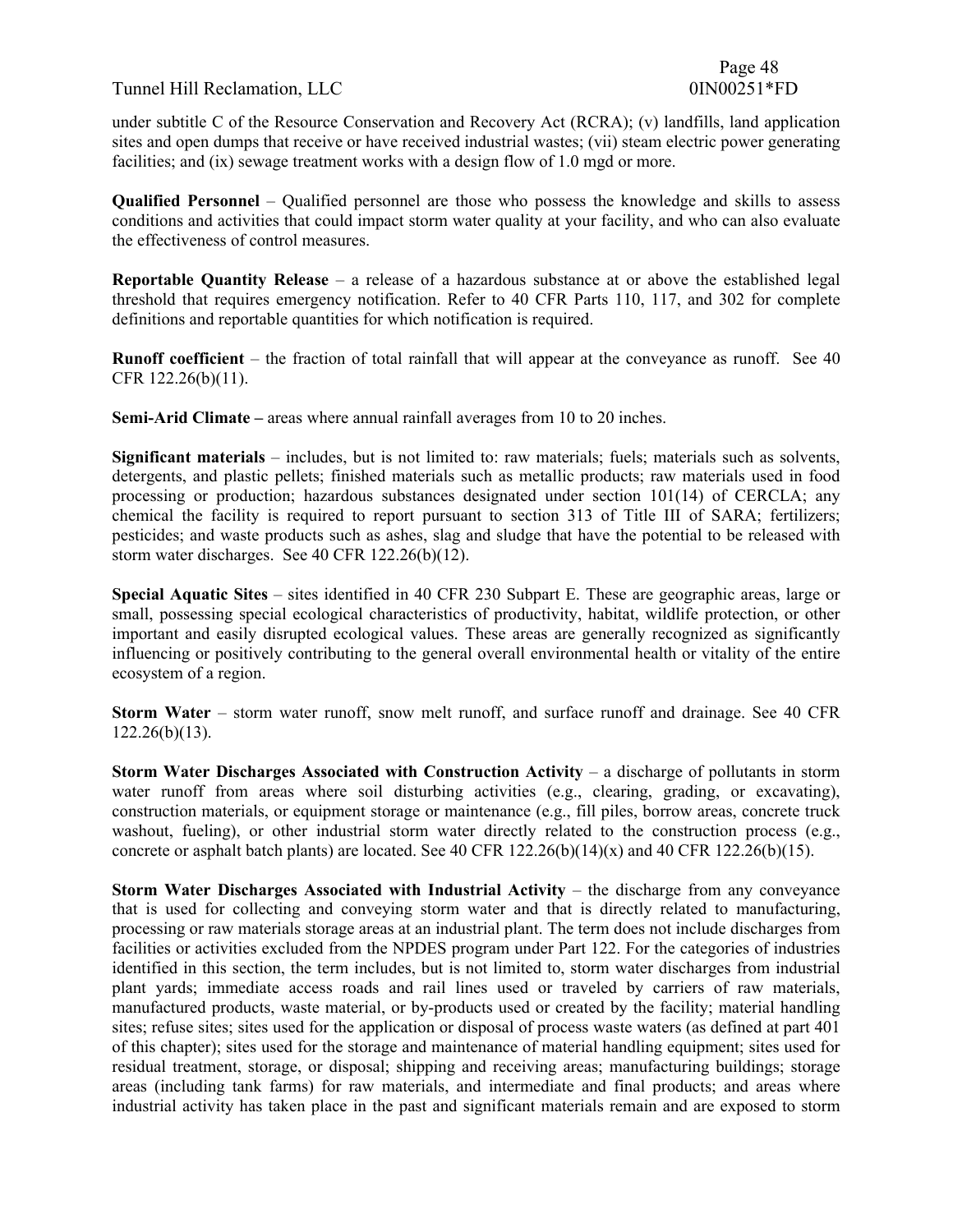under subtitle C of the Resource Conservation and Recovery Act (RCRA); (v) landfills, land application sites and open dumps that receive or have received industrial wastes; (vii) steam electric power generating facilities; and (ix) sewage treatment works with a design flow of 1.0 mgd or more.

**Qualified Personnel** – Qualified personnel are those who possess the knowledge and skills to assess conditions and activities that could impact storm water quality at your facility, and who can also evaluate the effectiveness of control measures.

**Reportable Quantity Release** – a release of a hazardous substance at or above the established legal threshold that requires emergency notification. Refer to 40 CFR Parts 110, 117, and 302 for complete definitions and reportable quantities for which notification is required.

**Runoff coefficient** – the fraction of total rainfall that will appear at the conveyance as runoff. See 40 CFR 122.26(b)(11).

**Semi-Arid Climate –** areas where annual rainfall averages from 10 to 20 inches.

**Significant materials** – includes, but is not limited to: raw materials; fuels; materials such as solvents, detergents, and plastic pellets; finished materials such as metallic products; raw materials used in food processing or production; hazardous substances designated under section 101(14) of CERCLA; any chemical the facility is required to report pursuant to section 313 of Title III of SARA; fertilizers; pesticides; and waste products such as ashes, slag and sludge that have the potential to be released with storm water discharges. See 40 CFR 122.26(b)(12).

**Special Aquatic Sites** – sites identified in 40 CFR 230 Subpart E. These are geographic areas, large or small, possessing special ecological characteristics of productivity, habitat, wildlife protection, or other important and easily disrupted ecological values. These areas are generally recognized as significantly influencing or positively contributing to the general overall environmental health or vitality of the entire ecosystem of a region.

**Storm Water** – storm water runoff, snow melt runoff, and surface runoff and drainage. See 40 CFR 122.26(b)(13).

**Storm Water Discharges Associated with Construction Activity** – a discharge of pollutants in storm water runoff from areas where soil disturbing activities (e.g., clearing, grading, or excavating), construction materials, or equipment storage or maintenance (e.g., fill piles, borrow areas, concrete truck washout, fueling), or other industrial storm water directly related to the construction process (e.g., concrete or asphalt batch plants) are located. See 40 CFR  $122.26(b)(14)(x)$  and 40 CFR  $122.26(b)(15)$ .

**Storm Water Discharges Associated with Industrial Activity** – the discharge from any conveyance that is used for collecting and conveying storm water and that is directly related to manufacturing, processing or raw materials storage areas at an industrial plant. The term does not include discharges from facilities or activities excluded from the NPDES program under Part 122. For the categories of industries identified in this section, the term includes, but is not limited to, storm water discharges from industrial plant yards; immediate access roads and rail lines used or traveled by carriers of raw materials, manufactured products, waste material, or by-products used or created by the facility; material handling sites; refuse sites; sites used for the application or disposal of process waste waters (as defined at part 401 of this chapter); sites used for the storage and maintenance of material handling equipment; sites used for residual treatment, storage, or disposal; shipping and receiving areas; manufacturing buildings; storage areas (including tank farms) for raw materials, and intermediate and final products; and areas where industrial activity has taken place in the past and significant materials remain and are exposed to storm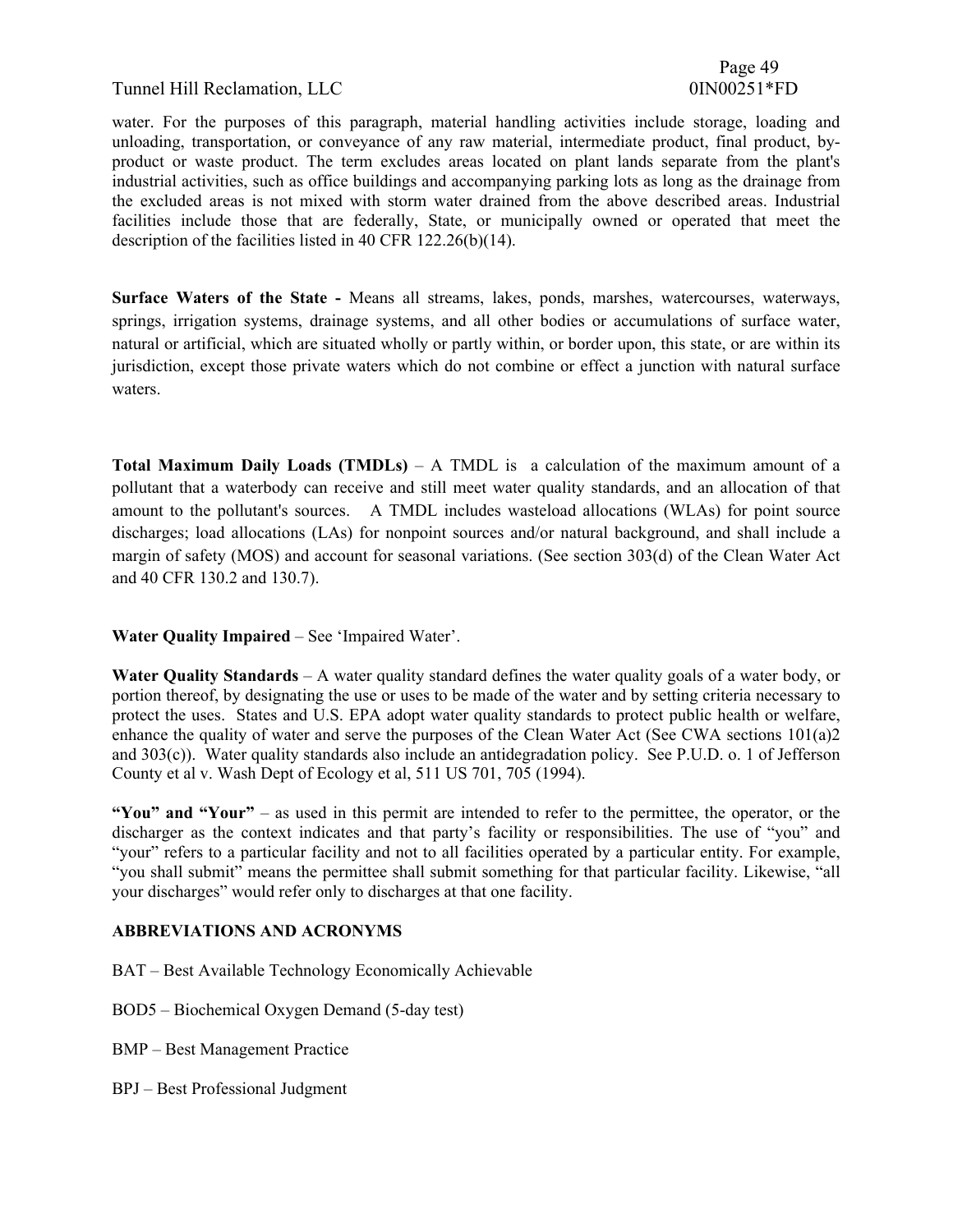water. For the purposes of this paragraph, material handling activities include storage, loading and unloading, transportation, or conveyance of any raw material, intermediate product, final product, byproduct or waste product. The term excludes areas located on plant lands separate from the plant's industrial activities, such as office buildings and accompanying parking lots as long as the drainage from the excluded areas is not mixed with storm water drained from the above described areas. Industrial facilities include those that are federally, State, or municipally owned or operated that meet the description of the facilities listed in 40 CFR 122.26(b)(14).

**Surface Waters of the State -** Means all streams, lakes, ponds, marshes, watercourses, waterways, springs, irrigation systems, drainage systems, and all other bodies or accumulations of surface water, natural or artificial, which are situated wholly or partly within, or border upon, this state, or are within its jurisdiction, except those private waters which do not combine or effect a junction with natural surface waters.

**Total Maximum Daily Loads (TMDLs)** – A TMDL is a calculation of the maximum amount of a pollutant that a waterbody can receive and still meet water quality standards, and an allocation of that amount to the pollutant's sources. A TMDL includes wasteload allocations (WLAs) for point source discharges; load allocations (LAs) for nonpoint sources and/or natural background, and shall include a margin of safety (MOS) and account for seasonal variations. (See section 303(d) of the Clean Water Act and 40 CFR 130.2 and 130.7).

#### **Water Quality Impaired** – See 'Impaired Water'.

**Water Quality Standards** – A water quality standard defines the water quality goals of a water body, or portion thereof, by designating the use or uses to be made of the water and by setting criteria necessary to protect the uses. States and U.S. EPA adopt water quality standards to protect public health or welfare, enhance the quality of water and serve the purposes of the Clean Water Act (See CWA sections 101(a)2 and 303(c)). Water quality standards also include an antidegradation policy. See P.U.D. o. 1 of Jefferson County et al v. Wash Dept of Ecology et al, 511 US 701, 705 (1994).

**"You" and "Your"** – as used in this permit are intended to refer to the permittee, the operator, or the discharger as the context indicates and that party's facility or responsibilities. The use of "you" and "your" refers to a particular facility and not to all facilities operated by a particular entity. For example, "you shall submit" means the permittee shall submit something for that particular facility. Likewise, "all your discharges" would refer only to discharges at that one facility.

#### **ABBREVIATIONS AND ACRONYMS**

BAT – Best Available Technology Economically Achievable

BOD5 – Biochemical Oxygen Demand (5-day test)

BMP – Best Management Practice

BPJ – Best Professional Judgment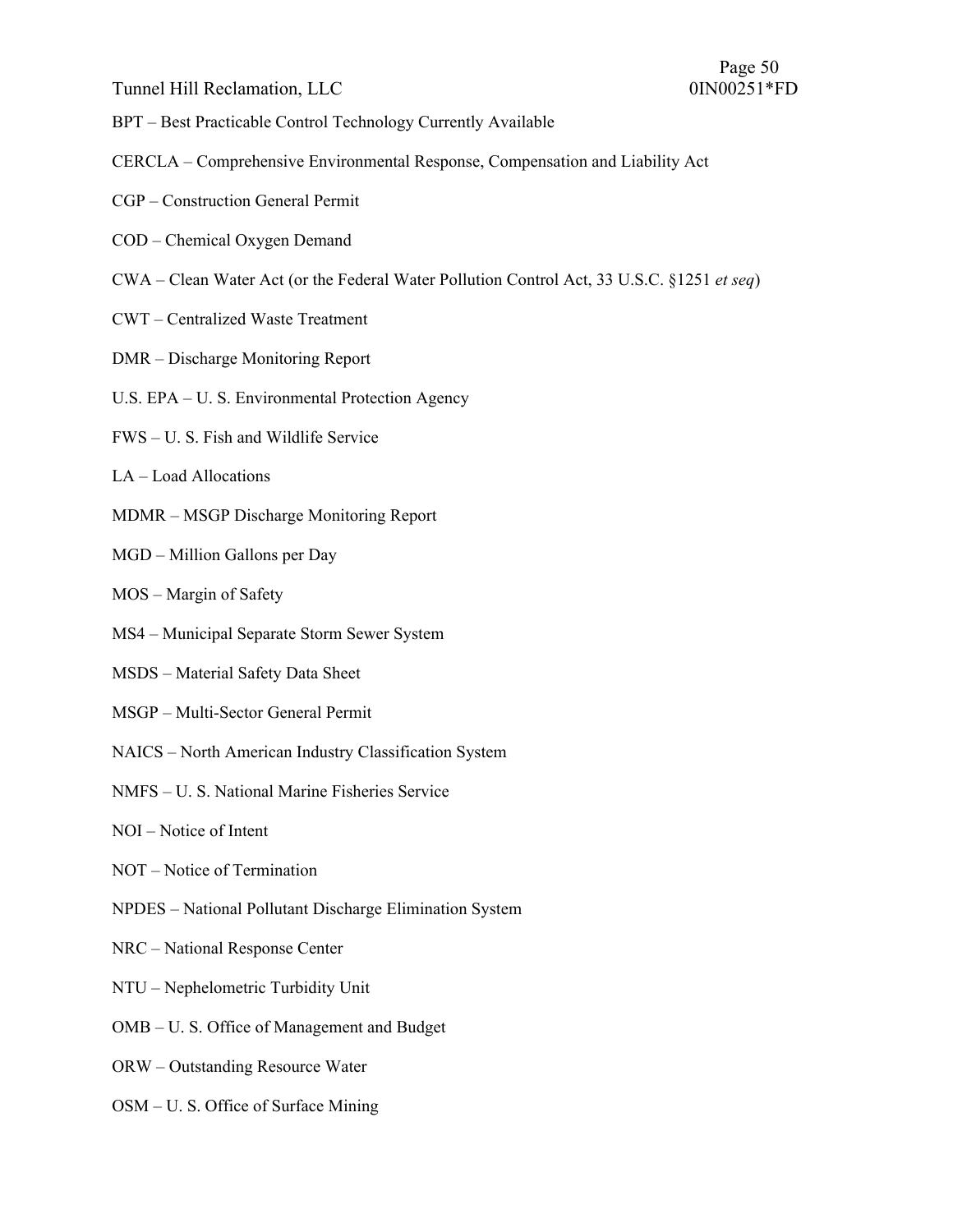Tunnel Hill Reclamation, LLC 0IN00251\*FD

- BPT Best Practicable Control Technology Currently Available
- CERCLA Comprehensive Environmental Response, Compensation and Liability Act
- CGP Construction General Permit
- COD Chemical Oxygen Demand
- CWA Clean Water Act (or the Federal Water Pollution Control Act, 33 U.S.C. §1251 *et seq*)
- CWT Centralized Waste Treatment
- DMR Discharge Monitoring Report
- U.S. EPA U. S. Environmental Protection Agency
- FWS U. S. Fish and Wildlife Service
- LA Load Allocations
- MDMR MSGP Discharge Monitoring Report
- MGD Million Gallons per Day
- MOS Margin of Safety
- MS4 Municipal Separate Storm Sewer System
- MSDS Material Safety Data Sheet
- MSGP Multi-Sector General Permit
- NAICS North American Industry Classification System
- NMFS U. S. National Marine Fisheries Service
- NOI Notice of Intent
- NOT Notice of Termination
- NPDES National Pollutant Discharge Elimination System
- NRC National Response Center
- NTU Nephelometric Turbidity Unit
- OMB U. S. Office of Management and Budget
- ORW Outstanding Resource Water
- OSM U. S. Office of Surface Mining